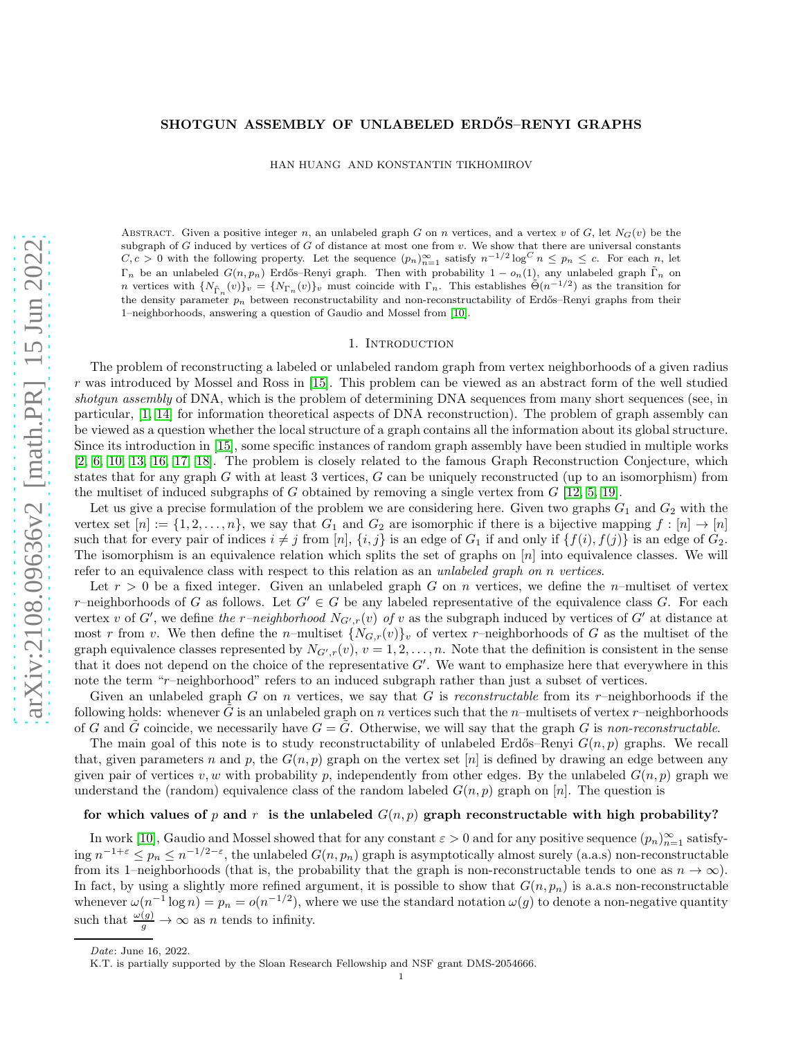# SHOTGUN ASSEMBLY OF UNLABELED ERDŐS-RENYI GRAPHS

HAN HUANG AND KONSTANTIN TIKHOMIROV

ABSTRACT. Given a positive integer n, an unlabeled graph G on n vertices, and a vertex v of G, let  $N_G(v)$  be the subgraph of G induced by vertices of G of distance at most one from  $v$ . We show that there are universal constants  $C, c > 0$  with the following property. Let the sequence  $(p_n)_{n=1}^{\infty}$  satisfy  $n^{-1/2} \log^C n \le p_n \le c$ . For each n, let  $\Gamma_n$  be an unlabeled  $G(n, p_n)$  Erdős–Renyi graph. Then with probability  $1 - o_n(1)$ , any unlabeled graph  $\tilde{\Gamma}_n$  on n vertices with  $\{N_{\tilde{\Gamma}_n}(v)\}_v = \{N_{\Gamma_n}(v)\}_v$  must coincide with  $\Gamma_n$ . This establishes  $\tilde{\Theta}(n^{-1/2})$  as the transition for the density parameter  $p_n$  between reconstructability and non-reconstructability of Erdős–Renyi graphs from their 1–neighborhoods, answering a question of Gaudio and Mossel from [\[10\]](#page-28-0).

# 1. INTRODUCTION

The problem of reconstructing a labeled or unlabeled random graph from vertex neighborhoods of a given radius r was introduced by Mossel and Ross in [\[15\]](#page-28-1). This problem can be viewed as an abstract form of the well studied shotgun assembly of DNA, which is the problem of determining DNA sequences from many short sequences (see, in particular, [\[1,](#page-28-2) [14\]](#page-28-3) for information theoretical aspects of DNA reconstruction). The problem of graph assembly can be viewed as a question whether the local structure of a graph contains all the information about its global structure. Since its introduction in [\[15\]](#page-28-1), some specific instances of random graph assembly have been studied in multiple works [\[2,](#page-28-4) [6,](#page-28-5) [10,](#page-28-0) [13,](#page-28-6) [16,](#page-28-7) [17,](#page-28-8) [18\]](#page-28-9). The problem is closely related to the famous Graph Reconstruction Conjecture, which states that for any graph G with at least 3 vertices,  $G$  can be uniquely reconstructed (up to an isomorphism) from the multiset of induced subgraphs of G obtained by removing a single vertex from  $G$  [\[12,](#page-28-10) [5,](#page-28-11) [19\]](#page-28-12).

Let us give a precise formulation of the problem we are considering here. Given two graphs  $G_1$  and  $G_2$  with the vertex set  $[n] := \{1, 2, \ldots, n\}$ , we say that  $G_1$  and  $G_2$  are isomorphic if there is a bijective mapping  $f : [n] \to [n]$ such that for every pair of indices  $i \neq j$  from [n],  $\{i, j\}$  is an edge of  $G_1$  if and only if  $\{f(i), f(j)\}$  is an edge of  $G_2$ . The isomorphism is an equivalence relation which splits the set of graphs on  $[n]$  into equivalence classes. We will refer to an equivalence class with respect to this relation as an *unlabeled graph on n vertices*.

Let  $r > 0$  be a fixed integer. Given an unlabeled graph G on n vertices, we define the n-multiset of vertex r–neighborhoods of G as follows. Let  $G' \in G$  be any labeled representative of the equivalence class G. For each vertex v of G', we define the r-neighborhood  $N_{G',r}(v)$  of v as the subgraph induced by vertices of G' at distance at most r from v. We then define the n–multiset  $\{N_{G,r}(v)\}_v$  of vertex r–neighborhoods of G as the multiset of the graph equivalence classes represented by  $N_{G',r}(v)$ ,  $v = 1, 2, ..., n$ . Note that the definition is consistent in the sense that it does not depend on the choice of the representative  $G'$ . We want to emphasize here that everywhere in this note the term "r-neighborhood" refers to an induced subgraph rather than just a subset of vertices.

Given an unlabeled graph G on n vertices, we say that G is reconstructable from its r–neighborhoods if the following holds: whenever G is an unlabeled graph on n vertices such that the n–multisets of vertex r–neighborhoods of G and  $\tilde{G}$  coincide, we necessarily have  $G = \tilde{G}$ . Otherwise, we will say that the graph G is non-reconstructable.

The main goal of this note is to study reconstructability of unlabeled Erdős–Renyi  $G(n, p)$  graphs. We recall that, given parameters n and p, the  $G(n, p)$  graph on the vertex set  $[n]$  is defined by drawing an edge between any given pair of vertices v, w with probability p, independently from other edges. By the unlabeled  $G(n, p)$  graph we understand the (random) equivalence class of the random labeled  $G(n, p)$  graph on [n]. The question is

# for which values of p and r is the unlabeled  $G(n, p)$  graph reconstructable with high probability?

In work [\[10\]](#page-28-0), Gaudio and Mossel showed that for any constant  $\varepsilon > 0$  and for any positive sequence  $(p_n)_{n=1}^{\infty}$  satisfy- $\lim_{n \to \infty} n^{-1+\varepsilon} \leq p_n \leq n^{-1/2-\varepsilon}$ , the unlabeled  $G(n, p_n)$  graph is asymptotically almost surely (a.a.s) non-reconstructable from its 1–neighborhoods (that is, the probability that the graph is non-reconstructable tends to one as  $n \to \infty$ ). In fact, by using a slightly more refined argument, it is possible to show that  $G(n, p_n)$  is a.a.s non-reconstructable whenever  $\omega(n^{-1} \log n) = p_n = o(n^{-1/2})$ , where we use the standard notation  $\omega(g)$  to denote a non-negative quantity such that  $\frac{\omega(g)}{g} \to \infty$  as *n* tends to infinity.

Date: June 16, 2022.

K.T. is partially supported by the Sloan Research Fellowship and NSF grant DMS-2054666.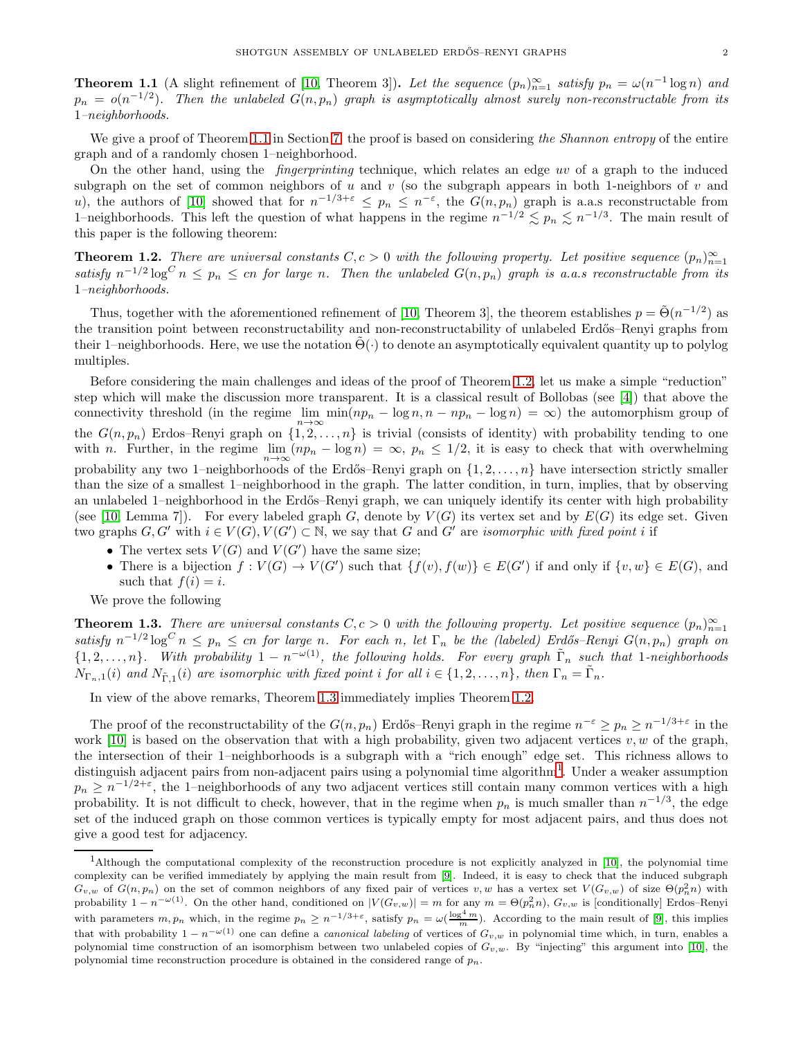<span id="page-1-0"></span>**Theorem 1.1** (A slight refinement of [\[10,](#page-28-0) Theorem 3]). Let the sequence  $(p_n)_{n=1}^{\infty}$  satisfy  $p_n = \omega(n^{-1} \log n)$  and  $p_n = o(n^{-1/2})$ . Then the unlabeled  $G(n, p_n)$  graph is asymptotically almost surely non-reconstructable from its 1–neighborhoods.

We give a proof of Theorem [1.1](#page-1-0) in Section [7;](#page-25-0) the proof is based on considering the Shannon entropy of the entire graph and of a randomly chosen 1–neighborhood.

On the other hand, using the fingerprinting technique, which relates an edge uv of a graph to the induced subgraph on the set of common neighbors of u and v (so the subgraph appears in both 1-neighbors of v and u), the authors of [\[10\]](#page-28-0) showed that for  $n^{-1/3+\varepsilon} \leq p_n \leq n^{-\varepsilon}$ , the  $G(n, p_n)$  graph is a.a.s reconstructable from 1–neighborhoods. This left the question of what happens in the regime  $n^{-1/2} \lesssim p_n \lesssim n^{-1/3}$ . The main result of this paper is the following theorem:

<span id="page-1-1"></span>**Theorem 1.2.** There are universal constants  $C, c > 0$  with the following property. Let positive sequence  $(p_n)_{n=1}^{\infty}$ satisfy  $n^{-1/2} \log^C n \leq p_n \leq cn$  for large n. Then the unlabeled  $G(n, p_n)$  graph is a.a.s reconstructable from its 1–neighborhoods.

Thus, together with the aforementioned refinement of [\[10,](#page-28-0) Theorem 3], the theorem establishes  $p = \tilde{\Theta}(n^{-1/2})$  as the transition point between reconstructability and non-reconstructability of unlabeled Erdős–Renyi graphs from their 1–neighborhoods. Here, we use the notation  $\Theta(\cdot)$  to denote an asymptotically equivalent quantity up to polylog multiples.

Before considering the main challenges and ideas of the proof of Theorem [1.2,](#page-1-1) let us make a simple "reduction" step which will make the discussion more transparent. It is a classical result of Bollobas (see [\[4\]](#page-28-13)) that above the connectivity threshold (in the regime  $\lim_{n\to\infty}$ connectivity threshold (in the regime  $\lim_{n \to \infty} \min(np_n - \log n, n - np_n - \log n) = \infty$ ) the automorphism group of the  $G(n, p_n)$  Erdos–Renyi graph on  $\{1, 2, \ldots, n\}$  is trivial (consists of identity) with probability tending to one with n. Further, in the regime  $\lim_{n\to\infty}(np_n - \log n) = \infty$ ,  $p_n \leq 1/2$ , it is easy to check that with overwhelming probability any two 1–neighborhoods of the Erdős–Renyi graph on  $\{1, 2, \ldots, n\}$  have intersection strictly smaller than the size of a smallest 1–neighborhood in the graph. The latter condition, in turn, implies, that by observing an unlabeled 1–neighborhood in the Erdős–Renyi graph, we can uniquely identify its center with high probability (see [\[10,](#page-28-0) Lemma 7]). For every labeled graph G, denote by  $V(G)$  its vertex set and by  $E(G)$  its edge set. Given two graphs  $G, G'$  with  $i \in V(G), V(G') \subset \mathbb{N}$ , we say that G and G' are *isomorphic with fixed point i* if

- The vertex sets  $V(G)$  and  $V(G')$  have the same size;
- There is a bijection  $f: V(G) \to V(G')$  such that  $\{f(v), f(w)\} \in E(G')$  if and only if  $\{v, w\} \in E(G)$ , and such that  $f(i) = i$ .

We prove the following

<span id="page-1-2"></span>**Theorem 1.3.** There are universal constants  $C, c > 0$  with the following property. Let positive sequence  $(p_n)_{n=1}^{\infty}$ satisfy  $n^{-1/2} \log^C n \leq p_n \leq cn$  for large n. For each n, let  $\Gamma_n$  be the (labeled) Erdős–Renyi  $G(n, p_n)$  graph on  $\{1, 2, \ldots, n\}$ . With probability  $1 - n^{-\omega(1)}$ , the following holds. For every graph  $\tilde{\Gamma}_n$  such that 1-neighborhoods  $N_{\Gamma_n,1}(i)$  and  $N_{\tilde{\Gamma},1}(i)$  are isomorphic with fixed point i for all  $i \in \{1,2,\ldots,n\}$ , then  $\Gamma_n = \tilde{\Gamma}_n$ .

In view of the above remarks, Theorem [1.3](#page-1-2) immediately implies Theorem [1.2.](#page-1-1)

The proof of the reconstructability of the  $G(n, p_n)$  Erdős–Renyi graph in the regime  $n^{-\varepsilon} \geq p_n \geq n^{-1/3+\varepsilon}$  in the work [\[10\]](#page-28-0) is based on the observation that with a high probability, given two adjacent vertices  $v, w$  of the graph, the intersection of their 1–neighborhoods is a subgraph with a "rich enough" edge set. This richness allows to distinguish adjacent pairs from non-adjacent pairs using a polynomial time algorithm<sup>[1](#page-1-3)</sup>. Under a weaker assumption  $p_n \geq n^{-1/2+\varepsilon}$ , the 1–neighborhoods of any two adjacent vertices still contain many common vertices with a high probability. It is not difficult to check, however, that in the regime when  $p_n$  is much smaller than  $n^{-1/3}$ , the edge set of the induced graph on those common vertices is typically empty for most adjacent pairs, and thus does not give a good test for adjacency.

<span id="page-1-3"></span><sup>&</sup>lt;sup>1</sup>Although the computational complexity of the reconstruction procedure is not explicitly analyzed in [\[10\]](#page-28-0), the polynomial time complexity can be verified immediately by applying the main result from [\[9\]](#page-28-14). Indeed, it is easy to check that the induced subgraph  $G_{v,w}$  of  $G(n,p_n)$  on the set of common neighbors of any fixed pair of vertices  $v,w$  has a vertex set  $V(G_{v,w})$  of size  $\Theta(p_n^2n)$  with probability  $1 - n^{-\omega(1)}$ . On the other hand, conditioned on  $|V(G_{v,w})| = m$  for any  $m = \Theta(p_n^2 n)$ ,  $G_{v,w}$  is [conditionally] Erdos–Renyi with parameters  $m, p_n$  which, in the regime  $p_n \ge n^{-1/3+\varepsilon}$ , satisfy  $p_n = \omega(\frac{\log^4 m}{m})$ . According to the main result of [\[9\]](#page-28-14), this implies that with probability  $1 - n^{-\omega(1)}$  one can define a *canonical labeling* of vertices of  $G_{v,w}$  in polynomial time which, in turn, enables a polynomial time construction of an isomorphism between two unlabeled copies of  $G_{v,w}$ . By "injecting" this argument into [\[10\]](#page-28-0), the polynomial time reconstruction procedure is obtained in the considered range of  $p_n$ .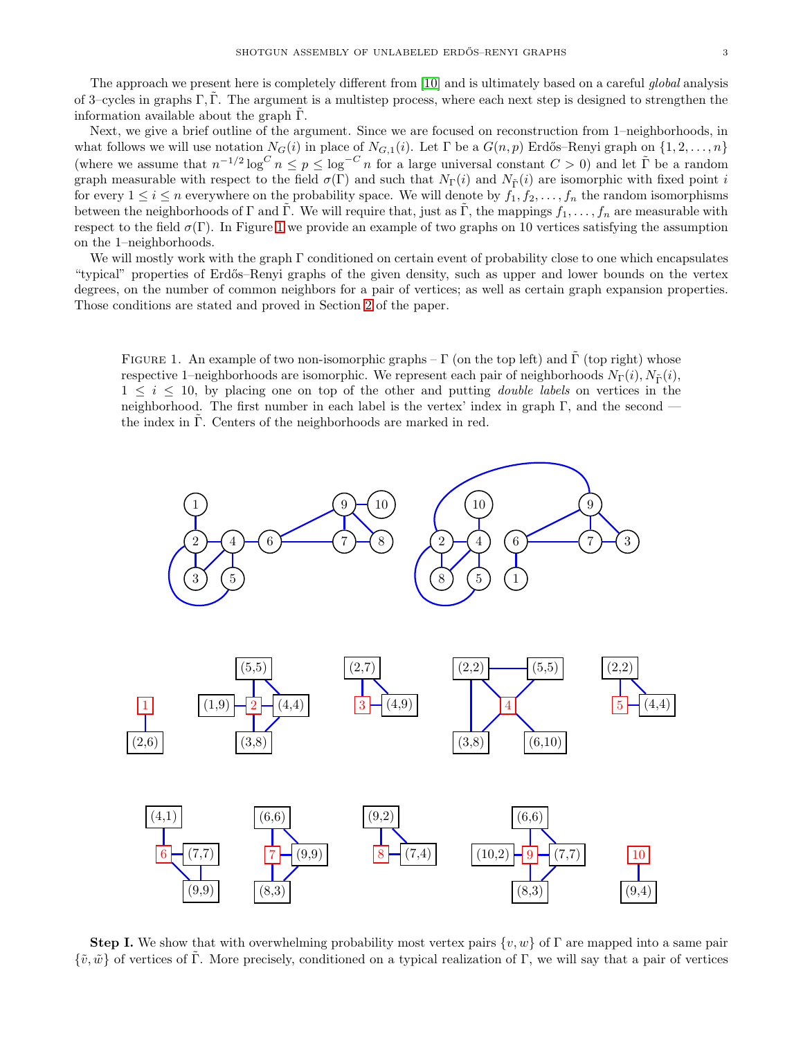The approach we present here is completely different from [\[10\]](#page-28-0) and is ultimately based on a careful *global* analysis of 3–cycles in graphs  $\Gamma$ ,  $\Gamma$ . The argument is a multistep process, where each next step is designed to strengthen the information available about the graph  $\Gamma$ .

Next, we give a brief outline of the argument. Since we are focused on reconstruction from 1–neighborhoods, in what follows we will use notation  $N_G(i)$  in place of  $N_{G,1}(i)$ . Let  $\Gamma$  be a  $G(n, p)$  Erdős–Renyi graph on  $\{1, 2, \ldots, n\}$ (where we assume that  $n^{-1/2} \log^C n \leq p \leq \log^{-C} n$  for a large universal constant  $C > 0$ ) and let  $\tilde{\Gamma}$  be a random graph measurable with respect to the field  $\sigma(\Gamma)$  and such that  $N_{\Gamma}(i)$  and  $N_{\tilde{\Gamma}}(i)$  are isomorphic with fixed point i for every  $1 \le i \le n$  everywhere on the probability space. We will denote by  $f_1, f_2, \ldots, f_n$  the random isomorphisms between the neighborhoods of Γ and Γ. We will require that, just as Γ, the mappings  $f_1, \ldots, f_n$  are measurable with respect to the field  $\sigma(\Gamma)$ . In Figure [1](#page-1-2) we provide an example of two graphs on 10 vertices satisfying the assumption on the 1–neighborhoods.

We will mostly work with the graph  $\Gamma$  conditioned on certain event of probability close to one which encapsulates "typical" properties of Erd˝os–Renyi graphs of the given density, such as upper and lower bounds on the vertex degrees, on the number of common neighbors for a pair of vertices; as well as certain graph expansion properties. Those conditions are stated and proved in Section [2](#page-5-0) of the paper.

FIGURE 1. An example of two non-isomorphic graphs –  $\Gamma$  (on the top left) and  $\Gamma$  (top right) whose respective 1–neighborhoods are isomorphic. We represent each pair of neighborhoods  $N_{\Gamma}(i)$ ,  $N_{\tilde{\Gamma}}(i)$ ,  $1 \leq i \leq 10$ , by placing one on top of the other and putting *double labels* on vertices in the neighborhood. The first number in each label is the vertex' index in graph  $\Gamma$ , and the second the index in  $\Gamma$ . Centers of the neighborhoods are marked in red.



**Step I.** We show that with overwhelming probability most vertex pairs  $\{v, w\}$  of  $\Gamma$  are mapped into a same pair  $\{\tilde{v}, \tilde{w}\}$  of vertices of Γ. More precisely, conditioned on a typical realization of Γ, we will say that a pair of vertices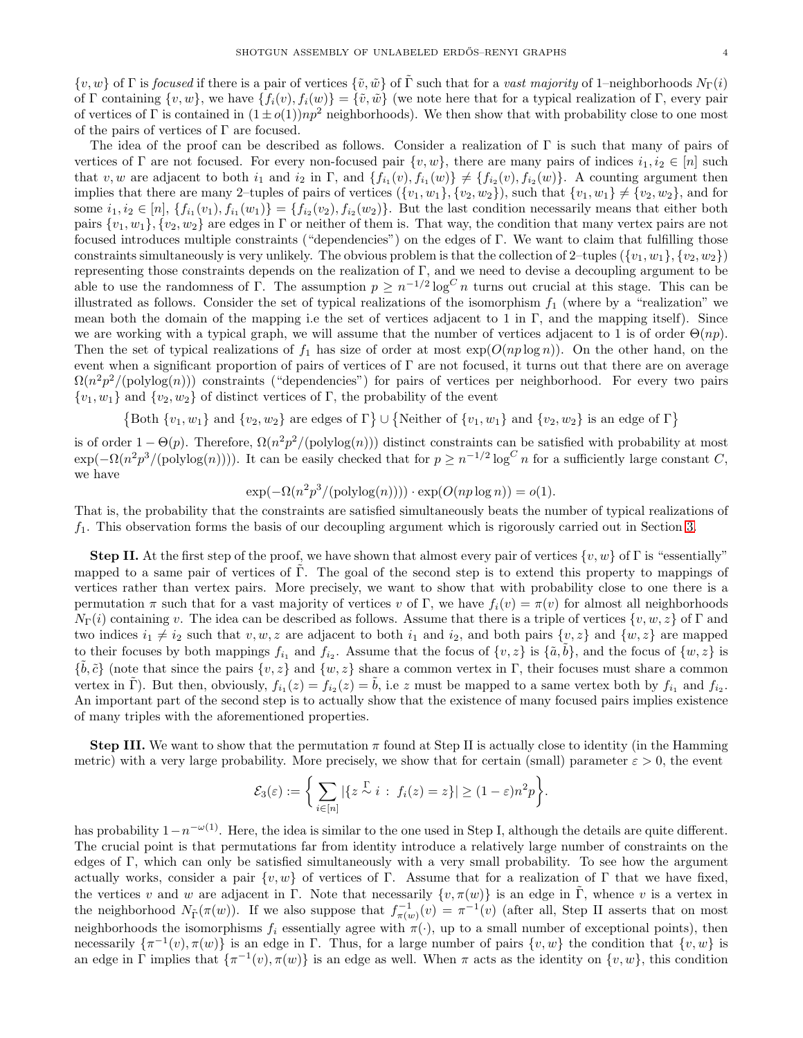$\{v, w\}$  of Γ is *focused* if there is a pair of vertices  $\{\tilde{v}, \tilde{w}\}$  of Γ such that for a vast majority of 1–neighborhoods  $N_{\Gamma}(i)$ of Γ containing  $\{v, w\}$ , we have  $\{f_i(v), f_i(w)\} = \{\tilde{v}, \tilde{w}\}\$  (we note here that for a typical realization of Γ, every pair of vertices of Γ is contained in  $(1 \pm o(1))np^2$  neighborhoods). We then show that with probability close to one most of the pairs of vertices of  $\Gamma$  are focused.

The idea of the proof can be described as follows. Consider a realization of  $\Gamma$  is such that many of pairs of vertices of Γ are not focused. For every non-focused pair  $\{v, w\}$ , there are many pairs of indices  $i_1, i_2 \in [n]$  such that v, w are adjacent to both  $i_1$  and  $i_2$  in  $\Gamma$ , and  $\{f_{i_1}(v), f_{i_1}(w)\}\neq \{f_{i_2}(v), f_{i_2}(w)\}\)$ . A counting argument then implies that there are many 2–tuples of pairs of vertices  $({v_1, w_1}, {v_2, w_2})$ , such that  ${v_1, w_1} \neq {v_2, w_2}$ , and for some  $i_1, i_2 \in [n]$ ,  $\{f_{i_1}(v_1), f_{i_1}(w_1)\} = \{f_{i_2}(v_2), f_{i_2}(w_2)\}$ . But the last condition necessarily means that either both pairs  $\{v_1, w_1\}, \{v_2, w_2\}$  are edges in Γ or neither of them is. That way, the condition that many vertex pairs are not focused introduces multiple constraints ("dependencies") on the edges of Γ. We want to claim that fulfilling those constraints simultaneously is very unlikely. The obvious problem is that the collection of 2–tuples  $({v_1, w_1}, {v_2, w_2})$ representing those constraints depends on the realization of  $\Gamma$ , and we need to devise a decoupling argument to be able to use the randomness of Γ. The assumption  $p \geq n^{-1/2} \log^C n$  turns out crucial at this stage. This can be illustrated as follows. Consider the set of typical realizations of the isomorphism  $f_1$  (where by a "realization" we mean both the domain of the mapping i.e the set of vertices adjacent to 1 in Γ, and the mapping itself). Since we are working with a typical graph, we will assume that the number of vertices adjacent to 1 is of order  $\Theta(np)$ . Then the set of typical realizations of  $f_1$  has size of order at most  $\exp(O(np \log n))$ . On the other hand, on the event when a significant proportion of pairs of vertices of  $\Gamma$  are not focused, it turns out that there are on average  $\Omega(n^2p^2/(\text{polylog}(n)))$  constraints ("dependencies") for pairs of vertices per neighborhood. For every two pairs  $\{v_1, w_1\}$  and  $\{v_2, w_2\}$  of distinct vertices of Γ, the probability of the event

{Both  $\{v_1, w_1\}$  and  $\{v_2, w_2\}$  are edges of  $\Gamma$ }  $\cup$  {Neither of  $\{v_1, w_1\}$  and  $\{v_2, w_2\}$  is an edge of  $\Gamma$ }

is of order  $1 - \Theta(p)$ . Therefore,  $\Omega(n^2p^2/(\text{polylog}(n)))$  distinct constraints can be satisfied with probability at most  $\exp(-\Omega(n^2p^3/(\text{polylog}(n))))$ . It can be easily checked that for  $p \geq n^{-1/2} \log^C n$  for a sufficiently large constant C, we have

$$
\exp(-\Omega(n^2p^3/(\text{polylog}(n)))) \cdot \exp(O(np \log n)) = o(1).
$$

That is, the probability that the constraints are satisfied simultaneously beats the number of typical realizations of  $f_1$ . This observation forms the basis of our decoupling argument which is rigorously carried out in Section [3.](#page-10-0)

**Step II.** At the first step of the proof, we have shown that almost every pair of vertices  $\{v, w\}$  of  $\Gamma$  is "essentially" mapped to a same pair of vertices of  $\Gamma$ . The goal of the second step is to extend this property to mappings of vertices rather than vertex pairs. More precisely, we want to show that with probability close to one there is a permutation  $\pi$  such that for a vast majority of vertices v of Γ, we have  $f_i(v) = \pi(v)$  for almost all neighborhoods  $N_{\Gamma}(i)$  containing v. The idea can be described as follows. Assume that there is a triple of vertices  $\{v, w, z\}$  of  $\Gamma$  and two indices  $i_1 \neq i_2$  such that  $v, w, z$  are adjacent to both  $i_1$  and  $i_2$ , and both pairs  $\{v, z\}$  and  $\{w, z\}$  are mapped to their focuses by both mappings  $f_{i_1}$  and  $f_{i_2}$ . Assume that the focus of  $\{v, z\}$  is  $\{\tilde{a}, \tilde{b}\}$ , and the focus of  $\{w, z\}$  is  $\{\tilde{b}, \tilde{c}\}$  (note that since the pairs  $\{v, z\}$  and  $\{w, z\}$  share a common vertex in  $\Gamma$ , their focuses must share a common vertex in  $\tilde{\Gamma}$ ). But then, obviously,  $f_{i_1}(z) = f_{i_2}(z) = \tilde{b}$ , i.e z must be mapped to a same vertex both by  $f_{i_1}$  and  $f_{i_2}$ . An important part of the second step is to actually show that the existence of many focused pairs implies existence of many triples with the aforementioned properties.

**Step III.** We want to show that the permutation  $\pi$  found at Step II is actually close to identity (in the Hamming metric) with a very large probability. More precisely, we show that for certain (small) parameter  $\varepsilon > 0$ , the event

$$
\mathcal{E}_3(\varepsilon) := \bigg\{ \sum_{i \in [n]} |\{z \stackrel{\Gamma}{\sim} i : f_i(z) = z\}| \geq (1-\varepsilon)n^2 p \bigg\}.
$$

has probability  $1-n^{-\omega(1)}$ . Here, the idea is similar to the one used in Step I, although the details are quite different. The crucial point is that permutations far from identity introduce a relatively large number of constraints on the edges of Γ, which can only be satisfied simultaneously with a very small probability. To see how the argument actually works, consider a pair  $\{v, w\}$  of vertices of Γ. Assume that for a realization of Γ that we have fixed, the vertices v and w are adjacent in Γ. Note that necessarily  $\{v, \pi(w)\}\$ is an edge in Γ, whence v is a vertex in the neighborhood  $N_{\tilde{\Gamma}}(\pi(w))$ . If we also suppose that  $f_{\pi(w)}^{-1}(v) = \pi^{-1}(v)$  (after all, Step II asserts that on most neighborhoods the isomorphisms  $f_i$  essentially agree with  $\pi(\cdot)$ , up to a small number of exceptional points), then necessarily  $\{\pi^{-1}(v), \pi(w)\}$  is an edge in Γ. Thus, for a large number of pairs  $\{v, w\}$  the condition that  $\{v, w\}$  is an edge in  $\Gamma$  implies that  $\{\pi^{-1}(v), \pi(w)\}$  is an edge as well. When  $\pi$  acts as the identity on  $\{v, w\}$ , this condition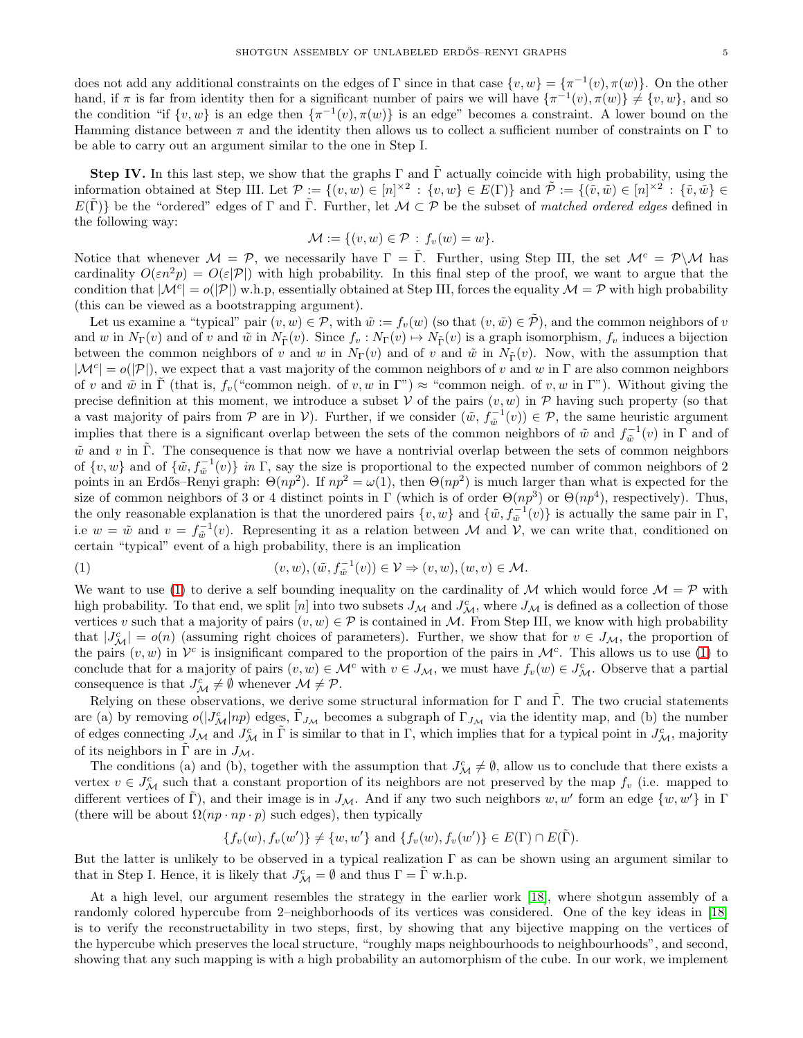does not add any additional constraints on the edges of  $\Gamma$  since in that case  $\{v, w\} = \{\pi^{-1}(v), \pi(w)\}.$  On the other hand, if  $\pi$  is far from identity then for a significant number of pairs we will have  $\{\pi^{-1}(v), \pi(w)\}\neq \{v, w\}$ , and so the condition "if  $\{v, w\}$  is an edge then  $\{\pi^{-1}(v), \pi(w)\}$  is an edge" becomes a constraint. A lower bound on the Hamming distance between  $\pi$  and the identity then allows us to collect a sufficient number of constraints on  $\Gamma$  to be able to carry out an argument similar to the one in Step I.

Step IV. In this last step, we show that the graphs  $\Gamma$  and  $\tilde{\Gamma}$  actually coincide with high probability, using the information obtained at Step III. Let  $\mathcal{P} := \{(v, w) \in [n]^{\times 2} : \{v, w\} \in E(\Gamma) \}$  and  $\tilde{\mathcal{P}} := \{(\tilde{v}, \tilde{w}) \in [n]^{\times 2} : \{\tilde{v}, \tilde{w}\} \in$  $E(\tilde{\Gamma})$  be the "ordered" edges of  $\Gamma$  and  $\tilde{\Gamma}$ . Further, let  $\mathcal{M} \subset \mathcal{P}$  be the subset of matched ordered edges defined in the following way:

$$
\mathcal{M} := \{(v, w) \in \mathcal{P} : f_v(w) = w\}.
$$

Notice that whenever  $\mathcal{M} = \mathcal{P}$ , we necessarily have  $\Gamma = \overline{\Gamma}$ . Further, using Step III, the set  $\mathcal{M}^c = \mathcal{P} \backslash \mathcal{M}$  has cardinality  $O(\varepsilon n^2p) = O(\varepsilon |\mathcal{P}|)$  with high probability. In this final step of the proof, we want to argue that the condition that  $|\mathcal{M}^c| = o(|\mathcal{P}|)$  w.h.p, essentially obtained at Step III, forces the equality  $\mathcal{M} = \mathcal{P}$  with high probability (this can be viewed as a bootstrapping argument).

Let us examine a "typical" pair  $(v, w) \in \mathcal{P}$ , with  $\tilde{w} := f_v(w)$  (so that  $(v, \tilde{w}) \in \tilde{\mathcal{P}}$ ), and the common neighbors of v and w in  $N_{\Gamma}(v)$  and of v and  $\tilde{w}$  in  $N_{\tilde{\Gamma}}(v)$ . Since  $f_v : N_{\Gamma}(v) \mapsto N_{\tilde{\Gamma}}(v)$  is a graph isomorphism,  $f_v$  induces a bijection between the common neighbors of v and w in  $N_{\Gamma}(v)$  and of v and  $\tilde{w}$  in  $N_{\tilde{\Gamma}}(v)$ . Now, with the assumption that  $|\mathcal{M}^c| = o(|\mathcal{P}|)$ , we expect that a vast majority of the common neighbors of v and w in  $\Gamma$  are also common neighbors of v and  $\tilde{w}$  in  $\tilde{\Gamma}$  (that is,  $f_v$  ("common neigh. of v, w in  $\Gamma$ ")  $\approx$  "common neigh. of v, w in  $\Gamma$ "). Without giving the precise definition at this moment, we introduce a subset  $V$  of the pairs  $(v, w)$  in  $P$  having such property (so that a vast majority of pairs from  $\mathcal P$  are in  $\mathcal V$ ). Further, if we consider  $(\tilde w, f_{\tilde w}^{-1}(v)) \in \mathcal P$ , the same heuristic argument implies that there is a significant overlap between the sets of the common neighbors of  $\tilde{w}$  and  $f_{\tilde{w}}^{-1}(v)$  in  $\Gamma$  and of  $\tilde{w}$  and v in  $\tilde{\Gamma}$ . The consequence is that now we have a nontrivial overlap between the sets of common neighbors of  $\{v, w\}$  and of  $\{\tilde{w}, f_{\tilde{w}}^{-1}(v)\}\$  in  $\Gamma$ , say the size is proportional to the expected number of common neighbors of 2 points in an Erdős–Renyi graph:  $\Theta(np^2)$ . If  $np^2 = \omega(1)$ , then  $\Theta(np^2)$  is much larger than what is expected for the size of common neighbors of 3 or 4 distinct points in  $\Gamma$  (which is of order  $\Theta(np^3)$  or  $\Theta(np^4)$ , respectively). Thus, the only reasonable explanation is that the unordered pairs  $\{v, w\}$  and  $\{\tilde{w}, f_{\tilde{w}}^{-1}(v)\}$  is actually the same pair in  $\Gamma$ , i.e  $w = \tilde{w}$  and  $v = f_{\tilde{w}}^{-1}(v)$ . Representing it as a relation between M and V, we can write that, conditioned on certain "typical" event of a high probability, there is an implication

<span id="page-4-0"></span>(1) 
$$
(v, w), (\tilde{w}, f_{\tilde{w}}^{-1}(v)) \in V \Rightarrow (v, w), (w, v) \in M.
$$

We want to use [\(1\)](#page-4-0) to derive a self bounding inequality on the cardinality of M which would force  $M = \mathcal{P}$  with high probability. To that end, we split [n] into two subsets  $J_M$  and  $J_M^c$ , where  $J_M$  is defined as a collection of those vertices v such that a majority of pairs  $(v, w) \in \mathcal{P}$  is contained in M. From Step III, we know with high probability that  $|J^c_{\mathcal{M}}| = o(n)$  (assuming right choices of parameters). Further, we show that for  $v \in J_{\mathcal{M}}$ , the proportion of the pairs  $(v, w)$  in  $\mathcal{V}^c$  is insignificant compared to the proportion of the pairs in  $\mathcal{M}^c$ . This allows us to use [\(1\)](#page-4-0) to conclude that for a majority of pairs  $(v, w) \in M^c$  with  $v \in J_M$ , we must have  $f_v(w) \in J_M^c$ . Observe that a partial consequence is that  $J^c_{\mathcal{M}} \neq \emptyset$  whenever  $\mathcal{M} \neq \mathcal{P}$ .

Relying on these observations, we derive some structural information for  $\Gamma$  and  $\tilde{\Gamma}$ . The two crucial statements are (a) by removing  $o(|J^c_{\mathcal{M}}|np)$  edges,  $\tilde{\Gamma}_{J_{\mathcal{M}}}$  becomes a subgraph of  $\Gamma_{J_{\mathcal{M}}}$  via the identity map, and (b) the number of edges connecting  $J_{\mathcal{M}}$  and  $J_{\mathcal{M}}^c$  in  $\tilde{\Gamma}$  is similar to that in  $\Gamma$ , which implies that for a typical point in  $J_{\mathcal{M}}^c$ , majority of its neighbors in  $\Gamma$  are in  $J_{\mathcal{M}}$ .

The conditions (a) and (b), together with the assumption that  $J^c_M \neq \emptyset$ , allow us to conclude that there exists a vertex  $v \in J^c_{\mathcal{M}}$  such that a constant proportion of its neighbors are not preserved by the map  $f_v$  (i.e. mapped to different vertices of  $\tilde{\Gamma}$ ), and their image is in  $J_M$ . And if any two such neighbors w, w' form an edge  $\{w, w'\}$  in  $\Gamma$ (there will be about  $\Omega(np \cdot np \cdot p)$  such edges), then typically

$$
\{f_v(w), f_v(w')\} \neq \{w, w'\} \text{ and } \{f_v(w), f_v(w')\} \in E(\Gamma) \cap E(\tilde{\Gamma}).
$$

But the latter is unlikely to be observed in a typical realization  $\Gamma$  as can be shown using an argument similar to that in Step I. Hence, it is likely that  $J^c_{\mathcal{M}} = \emptyset$  and thus  $\Gamma = \tilde{\Gamma}$  w.h.p.

At a high level, our argument resembles the strategy in the earlier work [\[18\]](#page-28-9), where shotgun assembly of a randomly colored hypercube from 2–neighborhoods of its vertices was considered. One of the key ideas in [\[18\]](#page-28-9) is to verify the reconstructability in two steps, first, by showing that any bijective mapping on the vertices of the hypercube which preserves the local structure, "roughly maps neighbourhoods to neighbourhoods", and second, showing that any such mapping is with a high probability an automorphism of the cube. In our work, we implement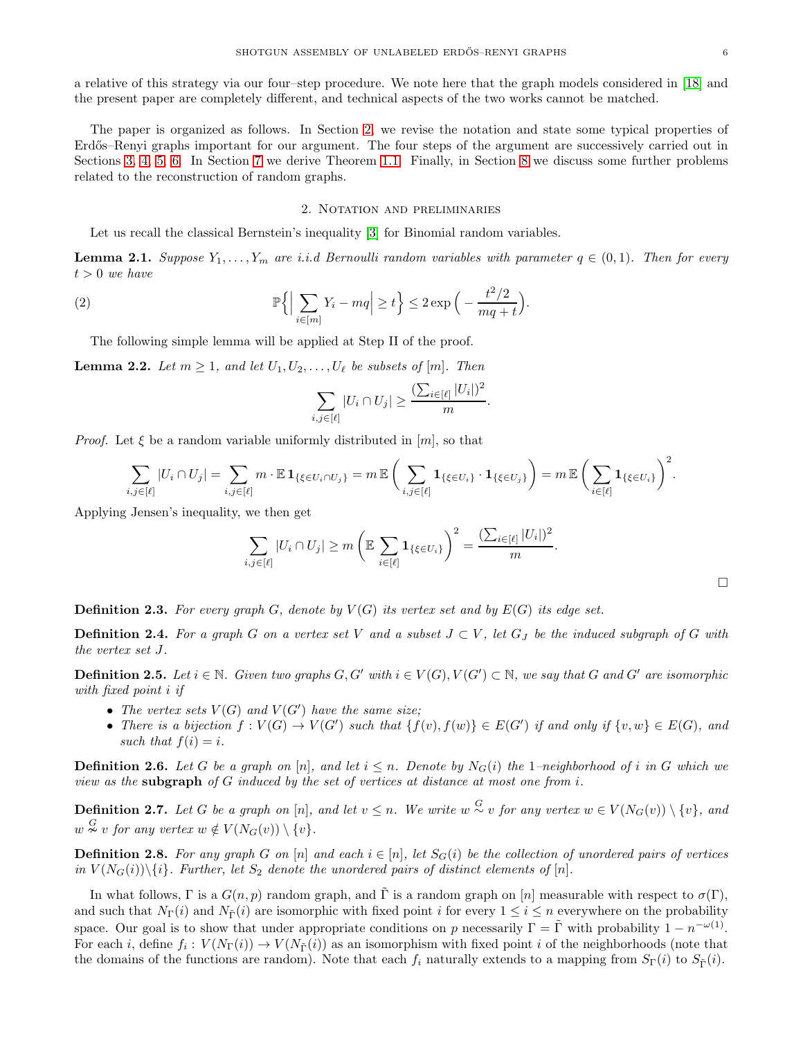a relative of this strategy via our four–step procedure. We note here that the graph models considered in [\[18\]](#page-28-9) and the present paper are completely different, and technical aspects of the two works cannot be matched.

The paper is organized as follows. In Section [2,](#page-5-0) we revise the notation and state some typical properties of Erdős–Renyi graphs important for our argument. The four steps of the argument are successively carried out in Sections [3,](#page-10-0) [4,](#page-14-0) [5,](#page-17-0) [6.](#page-19-0) In Section [7](#page-25-0) we derive Theorem [1.1.](#page-1-0) Finally, in Section [8](#page-27-0) we discuss some further problems related to the reconstruction of random graphs.

# 2. Notation and preliminaries

<span id="page-5-0"></span>Let us recall the classical Bernstein's inequality [\[3\]](#page-28-15) for Binomial random variables.

**Lemma 2.1.** Suppose  $Y_1, \ldots, Y_m$  are i.i.d Bernoulli random variables with parameter  $q \in (0,1)$ . Then for every  $t > 0$  we have

<span id="page-5-1"></span>(2) 
$$
\mathbb{P}\Big\{\Big|\sum_{i\in[m]}Y_i - mq\Big| \ge t\Big\} \le 2\exp\Big(-\frac{t^2/2}{mq+t}\Big).
$$

The following simple lemma will be applied at Step II of the proof.

<span id="page-5-2"></span>**Lemma 2.2.** Let  $m \geq 1$ , and let  $U_1, U_2, \ldots, U_\ell$  be subsets of  $[m]$ . Then

$$
\sum_{i,j\in[\ell]}|U_i\cap U_j|\geq \frac{(\sum_{i\in[\ell]}|U_i|)^2}{m}.
$$

*Proof.* Let  $\xi$  be a random variable uniformly distributed in [m], so that

$$
\sum_{i,j\in[\ell]}|U_i\cap U_j|=\sum_{i,j\in[\ell]}m\cdot\mathbb{E}\mathbf{1}_{\{\xi\in U_i\cap U_j\}}=m\,\mathbb{E}\bigg(\sum_{i,j\in[\ell]}\mathbf{1}_{\{\xi\in U_i\}}\cdot\mathbf{1}_{\{\xi\in U_j\}}\bigg)=m\,\mathbb{E}\bigg(\sum_{i\in[\ell]}\mathbf{1}_{\{\xi\in U_i\}}\bigg)^2.
$$

Applying Jensen's inequality, we then get

$$
\sum_{i,j\in[\ell]}|U_i\cap U_j|\geq m\left(\mathbb{E}\sum_{i\in[\ell]}\mathbf{1}_{\{\xi\in U_i\}}\right)^2=\frac{(\sum_{i\in[\ell]}|U_i|)^2}{m}.
$$

**Definition 2.3.** For every graph G, denote by  $V(G)$  its vertex set and by  $E(G)$  its edge set.

**Definition 2.4.** For a graph G on a vertex set V and a subset  $J \subset V$ , let  $G_J$  be the induced subgraph of G with the vertex set J.

**Definition 2.5.** Let  $i \in \mathbb{N}$ . Given two graphs  $G, G'$  with  $i \in V(G), V(G') \subset \mathbb{N}$ , we say that G and G' are isomorphic with fixed point i if

- The vertex sets  $V(G)$  and  $V(G')$  have the same size;
- There is a bijection  $f: V(G) \to V(G')$  such that  $\{f(v), f(w)\} \in E(G')$  if and only if  $\{v, w\} \in E(G)$ , and such that  $f(i) = i$ .

**Definition 2.6.** Let G be a graph on [n], and let  $i \leq n$ . Denote by  $N_G(i)$  the 1–neighborhood of i in G which we view as the subgraph of  $G$  induced by the set of vertices at distance at most one from i.

**Definition 2.7.** Let G be a graph on [n], and let  $v \leq n$ . We write  $w \stackrel{G}{\sim} v$  for any vertex  $w \in V(N_G(v)) \setminus \{v\}$ , and  $w \overset{G}{\sim} v$  for any vertex  $w \notin V(N_G(v)) \setminus \{v\}.$ 

**Definition 2.8.** For any graph G on [n] and each  $i \in [n]$ , let  $S_G(i)$  be the collection of unordered pairs of vertices in  $V(N_G(i))\backslash\{i\}$ . Further, let  $S_2$  denote the unordered pairs of distinct elements of  $[n]$ .

In what follows, Γ is a  $G(n, p)$  random graph, and Γ is a random graph on [n] measurable with respect to  $\sigma(\Gamma)$ , and such that  $N_{\Gamma}(i)$  and  $N_{\tilde{\Gamma}}(i)$  are isomorphic with fixed point i for every  $1 \leq i \leq n$  everywhere on the probability space. Our goal is to show that under appropriate conditions on p necessarily  $\Gamma = \tilde{\Gamma}$  with probability  $1 - n^{-\omega(1)}$ . For each *i*, define  $f_i: V(N_{\Gamma}(i)) \to V(N_{\tilde{\Gamma}}(i))$  as an isomorphism with fixed point *i* of the neighborhoods (note that the domains of the functions are random). Note that each  $f_i$  naturally extends to a mapping from  $S_{\Gamma}(i)$  to  $S_{\Gamma}(i)$ .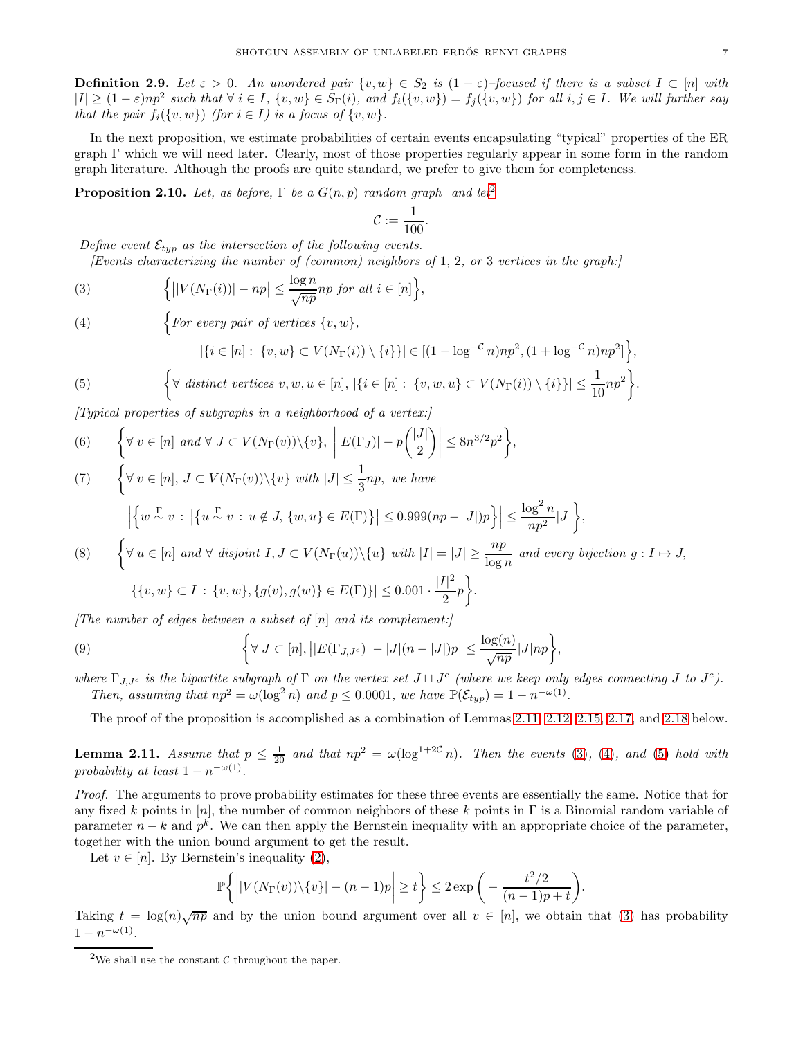<span id="page-6-9"></span>**Definition 2.9.** Let  $\varepsilon > 0$ . An unordered pair  $\{v, w\} \in S_2$  is  $(1 - \varepsilon)$ -focused if there is a subset  $I \subset [n]$  with  $|I| \geq (1 - \varepsilon)np^2$  such that  $\forall i \in I$ ,  $\{v, w\} \in S_{\Gamma}(i)$ , and  $f_i(\{v, w\}) = f_j(\{v, w\})$  for all  $i, j \in I$ . We will further say that the pair  $f_i({v, w})$  (for  $i \in I$ ) is a focus of  ${v, w}$ .

In the next proposition, we estimate probabilities of certain events encapsulating "typical" properties of the ER graph Γ which we will need later. Clearly, most of those properties regularly appear in some form in the random graph literature. Although the proofs are quite standard, we prefer to give them for completeness.

<span id="page-6-10"></span>**Proposition [2](#page-6-0).10.** Let, as before,  $\Gamma$  be a  $G(n, p)$  random graph and let<sup>2</sup>

$$
\mathcal{C}:=\frac{1}{100}.
$$

Define event  $\mathcal{E}_{typ}$  as the intersection of the following events.

*(Events characterizing the number of (common) neighbors of* 1, 2, or 3 vertices in the graph:

<span id="page-6-2"></span>(3) 
$$
\Big\{ \big| |V(N_{\Gamma}(i))| - np \big| \leq \frac{\log n}{\sqrt{np}} np \text{ for all } i \in [n] \Big\},\
$$

<span id="page-6-3"></span>(4)  $\left\{ \begin{aligned} For\ every\ pair\ of\ vertices\ \{v,w\}, \end{aligned} \right.$ 

<span id="page-6-4"></span>(5) 
$$
|\{i \in [n]: \{v, w\} \subset V(N_{\Gamma}(i)) \setminus \{i\}\}| \in [(1 - \log^{-c} n)np^2, (1 + \log^{-c} n)np^2]\},\
$$

$$
\left\{\forall \text{ distinct vertices } v, w, u \in [n], |\{i \in [n]: \{v, w, u\} \subset V(N_{\Gamma}(i)) \setminus \{i\}\}| \le \frac{1}{10}np^2\right\}.
$$

 $[Tupical properties of subgraphs in a neighborhood of a vertex.]$ 

<span id="page-6-5"></span>(6) 
$$
\left\{\forall v \in [n] \text{ and } \forall J \subset V(N_{\Gamma}(v)) \setminus \{v\}, \ \left| |E(\Gamma_J)| - p \binom{|J|}{2} \right| \leq 8n^{3/2}p^2 \right\},\right\}
$$

<span id="page-6-6"></span>(7) 
$$
\left\{\forall v \in [n], J \subset V(N_{\Gamma}(v)) \setminus \{v\} \text{ with } |J| \leq \frac{1}{3}np, \text{ we have} \left|\left\{w \stackrel{\Gamma}{\sim} v : |\{u \stackrel{\Gamma}{\sim} v : u \notin J, \{w, u\} \in E(\Gamma)\}| \leq 0.999(np - |J|)p\right\}\right| \leq \frac{\log^2 n}{np^2}|J|\right\},\
$$
\n(8) 
$$
\left\{\forall u \in [n] \text{ and } \forall \text{ disjoint } I, J \subset V(N_{\Gamma}(u)) \setminus \{u\} \text{ with } |I| = |J| \geq \frac{np}{\log n} \text{ and every bijection } g: I \mapsto J,
$$

<span id="page-6-7"></span>
$$
|\{\{v,w\} \subset I : \{v,w\}, \{g(v),g(w)\} \in E(\Gamma)\}| \le 0.001 \cdot \frac{|I|^2}{2}p\bigg\}.
$$

The number of edges between a subset of  $[n]$  and its complement:

<span id="page-6-8"></span>(9) 
$$
\left\{\forall J \subset [n], \left| |E(\Gamma_{J,J^c})| - |J|(n-|J|)p \right| \leq \frac{\log(n)}{\sqrt{np}} |J|np \right\},\right\}
$$

where  $\Gamma_{J,J^c}$  is the bipartite subgraph of  $\Gamma$  on the vertex set  $J \sqcup J^c$  (where we keep only edges connecting J to  $J^c$ ). Then, assuming that  $np^2 = \omega(\log^2 n)$  and  $p \le 0.0001$ , we have  $\mathbb{P}(\mathcal{E}_{typ}) = 1 - n^{-\omega(1)}$ .

The proof of the proposition is accomplished as a combination of Lemmas [2.11,](#page-6-1) [2.12,](#page-7-0) [2.15,](#page-8-0) [2.17,](#page-9-0) and [2.18](#page-9-1) below.

<span id="page-6-1"></span>**Lemma 2.11.** Assume that  $p \leq \frac{1}{20}$  and that  $np^2 = \omega(\log^{1+2\mathcal{C}} n)$ . Then the events [\(3\)](#page-6-2), [\(4\)](#page-6-3), and [\(5\)](#page-6-4) hold with probability at least  $1 - n^{-\omega(1)}$ .

Proof. The arguments to prove probability estimates for these three events are essentially the same. Notice that for any fixed k points in [n], the number of common neighbors of these k points in  $\Gamma$  is a Binomial random variable of parameter  $n - k$  and  $p^k$ . We can then apply the Bernstein inequality with an appropriate choice of the parameter, together with the union bound argument to get the result.

Let  $v \in [n]$ . By Bernstein's inequality [\(2\)](#page-5-1),

$$
\mathbb{P}\bigg\{\bigg| |V(N_{\Gamma}(v))\backslash\{v\}| - (n-1)p \bigg| \ge t\bigg\} \le 2\exp\bigg(-\frac{t^2/2}{(n-1)p + t}\bigg).
$$

Taking  $t = \log(n)\sqrt{np}$  and by the union bound argument over all  $v \in [n]$ , we obtain that [\(3\)](#page-6-2) has probability  $1 - n^{-\omega(1)}$ .

<span id="page-6-0"></span><sup>&</sup>lt;sup>2</sup>We shall use the constant  $\mathcal C$  throughout the paper.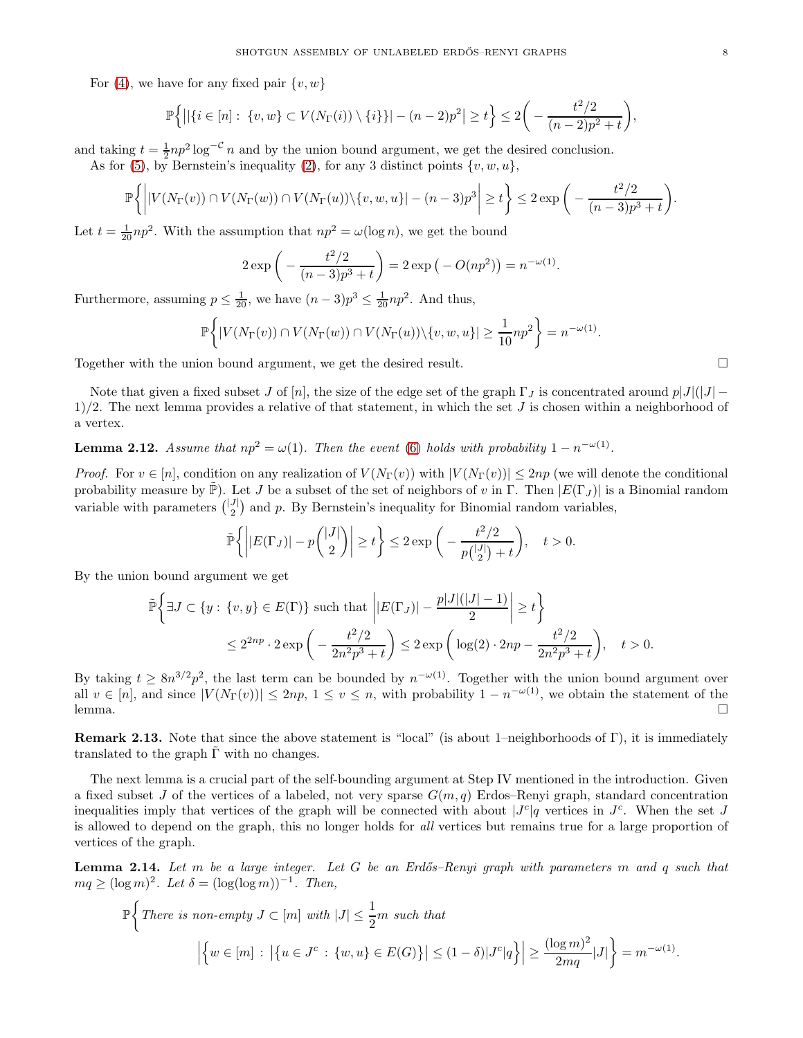For [\(4\)](#page-6-3), we have for any fixed pair  $\{v, w\}$ 

$$
\mathbb{P}\Big\{ \big|\big|\{i\in[n]: \{v,w\}\subset V(N_{\Gamma}(i))\setminus\{i\}\}\big|-(n-2)p^2\big|\geq t\Big\} \leq 2\bigg(-\frac{t^2/2}{(n-2)p^2+t}\bigg),
$$

and taking  $t = \frac{1}{2}np^2 \log^{-C} n$  and by the union bound argument, we get the desired conclusion. As for [\(5\)](#page-6-4), by Bernstein's inequality [\(2\)](#page-5-1), for any 3 distinct points  $\{v, w, u\}$ ,

$$
\mathbb{P}\bigg\{\bigg| |V(N_{\Gamma}(v)) \cap V(N_{\Gamma}(w)) \cap V(N_{\Gamma}(u)) \setminus \{v, w, u\}| - (n-3)p^3 \bigg| \ge t\bigg\} \le 2 \exp\bigg(-\frac{t^2/2}{(n-3)p^3 + t}\bigg)
$$

Let  $t = \frac{1}{20}np^2$ . With the assumption that  $np^2 = \omega(\log n)$ , we get the bound

$$
2 \exp\left(-\frac{t^2/2}{(n-3)p^3+t}\right) = 2 \exp(-O(np^2)) = n^{-\omega(1)}.
$$

Furthermore, assuming  $p \leq \frac{1}{20}$ , we have  $(n-3)p^3 \leq \frac{1}{20}np^2$ . And thus,

$$
\mathbb{P}\bigg\{|V(N_{\Gamma}(v))\cap V(N_{\Gamma}(w))\cap V(N_{\Gamma}(u))\setminus\{v,w,u\}|\geq \frac{1}{10}np^2\bigg\}=n^{-\omega(1)}.
$$

Together with the union bound argument, we get the desired result.

Note that given a fixed subset J of [n], the size of the edge set of the graph  $\Gamma_J$  is concentrated around  $p|J|(|J| 1/2$ . The next lemma provides a relative of that statement, in which the set J is chosen within a neighborhood of a vertex.

# <span id="page-7-0"></span>**Lemma 2.12.** Assume that  $np^2 = \omega(1)$ . Then the event [\(6\)](#page-6-5) holds with probability  $1 - n^{-\omega(1)}$ .

*Proof.* For  $v \in [n]$ , condition on any realization of  $V(N_{\Gamma}(v))$  with  $|V(N_{\Gamma}(v))| \leq 2np$  (we will denote the conditional probability measure by  $\tilde{\mathbb{P}}$ ). Let J be a subset of the set of neighbors of v in Γ. Then  $|E(\Gamma_J)|$  is a Binomial random variable with parameters  $\binom{|J|}{2}$  and p. By Bernstein's inequality for Binomial random variables,

$$
\tilde{\mathbb{P}}\left\{\left||E(\Gamma_J)| - p\binom{|J|}{2}\right| \ge t\right\} \le 2 \exp\bigg(-\frac{t^2/2}{p\binom{|J|}{2} + t}\bigg), \quad t > 0.
$$

By the union bound argument we get

$$
\tilde{\mathbb{P}}\left\{\exists J \subset \{y : \{v, y\} \in E(\Gamma)\} \text{ such that } \left| |E(\Gamma_J)| - \frac{p|J|(|J| - 1)}{2} \right| \ge t \right\}
$$
\n
$$
\le 2^{2np} \cdot 2 \exp\left(-\frac{t^2/2}{2n^2p^3 + t}\right) \le 2 \exp\left(\log(2) \cdot 2np - \frac{t^2/2}{2n^2p^3 + t}\right), \quad t > 0.
$$

By taking  $t \geq 8n^{3/2}p^2$ , the last term can be bounded by  $n^{-\omega(1)}$ . Together with the union bound argument over all  $v \in [n]$ , and since  $|V(N_{\Gamma}(v))| \leq 2np$ ,  $1 \leq v \leq n$ , with probability  $1 - n^{-\omega(1)}$ , we obtain the statement of the lemma.  $\Box$ 

Remark 2.13. Note that since the above statement is "local" (is about 1–neighborhoods of Γ), it is immediately translated to the graph  $\Gamma$  with no changes.

The next lemma is a crucial part of the self-bounding argument at Step IV mentioned in the introduction. Given a fixed subset J of the vertices of a labeled, not very sparse  $G(m, q)$  Erdos–Renyi graph, standard concentration inequalities imply that vertices of the graph will be connected with about  $|J^c|q$  vertices in  $J^c$ . When the set J is allowed to depend on the graph, this no longer holds for all vertices but remains true for a large proportion of vertices of the graph.

<span id="page-7-1"></span>**Lemma 2.14.** Let m be a large integer. Let G be an Erdős–Renyi graph with parameters m and q such that  $mq \geq (\log m)^2$ . Let  $\delta = (\log(\log m))^{-1}$ . Then,

$$
\mathbb{P}\bigg\{\text{There is non-empty }J\subset[m] \text{ with } |J|\leq \frac{1}{2}m \text{ such that}
$$

$$
\bigg|\bigg\{w\in[m]:\big|\big\{u\in J^c:\{w,u\}\in E(G)\big\}\big|\leq (1-\delta)|J^c|q\big\}\bigg|\geq \frac{(\log m)^2}{2mq}|J|\bigg\}=m^{-\omega(1)}.
$$

.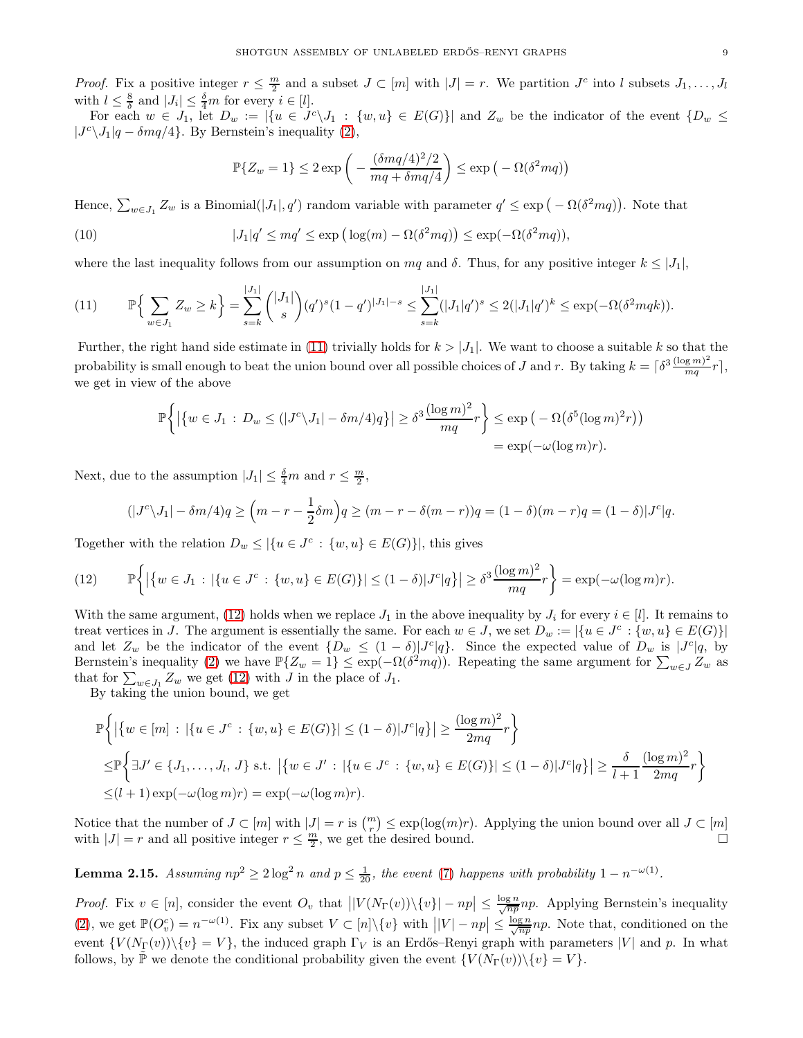*Proof.* Fix a positive integer  $r \leq \frac{m}{2}$  and a subset  $J \subset [m]$  with  $|J| = r$ . We partition  $J^c$  into l subsets  $J_1, \ldots, J_l$ with  $l \leq \frac{8}{\delta}$  and  $|J_i| \leq \frac{\delta}{4}m$  for every  $i \in [l]$ .

For each  $w \in J_1$ , let  $D_w := |\{u \in J^c \setminus J_1 : \{w, u\} \in E(G)\}|$  and  $Z_w$  be the indicator of the event  $\{D_w \leq$  $|J^c \setminus J_1|q - \delta mq/4\}$ . By Bernstein's inequality [\(2\)](#page-5-1),

$$
\mathbb{P}\{Z_w = 1\} \le 2 \exp\left(-\frac{(\delta mq/4)^2/2}{mq + \delta mq/4}\right) \le \exp\left(-\Omega(\delta^2 mq)\right)
$$

Hence,  $\sum_{w\in J_1} Z_w$  is a Binomial( $|J_1|, q'$ ) random variable with parameter  $q' \leq \exp(-\Omega(\delta^2mq))$ . Note that

(10) 
$$
|J_1|q' \le mq' \le \exp\left(\log(m) - \Omega(\delta^2mq)\right) \le \exp(-\Omega(\delta^2mq)),
$$

where the last inequality follows from our assumption on  $mq$  and  $\delta$ . Thus, for any positive integer  $k \leq |J_1|$ ,

<span id="page-8-1"></span>
$$
(11) \qquad \mathbb{P}\Big\{\sum_{w\in J_1}Z_w\geq k\Big\}=\sum_{s=k}^{|J_1|}\binom{|J_1|}{s}(q')^s(1-q')^{|J_1|-s}\leq \sum_{s=k}^{|J_1|}|J_1|q')^s\leq 2(|J_1|q')^k\leq \exp(-\Omega(\delta^2mqk)).
$$

Further, the right hand side estimate in [\(11\)](#page-8-1) trivially holds for  $k > |J_1|$ . We want to choose a suitable k so that the probability is small enough to beat the union bound over all possible choices of J and r. By taking  $k = \lceil \delta^3 \frac{(\log m)^2}{mq} \rceil$  $\frac{g(m)}{mq}r,$ we get in view of the above

$$
\mathbb{P}\bigg\{\big|\big\{w\in J_1\,:\,D_w\leq (|J^c\setminus J_1|-\delta m/4)q\big\}\big|\geq \delta^3\frac{(\log m)^2}{mq}r\bigg\}\leq \exp\big(-\Omega\big(\delta^5(\log m)^2r\big)\big)\\= \exp(-\omega(\log m)r).
$$

Next, due to the assumption  $|J_1| \leq \frac{\delta}{4}m$  and  $r \leq \frac{m}{2}$ ,

$$
(|J^c \setminus J_1| - \delta m/4)q \ge (m - r - \frac{1}{2}\delta m)q \ge (m - r - \delta(m - r))q = (1 - \delta)(m - r)q = (1 - \delta)|J^c|q.
$$

Together with the relation  $D_w \leq |\{u \in J^c : \{w, u\} \in E(G)\}|$ , this gives

<span id="page-8-2"></span>
$$
(12) \qquad \mathbb{P}\bigg\{\big|\{w \in J_1\,:\,|\{u \in J^c\,:\,\{w,u\} \in E(G)\}|\leq (1-\delta)|J^c|q\}\big| \geq \delta^3 \frac{(\log m)^2}{mq}r\bigg\} = \exp(-\omega(\log m)r).
$$

With the same argument, [\(12\)](#page-8-2) holds when we replace  $J_1$  in the above inequality by  $J_i$  for every  $i \in [l]$ . It remains to treat vertices in J. The argument is essentially the same. For each  $w \in J$ , we set  $D_w := |\{u \in J^c : \{w, u\} \in E(G)\}|$ and let  $Z_w$  be the indicator of the event  $\{D_w \leq (1-\delta) |J^c|q\}$ . Since the expected value of  $D_w$  is  $|J^c|q$ , by Bernstein's inequality [\(2\)](#page-5-1) we have  $\mathbb{P}\{Z_w = 1\} \leq \exp(-\Omega(\delta^2 mq))$ . Repeating the same argument for  $\sum_{w \in J} Z_w$  as that for  $\sum_{w \in J_1} Z_w$  we get [\(12\)](#page-8-2) with J in the place of  $J_1$ .

By taking the union bound, we get

$$
\mathbb{P}\left\{ \left| \{w \in [m] : |\{u \in J^c : \{w, u\} \in E(G)\}| \le (1 - \delta)|J^c|q \} \right| \ge \frac{(\log m)^2}{2mq}r \right\} \le \mathbb{P}\left\{ \exists J' \in \{J_1, \dots, J_l, J\} \text{ s.t. } |\{w \in J' : |\{u \in J^c : \{w, u\} \in E(G)\}| \le (1 - \delta)|J^c|q \} | \ge \frac{\delta}{l+1} \frac{(\log m)^2}{2mq}r \right\} \le (l+1)\exp(-\omega(\log m)r) = \exp(-\omega(\log m)r).
$$

Notice that the number of  $J \subset [m]$  with  $|J| = r$  is  $\binom{m}{r} \leq \exp(\log(m)r)$ . Applying the union bound over all  $J \subset [m]$ with  $|J| = r$  and all positive integer  $r \leq \frac{m}{2}$ , we get the desired bound.

<span id="page-8-0"></span>**Lemma 2.15.** Assuming  $np^2 \geq 2 \log^2 n$  and  $p \leq \frac{1}{20}$ , the event [\(7\)](#page-6-6) happens with probability  $1 - n^{-\omega(1)}$ .

*Proof.* Fix  $v \in [n]$ , consider the event  $O_v$  that  $||V(N_{\Gamma}(v)) \setminus \{v\}| - np| \leq \frac{\log n}{\sqrt{np}} np$ . Applying Bernstein's inequality [\(2\)](#page-5-1), we get  $\mathbb{P}(O_v^c) = n^{-\omega(1)}$ . Fix any subset  $V \subset [n] \setminus \{v\}$  with  $||V| - np| \leq \frac{\log n}{\sqrt{np}} np$ . Note that, conditioned on the event  $\{V(N_{\Gamma}(v))\setminus\{v\}=V\}$ , the induced graph  $\Gamma_V$  is an Erdős–Renyi graph with parameters  $|V|$  and p. In what follows, by  $\mathbb{P}$  we denote the conditional probability given the event  $\{V(N_{\Gamma}(v))\setminus\{v\}=V\}$ .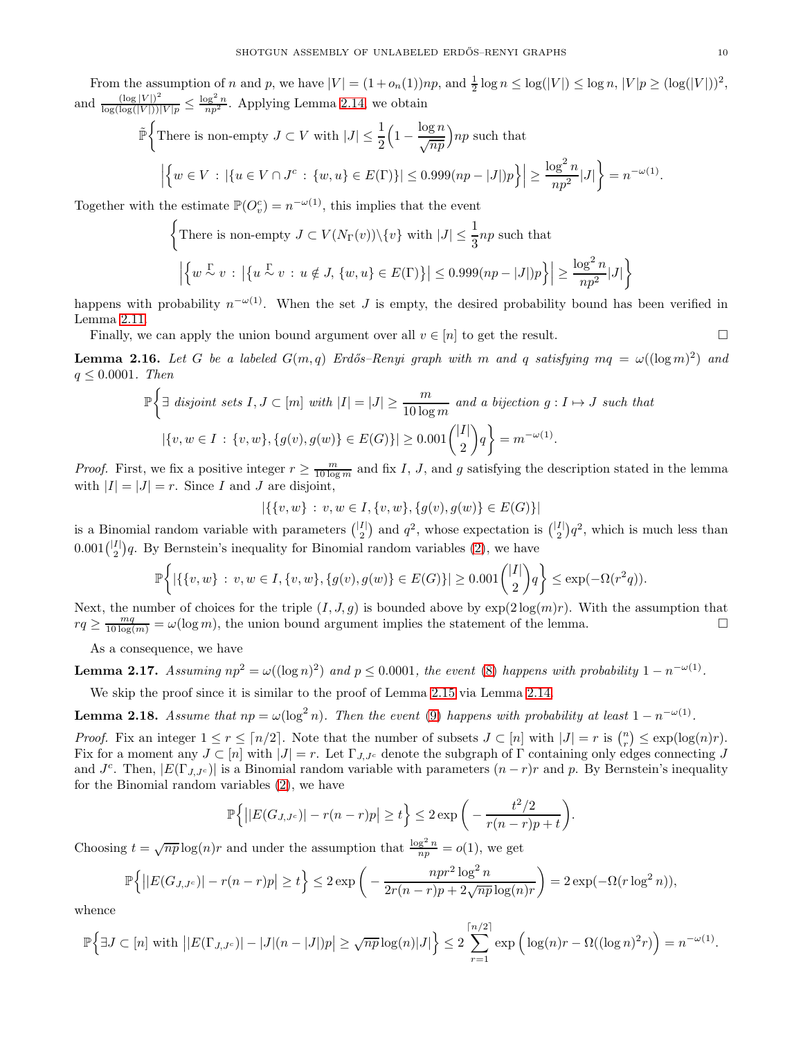From the assumption of n and p, we have  $|V| = (1 + o_n(1))np$ , and  $\frac{1}{2} \log n \leq \log(|V|) \leq \log n$ ,  $|V|p \geq (\log(|V|))^2$ , and  $\frac{(\log |V|)^2}{\log(\log(|V|))}$  $\frac{(\log |V|)^2}{(\log(|V|))|V|p} \le \frac{\log^2 n}{np^2}$ . Applying Lemma [2.14,](#page-7-1) we obtain

$$
\tilde{\mathbb{P}}\bigg\{\text{There is non-empty }J\subset V\text{ with }|J|\leq \frac{1}{2}\Big(1-\frac{\log n}{\sqrt{np}}\Big)np\text{ such that}\\ \bigg|\Big\{w\in V\,:\,|\{u\in V\cap J^c\,:\,\{w,u\}\in E(\Gamma)\}|\leq 0.999(np-|J|)p\Big\}\bigg|\geq \frac{\log^2 n}{np^2}|J|\bigg\}=n^{-\omega(1)}.
$$

Together with the estimate  $\mathbb{P}(O_v^c) = n^{-\omega(1)}$ , this implies that the event

$$
\left\{\begin{aligned}\n\text{There is non-empty } J \subset V(N_{\Gamma}(v)) \setminus \{v\} \text{ with } |J| &\leq \frac{1}{3}np \text{ such that} \\
\left| \left\{ w \stackrel{\Gamma}{\sim} v : \left| \{u \stackrel{\Gamma}{\sim} v : u \notin J, \{w, u\} \in E(\Gamma) \} \right| \leq 0.999(np - |J|)p \right\} \right| &\geq \frac{\log^2 n}{np^2} |J| \right\}\n\end{aligned}
$$

happens with probability  $n^{-\omega(1)}$ . When the set J is empty, the desired probability bound has been verified in Lemma [2.11.](#page-6-1)

Finally, we can apply the union bound argument over all  $v \in [n]$  to get the result.

**Lemma 2.16.** Let G be a labeled  $G(m,q)$  Erdős–Renyi graph with m and q satisfying  $mq = \omega((\log m)^2)$  and  $q \leq 0.0001$ . Then

$$
\mathbb{P}\left\{\exists \text{ disjoint sets } I, J \subset [m] \text{ with } |I| = |J| \ge \frac{m}{10\log m} \text{ and a bijection } g: I \mapsto J \text{ such that}
$$

$$
|\{v, w \in I : \{v, w\}, \{g(v), g(w)\} \in E(G)\}| \ge 0.001 \binom{|I|}{2} q \right\} = m^{-\omega(1)}.
$$

*Proof.* First, we fix a positive integer  $r \ge \frac{m}{10 \log m}$  and fix I, J, and g satisfying the description stated in the lemma with  $|I| = |J| = r$ . Since I and J are disjoint,

$$
|\{\{v,w\}\,:\,v,w\in I,\{v,w\},\{g(v),g(w)\}\in E(G)\}|
$$

is a Binomial random variable with parameters  $\binom{|I|}{2}$  and  $q^2$ , whose expectation is  $\binom{|I|}{2}q^2$ , which is much less than  $0.001\binom{|I|}{2}q$ . By Bernstein's inequality for Binomial random variables [\(2\)](#page-5-1), we have

$$
\mathbb{P}\bigg\{|\{\{v,w\}\,:\,v,w\in I,\{v,w\},\{g(v),g(w)\}\in E(G)\}|\geq 0.001\binom{|I|}{2}q\bigg\}\leq \exp(-\Omega(r^2q)).
$$

Next, the number of choices for the triple  $(I, J, g)$  is bounded above by  $\exp(2\log(m)r)$ . With the assumption that  $rq \ge \frac{mq}{10 \log(m)} = \omega(\log m)$ , the union bound argument implies the statement of the lemma.

As a consequence, we have

<span id="page-9-0"></span>**Lemma 2.17.** Assuming  $np^2 = \omega((\log n)^2)$  and  $p \le 0.0001$ , the event [\(8\)](#page-6-7) happens with probability  $1 - n^{-\omega(1)}$ .

We skip the proof since it is similar to the proof of Lemma [2.15](#page-8-0) via Lemma [2.14.](#page-7-1)

<span id="page-9-1"></span>**Lemma 2.18.** Assume that  $np = \omega(\log^2 n)$ . Then the event [\(9\)](#page-6-8) happens with probability at least  $1 - n^{-\omega(1)}$ .

*Proof.* Fix an integer  $1 \le r \le \lceil n/2 \rceil$ . Note that the number of subsets  $J \subset [n]$  with  $|J| = r$  is  $\binom{n}{r} \le \exp(\log(n)r)$ . Fix for a moment any  $J \subset [n]$  with  $|J| = r$ . Let  $\Gamma_{J, J^c}$  denote the subgraph of  $\Gamma$  containing only edges connecting  $J$ and  $J^c$ . Then,  $|E(\Gamma_{J,J^c})|$  is a Binomial random variable with parameters  $(n-r)r$  and p. By Bernstein's inequality for the Binomial random variables [\(2\)](#page-5-1), we have

$$
\mathbb{P}\Big\{\big||E(G_{J,J^c})|-r(n-r)p\big|\geq t\Big\}\leq 2\exp\bigg(-\frac{t^2/2}{r(n-r)p+t}\bigg).
$$

Choosing  $t = \sqrt{np} \log(n) r$  and under the assumption that  $\frac{\log^2 n}{np} = o(1)$ , we get

$$
\mathbb{P}\left\{\left|\left|E(G_{J,J^c})\right|-r(n-r)p\right|\geq t\right\}\leq 2\exp\left(-\frac{npr^2\log^2 n}{2r(n-r)p+2\sqrt{np}\log(n)r}\right)=2\exp(-\Omega(r\log^2 n)),
$$

whence

$$
\mathbb{P}\Big\{\exists J\subset[n] \text{ with } \left||E(\Gamma_{J,J^c})|-|J|(n-|J|)p\right|\geq \sqrt{np}\log(n)|J|\Big\}\leq 2\sum_{r=1}^{\lceil n/2\rceil} \exp\Big(\log(n)r-\Omega((\log n)^2r)\Big)=n^{-\omega(1)}.
$$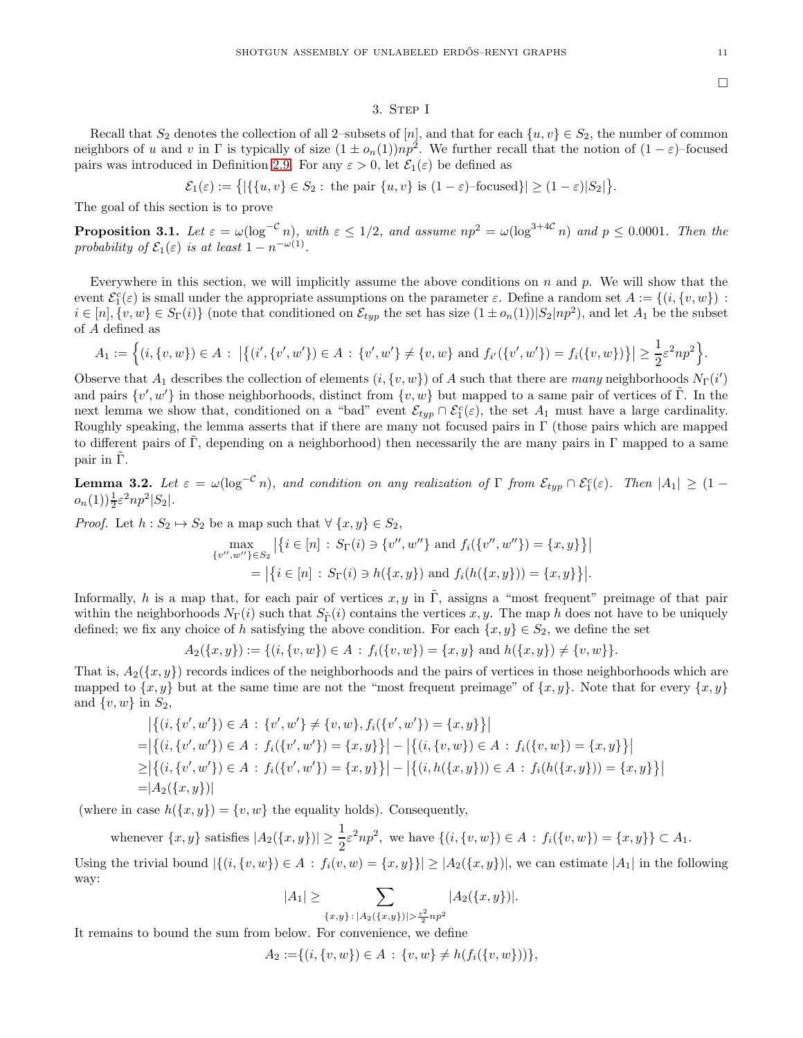### 3. STEP I

<span id="page-10-0"></span>Recall that  $S_2$  denotes the collection of all 2–subsets of [n], and that for each  $\{u, v\} \in S_2$ , the number of common neighbors of u and v in  $\Gamma$  is typically of size  $(1 \pm o_n(1))np^2$ . We further recall that the notion of  $(1 - \varepsilon)$ -focused pairs was introduced in Definition [2.9.](#page-6-9) For any  $\varepsilon > 0$ , let  $\mathcal{E}_1(\varepsilon)$  be defined as

$$
\mathcal{E}_1(\varepsilon) := \left\{ |\{\{u, v\} \in S_2 : \text{ the pair } \{u, v\} \text{ is } (1 - \varepsilon) \text{-focused}\}| \ge (1 - \varepsilon)|S_2|\right\}.
$$

The goal of this section is to prove

<span id="page-10-2"></span>**Proposition 3.1.** Let  $\varepsilon = \omega(\log^{-c} n)$ , with  $\varepsilon \leq 1/2$ , and assume  $np^2 = \omega(\log^{3+4C} n)$  and  $p \leq 0.0001$ . Then the probability of  $\mathcal{E}_1(\varepsilon)$  is at least  $1 - n^{-\omega(1)}$ .

Everywhere in this section, we will implicitly assume the above conditions on  $n$  and  $p$ . We will show that the event  $\mathcal{E}_1^c(\varepsilon)$  is small under the appropriate assumptions on the parameter  $\varepsilon$ . Define a random set  $A := \{(i, \{v, w\}) :$  $i \in [n], \{v, w\} \in S_{\Gamma}(i) \}$  (note that conditioned on  $\mathcal{E}_{typ}$  the set has size  $(1 \pm o_n(1))|S_2|np^2$ ), and let  $A_1$  be the subset of A defined as

$$
A_1 := \Big\{ (i, \{v, w\}) \in A \, : \, \big| \big\{ (i', \{v', w'\}) \in A \, : \, \{v', w'\} \neq \{v, w\} \text{ and } f_{i'}(\{v', w'\}) = f_i(\{v, w\}) \big\} \big| \geq \frac{1}{2} \varepsilon^2 np^2 \Big\}.
$$

Observe that  $A_1$  describes the collection of elements  $(i, \{v, w\})$  of A such that there are many neighborhoods  $N_{\Gamma}(i')$ and pairs  $\{v', w'\}$  in those neighborhoods, distinct from  $\{v, w\}$  but mapped to a same pair of vertices of  $\tilde{\Gamma}$ . In the next lemma we show that, conditioned on a "bad" event  $\mathcal{E}_{typ} \cap \mathcal{E}_1^c(\varepsilon)$ , the set  $A_1$  must have a large cardinality. Roughly speaking, the lemma asserts that if there are many not focused pairs in  $\Gamma$  (those pairs which are mapped to different pairs of Γ, depending on a neighborhood) then necessarily the are many pairs in Γ mapped to a same pair in  $\tilde{\Gamma}$ .

<span id="page-10-1"></span>**Lemma 3.2.** Let  $\varepsilon = \omega(\log^{-c} n)$ , and condition on any realization of  $\Gamma$  from  $\mathcal{E}_{typ} \cap \mathcal{E}_1^c(\varepsilon)$ . Then  $|A_1| \geq (1 - \varepsilon)^2$  $o_n(1))\frac{1}{2}\varepsilon^2np^2|S_2|.$ 

*Proof.* Let  $h : S_2 \to S_2$  be a map such that  $\forall \{x, y\} \in S_2$ ,

$$
\max_{\{v'',w''\}\in S_2} |\{i \in [n] : S_{\Gamma}(i) \ni \{v'',w''\} \text{ and } f_i(\{v'',w''\}) = \{x,y\}\}|
$$
  
=  $|\{i \in [n] : S_{\Gamma}(i) \ni h(\{x,y\}) \text{ and } f_i(h(\{x,y\})) = \{x,y\}\}|.$ 

Informally, h is a map that, for each pair of vertices  $x, y$  in  $\tilde{\Gamma}$ , assigns a "most frequent" preimage of that pair within the neighborhoods  $N_{\Gamma}(i)$  such that  $S_{\tilde{\Gamma}}(i)$  contains the vertices x, y. The map h does not have to be uniquely defined; we fix any choice of h satisfying the above condition. For each  $\{x, y\} \in S_2$ , we define the set

$$
A_2({x, y}) := \{(i, {v, w}) \in A : f_i({v, w}) = {x, y} \text{ and } h({x, y}) \neq {v, w}\}.
$$

That is,  $A_2({x, y})$  records indices of the neighborhoods and the pairs of vertices in those neighborhoods which are mapped to  $\{x, y\}$  but at the same time are not the "most frequent preimage" of  $\{x, y\}$ . Note that for every  $\{x, y\}$ and  $\{v, w\}$  in  $S_2$ ,

$$
\begin{aligned}\n\left| \left\{ (i, \{v', w'\}) \in A : \{v', w'\} \neq \{v, w\}, f_i(\{v', w'\}) = \{x, y\} \right\} \right| \\
= \left| \left\{ (i, \{v', w'\}) \in A : f_i(\{v', w'\}) = \{x, y\} \right\} \right| - \left| \left\{ (i, \{v, w\}) \in A : f_i(\{v, w\}) = \{x, y\} \right\} \right| \\
\geq \left| \left\{ (i, \{v', w'\}) \in A : f_i(\{v', w'\}) = \{x, y\} \right\} \right| - \left| \left\{ (i, h(\{x, y\})) \in A : f_i(h(\{x, y\})) = \{x, y\} \right\} \right| \\
= \left| A_2(\{x, y\}) \right|\n\end{aligned}
$$

(where in case  $h({x, y}) = {v, w}$  the equality holds). Consequently,

whenever  $\{x, y\}$  satisfies  $|A_2(\{x, y\})| \geq \frac{1}{2} \varepsilon^2 np^2$ , we have  $\{(i, \{v, w\}) \in A : f_i(\{v, w\}) = \{x, y\} \subset A_1$ .

Using the trivial bound  $|\{(i, \{v, w\}) \in A : f_i(v, w) = \{x, y\}\}| \geq |A_2(\{x, y\})|$ , we can estimate  $|A_1|$  in the following way:

$$
|A_1| \geq \sum_{\{x,y\} \colon |A_2(\{x,y\})| > \frac{\varepsilon^2}{2} np^2} |A_2(\{x,y\})|.
$$

It remains to bound the sum from below. For convenience, we define

$$
A_2 := \{(i, \{v, w\}) \in A : \{v, w\} \neq h(f_i(\{v, w\}))\},\
$$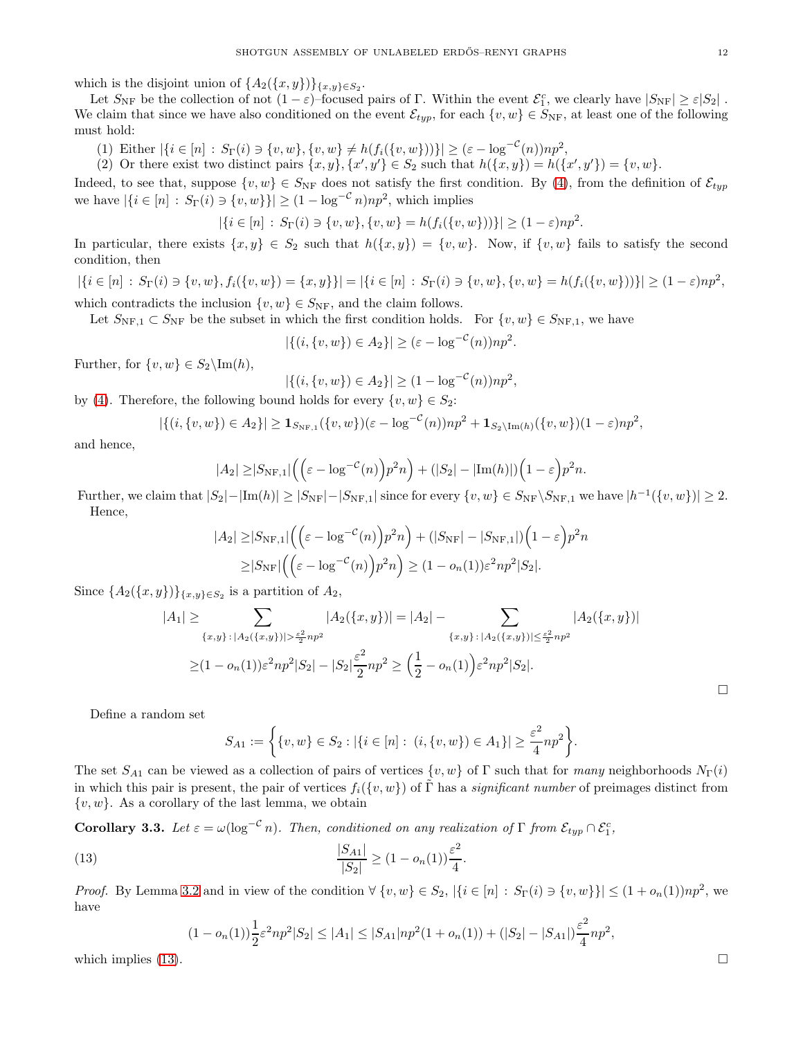which is the disjoint union of  $\{A_2(\lbrace x,y \rbrace)\}_{\lbrace x,y\rbrace\in S_2}$ .

Let  $S_{\rm NF}$  be the collection of not  $(1-\varepsilon)$ -focused pairs of Γ. Within the event  $\mathcal{E}_1^c$ , we clearly have  $|S_{\rm NF}| \geq \varepsilon |S_2|$ . We claim that since we have also conditioned on the event  $\mathcal{E}_{typ}$ , for each  $\{v, w\} \in S_{\rm NF}$ , at least one of the following must hold:

(1) Either  $|\{i \in [n] : S_{\Gamma}(i) \ni \{v, w\}, \{v, w\} \neq h(f_i(\{v, w\}))\}| \geq (\varepsilon - \log^{-c}(n))np^2$ ,

(2) Or there exist two distinct pairs  $\{x, y\}$ ,  $\{x', y'\} \in S_2$  such that  $h(\{x, y\}) = h(\{x', y'\}) = \{v, w\}$ .

Indeed, to see that, suppose  $\{v, w\} \in S_{\text{NF}}$  does not satisfy the first condition. By [\(4\)](#page-6-3), from the definition of  $\mathcal{E}_{typ}$ we have  $|\{i \in [n] : S_{\Gamma}(i) \ni \{v, w\}\}| \ge (1 - \log^{-C} n)np^2$ , which implies

$$
|\{i \in [n] : S_{\Gamma}(i) \ni \{v, w\}, \{v, w\} = h(f_i(\{v, w\}))\}| \ge (1 - \varepsilon)np^2.
$$

In particular, there exists  $\{x, y\} \in S_2$  such that  $h(\{x, y\}) = \{v, w\}$ . Now, if  $\{v, w\}$  fails to satisfy the second condition, then

$$
|\{i \in [n] : S_{\Gamma}(i) \ni \{v, w\}, f_i(\{v, w\}) = \{x, y\}\}| = |\{i \in [n] : S_{\Gamma}(i) \ni \{v, w\}, \{v, w\} = h(f_i(\{v, w\}))\}| \ge (1 - \varepsilon)np^2,
$$
  
which contradicts the inclusion  $\{v, w\} \in S_{\text{NF}}$ , and the claim follows.

Let  $S_{\text{NF},1} \subset S_{\text{NF}}$  be the subset in which the first condition holds. For  $\{v, w\} \in S_{\text{NF},1}$ , we have

$$
|\{(i,\{v,w\})\in A_2\}|\geq (\varepsilon-\log^{-\mathcal{C}}(n))np^2.
$$

Further, for  $\{v, w\} \in S_2 \setminus \text{Im}(h)$ ,

$$
|\{(i,\{v,w\})\in A_2\}|\geq (1-\log^{-\mathcal{C}}(n))np^2,
$$

by [\(4\)](#page-6-3). Therefore, the following bound holds for every  $\{v, w\} \in S_2$ :

$$
|\{(i,\{v,w\}) \in A_2\}| \ge \mathbf{1}_{S_{\mathrm{NF},1}}(\{v,w\})(\varepsilon - \log^{-c}(n))np^2 + \mathbf{1}_{S_2 \setminus \mathrm{Im}(h)}(\{v,w\})(1-\varepsilon)np^2,
$$

and hence,

$$
|A_2| \geq |S_{\mathrm{NF},1}| \left( \left( \varepsilon - \log^{-c}(n) \right) p^2 n \right) + (|S_2| - |\mathrm{Im}(h)|) \left( 1 - \varepsilon \right) p^2 n.
$$

Further, we claim that  $|S_2| - |\text{Im}(h)| \ge |S_{\text{NF}}| - |S_{\text{NF},1}|$  since for every  $\{v, w\} \in S_{\text{NF}} \setminus S_{\text{NF},1}$  we have  $|h^{-1}(\{v, w\})| \ge 2$ . Hence,

$$
|A_2| \geq |S_{\rm NF,1}| \left( \left( \varepsilon - \log^{-c}(n) \right) p^2 n \right) + (|S_{\rm NF}| - |S_{\rm NF,1}|) \left( 1 - \varepsilon \right) p^2 n
$$
  
 
$$
\geq |S_{\rm NF}| \left( \left( \varepsilon - \log^{-c}(n) \right) p^2 n \right) \geq (1 - o_n(1)) \varepsilon^2 n p^2 |S_2|.
$$

Since  $\{A_2({x,y})\}\$ <sub> ${x,y}\in S_2$ </sub> is a partition of  $A_2$ ,

$$
|A_1| \geq \sum_{\{x,y\} \,:\, |A_2(\{x,y\})| > \frac{\varepsilon^2}{2} np^2} |A_2(\{x,y\})| = |A_2| - \sum_{\{x,y\} \,:\, |A_2(\{x,y\})| \leq \frac{\varepsilon^2}{2} np^2} |A_2(\{x,y\})|
$$

$$
\geq (1 - o_n(1))\varepsilon^2 np^2 |S_2| - |S_2|\frac{\varepsilon^2}{2} np^2 \geq (\frac{1}{2} - o_n(1))\varepsilon^2 np^2 |S_2|.
$$

Define a random set

$$
S_{A1} := \left\{ \{v, w\} \in S_2 : |\{i \in [n]: (i, \{v, w\}) \in A_1\}| \ge \frac{\varepsilon^2}{4} np^2 \right\}.
$$

The set  $S_{A1}$  can be viewed as a collection of pairs of vertices  $\{v, w\}$  of  $\Gamma$  such that for many neighborhoods  $N_{\Gamma}(i)$ in which this pair is present, the pair of vertices  $f_i({v,w})$  of  $\tilde{\Gamma}$  has a *significant number* of preimages distinct from  $\{v, w\}$ . As a corollary of the last lemma, we obtain

<span id="page-11-1"></span>**Corollary 3.3.** Let  $\varepsilon = \omega(\log^{-C} n)$ . Then, conditioned on any realization of  $\Gamma$  from  $\mathcal{E}_{typ} \cap \mathcal{E}_1^c$ ,

<span id="page-11-0"></span>(13) 
$$
\frac{|S_{A1}|}{|S_2|} \ge (1 - o_n(1)) \frac{\varepsilon^2}{4}.
$$

*Proof.* By Lemma [3.2](#page-10-1) and in view of the condition  $\forall \{v, w\} \in S_2$ ,  $|\{i \in [n] : S_{\Gamma}(i) \ni \{v, w\}\}| \leq (1 + o_n(1))np^2$ , we have

$$
(1 - o_n(1))\frac{1}{2}\varepsilon^2 np^2|S_2| \le |A_1| \le |S_{A1}|np^2(1 + o_n(1)) + (|S_2| - |S_{A1}|)\frac{\varepsilon^2}{4}np^2,
$$
  
which implies (13).

 $\Box$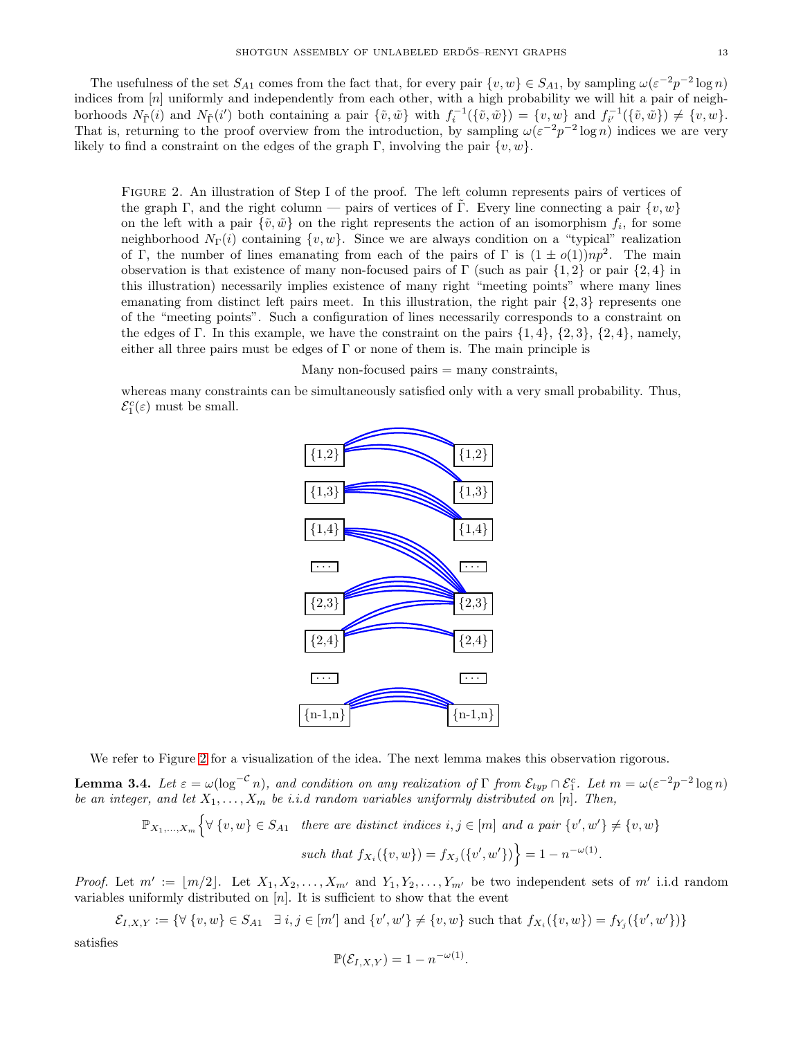The usefulness of the set  $S_{A1}$  comes from the fact that, for every pair  $\{v, w\} \in S_{A1}$ , by sampling  $\omega(\varepsilon^{-2}p^{-2}\log n)$ indices from [n] uniformly and independently from each other, with a high probability we will hit a pair of neighborhoods  $N_{\tilde{\Gamma}}(i)$  and  $N_{\tilde{\Gamma}}(i')$  both containing a pair  $\{\tilde{v}, \tilde{w}\}\$  with  $f_i^{-1}(\{\tilde{v}, \tilde{w}\}) = \{v, w\}$  and  $f_{i'}^{-1}(\{\tilde{v}, \tilde{w}\}) \neq \{v, w\}$ . That is, returning to the proof overview from the introduction, by sampling  $\omega(\varepsilon^{-2}p^{-2}\log n)$  indices we are very likely to find a constraint on the edges of the graph Γ, involving the pair  $\{v, w\}$ .

Figure 2. An illustration of Step I of the proof. The left column represents pairs of vertices of the graph Γ, and the right column — pairs of vertices of Γ. Every line connecting a pair  $\{v, w\}$ on the left with a pair  $\{\tilde{v}, \tilde{w}\}$  on the right represents the action of an isomorphism  $f_i$ , for some neighborhood  $N_{\Gamma}(i)$  containing  $\{v, w\}$ . Since we are always condition on a "typical" realization of Γ, the number of lines emanating from each of the pairs of Γ is  $(1 \pm o(1))np^2$ . The main observation is that existence of many non-focused pairs of Γ (such as pair  $\{1, 2\}$  or pair  $\{2, 4\}$  in this illustration) necessarily implies existence of many right "meeting points" where many lines emanating from distinct left pairs meet. In this illustration, the right pair  $\{2,3\}$  represents one of the "meeting points". Such a configuration of lines necessarily corresponds to a constraint on the edges of Γ. In this example, we have the constraint on the pairs  $\{1, 4\}$ ,  $\{2, 3\}$ ,  $\{2, 4\}$ , namely, either all three pairs must be edges of  $\Gamma$  or none of them is. The main principle is

Many non-focused pairs  $=$  many constraints,

<span id="page-12-0"></span>whereas many constraints can be simultaneously satisfied only with a very small probability. Thus,  $\mathcal{E}_1^c(\varepsilon)$  must be small.



We refer to Figure [2](#page-12-0) for a visualization of the idea. The next lemma makes this observation rigorous.

<span id="page-12-1"></span>**Lemma 3.4.** Let  $\varepsilon = \omega(\log^{-C} n)$ , and condition on any realization of  $\Gamma$  from  $\mathcal{E}_{typ} \cap \mathcal{E}_1^c$ . Let  $m = \omega(\varepsilon^{-2}p^{-2}\log n)$ be an integer, and let  $X_1, \ldots, X_m$  be i.i.d random variables uniformly distributed on [n]. Then,

$$
\mathbb{P}_{X_1,\ldots,X_m}\Big\{\forall \{v,w\} \in S_{A1} \text{ there are distinct indices } i,j \in [m] \text{ and a pair } \{v',w'\} \neq \{v,w\}
$$
  
such that  $f_{X_i}(\{v,w\}) = f_{X_j}(\{v',w'\}) = 1 - n^{-\omega(1)}.$ 

*Proof.* Let  $m' := \lfloor m/2 \rfloor$ . Let  $X_1, X_2, \ldots, X_{m'}$  and  $Y_1, Y_2, \ldots, Y_{m'}$  be two independent sets of m' i.i.d random variables uniformly distributed on  $[n]$ . It is sufficient to show that the event

 $\mathcal{E}_{I,X,Y} := \{ \forall \{v,w\} \in S_{A1} \; \exists \; i,j \in [m'] \text{ and } \{v',w'\} \neq \{v,w\} \text{ such that } f_{X_i}(\{v,w\}) = f_{Y_j}(\{v',w'\}) \}$ satisfies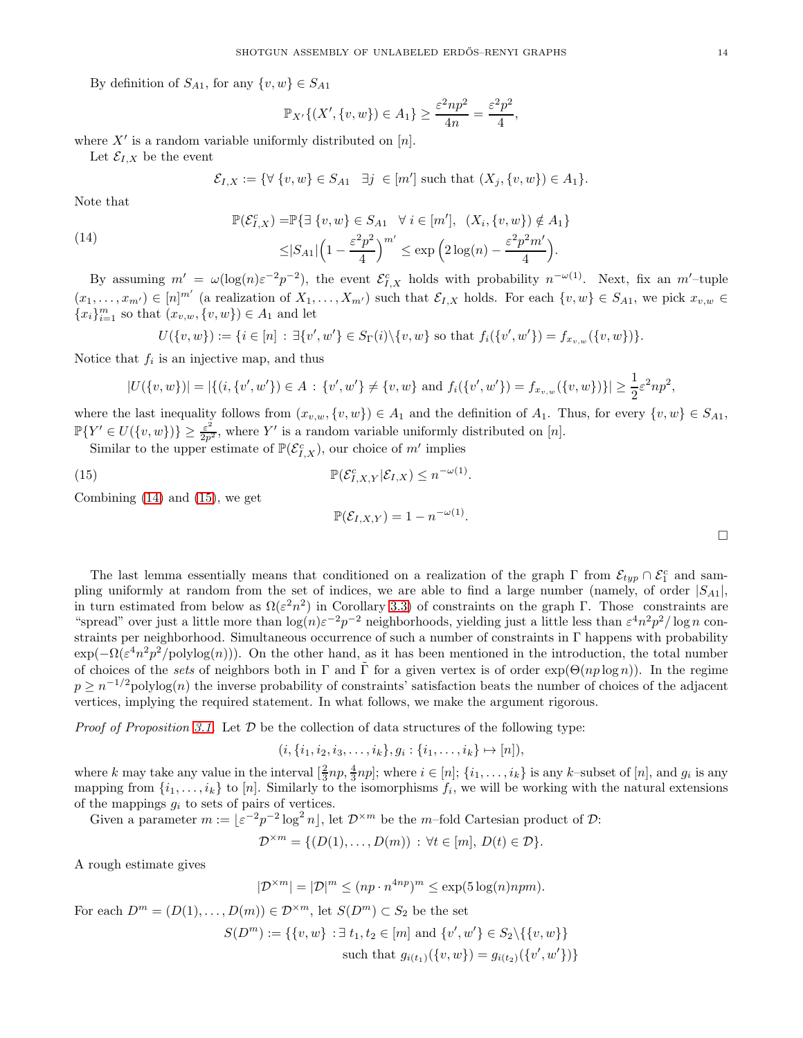By definition of  $S_{A1}$ , for any  $\{v, w\} \in S_{A1}$ 

$$
\mathbb{P}_{X'}\{(X',\{v,w\})\in A_1\}\geq \frac{\varepsilon^2np^2}{4n}=\frac{\varepsilon^2p^2}{4},
$$

where  $X'$  is a random variable uniformly distributed on  $[n]$ .

Let  $\mathcal{E}_{I,X}$  be the event

$$
\mathcal{E}_{I,X} := \{ \forall \{v,w\} \in S_{A1} \quad \exists j \in [m'] \text{ such that } (X_j, \{v,w\}) \in A_1 \}.
$$

Note that

<span id="page-13-0"></span>(14)  
\n
$$
\mathbb{P}(\mathcal{E}_{I,X}^c) = \mathbb{P}\left\{\exists \{v,w\} \in S_{A1} \quad \forall \ i \in [m'], \ (X_i, \{v,w\}) \notin A_1\right\}
$$
\n
$$
\leq |S_{A1}| \left(1 - \frac{\varepsilon^2 p^2}{4}\right)^{m'} \leq \exp\left(2\log(n) - \frac{\varepsilon^2 p^2 m'}{4}\right).
$$

By assuming  $m' = \omega(\log(n)\varepsilon^{-2}p^{-2})$ , the event  $\mathcal{E}_{I,X}^c$  holds with probability  $n^{-\omega(1)}$ . Next, fix an  $m'$ -tuple  $(x_1, \ldots, x_{m'}) \in [n]^{m'}$  (a realization of  $X_1, \ldots, X_{m'}$ ) such that  $\mathcal{E}_{I,X}$  holds. For each  $\{v, w\} \in S_{A1}$ , we pick  $x_{v,w} \in$  ${x_i}_{i=1}^m$  so that  $(x_{v,w}, \{v, w\}) \in A_1$  and let

$$
U(\{v,w\}) := \{i \in [n] : \exists \{v',w'\} \in S_{\Gamma}(i) \setminus \{v,w\} \text{ so that } f_i(\{v',w'\}) = f_{x_{v,w}}(\{v,w\})\}.
$$

Notice that  $f_i$  is an injective map, and thus

$$
|U(\{v,w\})| = |\{(i,\{v',w'\}) \in A : \{v',w'\} \neq \{v,w\} \text{ and } f_i(\{v',w'\}) = f_{x_{v,w}}(\{v,w\})\}| \geq \frac{1}{2}\varepsilon^2 np^2,
$$

where the last inequality follows from  $(x_{v,w}, \{v, w\}) \in A_1$  and the definition of  $A_1$ . Thus, for every  $\{v, w\} \in S_{A_1}$ ,  $\mathbb{P}\{Y' \in U(\lbrace v, w \rbrace) \} \ge \frac{\varepsilon^2}{2p^2}$ , where Y' is a random variable uniformly distributed on [n].

Similar to the upper estimate of  $\mathbb{P}(\mathcal{E}_{I,X}^c)$ , our choice of m' implies

<span id="page-13-1"></span>(15) 
$$
\mathbb{P}(\mathcal{E}_{I,X,Y}^c|\mathcal{E}_{I,X}) \leq n^{-\omega(1)}.
$$

Combining [\(14\)](#page-13-0) and [\(15\)](#page-13-1), we get

$$
\mathbb{P}(\mathcal{E}_{I,X,Y}) = 1 - n^{-\omega(1)}.
$$

The last lemma essentially means that conditioned on a realization of the graph  $\Gamma$  from  $\mathcal{E}_{typ} \cap \mathcal{E}_1^c$  and sampling uniformly at random from the set of indices, we are able to find a large number (namely, of order  $|S_{A1}|$ , in turn estimated from below as  $\Omega(\varepsilon^2 n^2)$  in Corollary [3.3\)](#page-11-1) of constraints on the graph Γ. Those constraints are "spread" over just a little more than  $\log(n)\varepsilon^{-2}p^{-2}$  neighborhoods, yielding just a little less than  $\varepsilon^4n^2p^2/\log n$  constraints per neighborhood. Simultaneous occurrence of such a number of constraints in Γ happens with probability  $\exp(-\Omega(\varepsilon^4 n^2 p^2/\text{polylog}(n)))$ . On the other hand, as it has been mentioned in the introduction, the total number of choices of the sets of neighbors both in Γ and Γ for a given vertex is of order  $\exp(\Theta(np \log n))$ . In the regime  $p \geq n^{-1/2}$ polylog $(n)$  the inverse probability of constraints' satisfaction beats the number of choices of the adjacent vertices, implying the required statement. In what follows, we make the argument rigorous.

*Proof of Proposition [3.1.](#page-10-2)* Let  $D$  be the collection of data structures of the following type:

$$
(i, \{i_1, i_2, i_3, \ldots, i_k\}, g_i : \{i_1, \ldots, i_k\} \mapsto [n]),
$$

where k may take any value in the interval  $\left[\frac{2}{3}np, \frac{4}{3}np\right]$ ; where  $i \in [n]$ ;  $\{i_1, \ldots, i_k\}$  is any k-subset of  $[n]$ , and  $g_i$  is any mapping from  $\{i_1, \ldots, i_k\}$  to  $[n]$ . Similarly to the isomorphisms  $f_i$ , we will be working with the natural extensions of the mappings  $g_i$  to sets of pairs of vertices.

Given a parameter  $m := \lfloor \varepsilon^{-2} p^{-2} \log^2 n \rfloor$ , let  $\mathcal{D}^{\times m}$  be the m-fold Cartesian product of  $\mathcal{D}$ :

 $\mathcal{D}^{\times m} = \{ (D(1), \ldots, D(m)) : \forall t \in [m], D(t) \in \mathcal{D} \}.$ 

A rough estimate gives

 $|\mathcal{D}^{\times m}| = |\mathcal{D}|^m \le (np \cdot n^{4np})^m \le \exp(5 \log(n) npm).$ 

For each 
$$
D^m = (D(1), ..., D(m)) \in \mathcal{D}^{\times m}
$$
, let  $S(D^m) \subset S_2$  be the set  
\n
$$
S(D^m) := \{ \{v, w\} : \exists t_1, t_2 \in [m] \text{ and } \{v', w'\} \in S_2 \setminus \{ \{v, w\} \}
$$
\nsuch that  $g_{i(t_1)}(\{v, w\}) = g_{i(t_2)}(\{v', w'\}) \}$ 

 $\Box$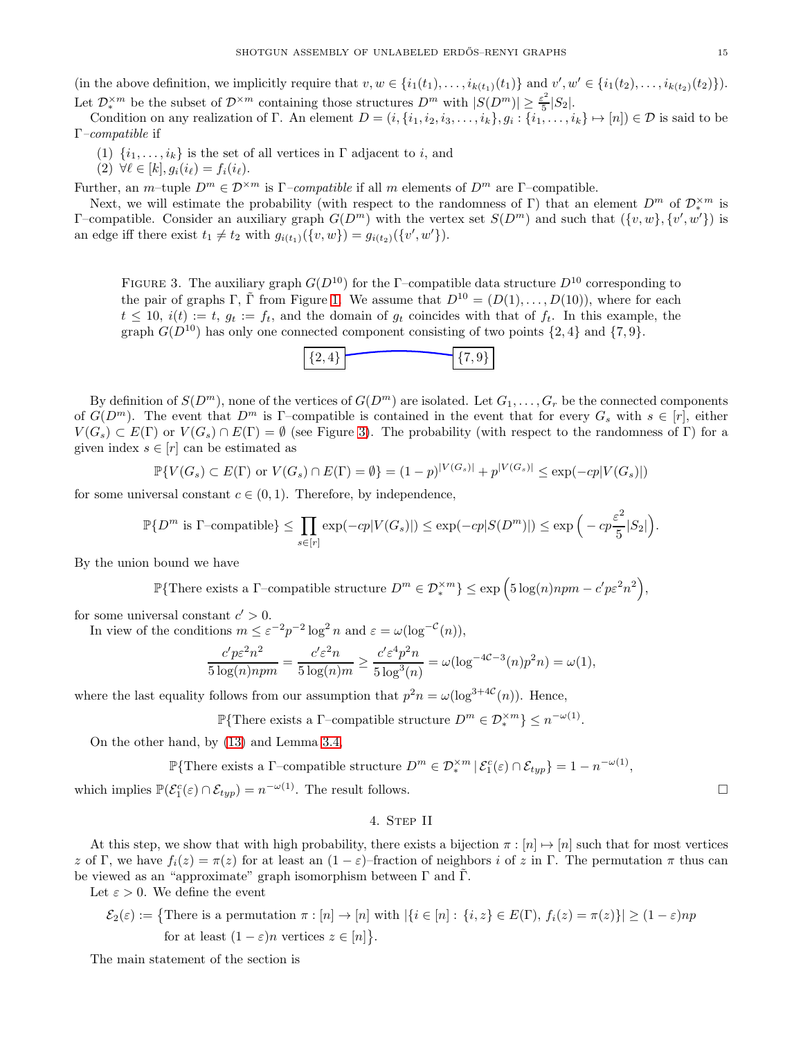(in the above definition, we implicitly require that  $v, w \in \{i_1(t_1), \ldots, i_{k(t_1)}(t_1)\}$  and  $v', w' \in \{i_1(t_2), \ldots, i_{k(t_2)}(t_2)\}$ ). Let  $\mathcal{D}^{\times m}_{*}$  be the subset of  $\mathcal{D}^{\times m}$  containing those structures  $D^{m}$  with  $|S(D^{m})| \geq \frac{\varepsilon^{2}}{5}$  $\frac{5}{5} |S_2|$ .

Condition on any realization of  $\Gamma$ . An element  $D = (i, \{i_1, i_2, i_3, \ldots, i_k\}, g_i : \{i_1, \ldots, i_k\} \mapsto [n]) \in \mathcal{D}$  is said to be Γ–compatible if

- <span id="page-14-1"></span>(1)  $\{i_1, \ldots, i_k\}$  is the set of all vertices in  $\Gamma$  adjacent to i, and
- $(2) \ \forall \ell \in [k], g_i(i_\ell) = f_i(i_\ell).$

Further, an m–tuple  $D^m \in \mathcal{D}^{\times m}$  is  $\Gamma$ –*compatible* if all m elements of  $D^m$  are  $\Gamma$ –compatible.

Next, we will estimate the probability (with respect to the randomness of Γ) that an element  $D^m$  of  $\mathcal{D}_{\ast}^{\times m}$  is  $Γ$ -compatible. Consider an auxiliary graph  $G(D<sup>m</sup>)$  with the vertex set  $S(D<sup>m</sup>)$  and such that  $({v, w}, {v', w'})$  is an edge iff there exist  $t_1 \neq t_2$  with  $g_{i(t_1)}(\{v, w\}) = g_{i(t_2)}(\{v', w'\}).$ 

FIGURE 3. The auxiliary graph  $G(D^{10})$  for the Γ–compatible data structure  $D^{10}$  corresponding to the pair of graphs Γ, Γ from Figure [1.](#page-1-2) We assume that  $D^{10} = (D(1), \ldots, D(10))$ , where for each  $t \leq 10$ ,  $i(t) := t$ ,  $g_t := f_t$ , and the domain of  $g_t$  coincides with that of  $f_t$ . In this example, the graph  $G(D^{10})$  has only one connected component consisting of two points  $\{2,4\}$  and  $\{7,9\}$ .



By definition of  $S(D^m)$ , none of the vertices of  $G(D^m)$  are isolated. Let  $G_1, \ldots, G_r$  be the connected components of  $G(D^m)$ . The event that  $D^m$  is Γ–compatible is contained in the event that for every  $G_s$  with  $s \in [r]$ , either  $V(G_s) \subset E(\Gamma)$  or  $V(G_s) \cap E(\Gamma) = \emptyset$  (see Figure [3\)](#page-14-1). The probability (with respect to the randomness of Γ) for a given index  $s \in [r]$  can be estimated as

$$
\mathbb{P}\{V(G_s) \subset E(\Gamma) \text{ or } V(G_s) \cap E(\Gamma) = \emptyset\} = (1-p)^{|V(G_s)|} + p^{|V(G_s)|} \le \exp(-cp|V(G_s)|)
$$

for some universal constant  $c \in (0, 1)$ . Therefore, by independence,

$$
\mathbb{P}\{D^m \text{ is } \Gamma-\text{compatible}\} \le \prod_{s\in[r]} \exp(-cp|V(G_s)|) \le \exp(-cp|S(D^m)|) \le \exp\Big(-cp\frac{\varepsilon^2}{5}|S_2|\Big).
$$

By the union bound we have

 $\mathbb{P}\{\text{There exists a }\Gamma\text{-compatible structure } D^m\in\mathcal{D}_*^{\times m}\}\leq \exp\Big(5\log(n) npm - c' p \varepsilon^2 n^2\Big),$ 

for some universal constant  $c' > 0$ .

In view of the conditions  $m \leq \varepsilon^{-2} p^{-2} \log^2 n$  and  $\varepsilon = \omega(\log^{-c}(n)),$ 

$$
\frac{c'p\varepsilon^2n^2}{5\log(n)npm} = \frac{c'\varepsilon^2n}{5\log(n)m} \ge \frac{c'\varepsilon^4p^2n}{5\log^3(n)} = \omega(\log^{-4C-3}(n)p^2n) = \omega(1),
$$

where the last equality follows from our assumption that  $p^2 n = \omega(\log^{3+4\mathcal{C}}(n))$ . Hence,

P{There exists a  $\Gamma$ -compatible structure  $D^m \in \mathcal{D}_*^{\times m}$ }  $\leq n^{-\omega(1)}$ .

On the other hand, by [\(13\)](#page-11-0) and Lemma [3.4,](#page-12-1)

P{There exists a  $\Gamma$ -compatible structure  $D^m \in \mathcal{D}_*^{\times m} \mid \mathcal{E}_1^c(\varepsilon) \cap \mathcal{E}_{typ} \} = 1 - n^{-\omega(1)}$ ,

<span id="page-14-0"></span>which implies  $\mathbb{P}(\mathcal{E}_1^c(\varepsilon) \cap \mathcal{E}_{typ}) = n^{-\omega(1)}$ . The result follows.

# 4. STEP II

At this step, we show that with high probability, there exists a bijection  $\pi : [n] \mapsto [n]$  such that for most vertices z of Γ, we have  $f_i(z) = \pi(z)$  for at least an  $(1 - \varepsilon)$ -fraction of neighbors i of z in Γ. The permutation  $\pi$  thus can be viewed as an "approximate" graph isomorphism between  $\Gamma$  and  $\Gamma$ .

Let  $\varepsilon > 0$ . We define the event

$$
\mathcal{E}_2(\varepsilon) := \{ \text{There is a permutation } \pi : [n] \to [n] \text{ with } |\{i \in [n] : \{i, z\} \in E(\Gamma), f_i(z) = \pi(z)\}| \ge (1 - \varepsilon)np \text{ for at least } (1 - \varepsilon)n \text{ vertices } z \in [n] \}.
$$

The main statement of the section is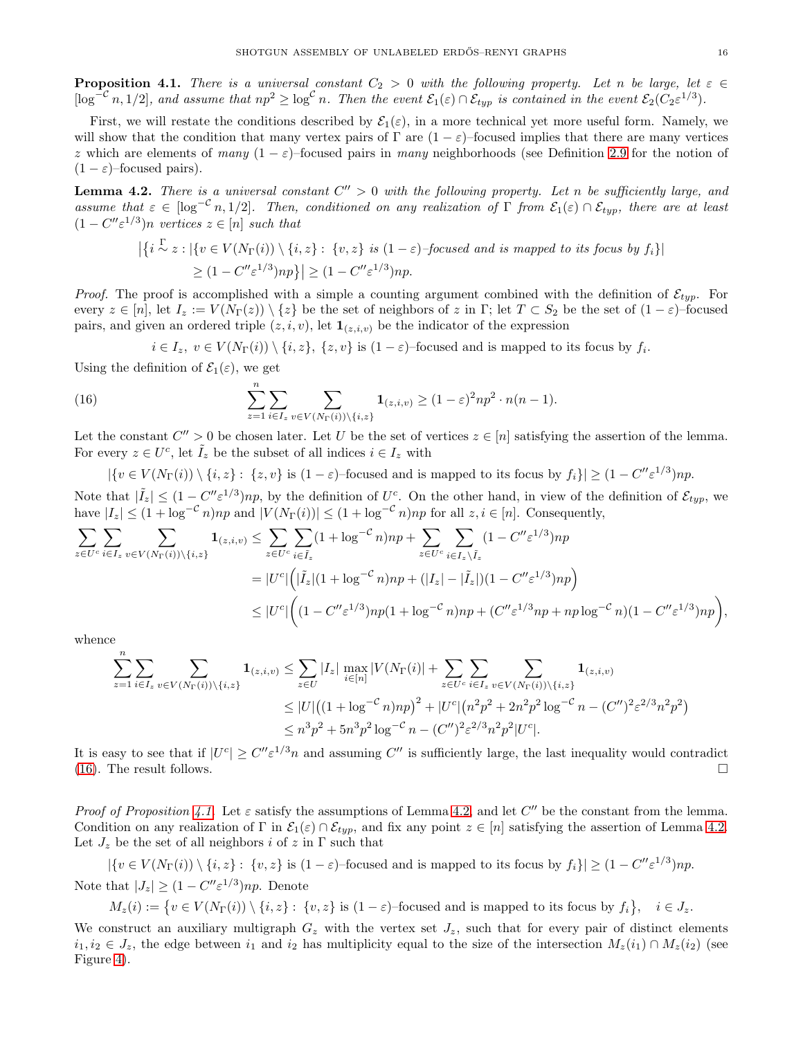<span id="page-15-1"></span>**Proposition 4.1.** There is a universal constant  $C_2 > 0$  with the following property. Let n be large, let  $\varepsilon \in \mathbb{C}$  $[\log^{-c} n, 1/2]$ , and assume that  $np^2 \ge \log^c n$ . Then the event  $\mathcal{E}_1(\varepsilon) \cap \mathcal{E}_{typ}$  is contained in the event  $\mathcal{E}_2(C_2 \varepsilon^{1/3})$ .

First, we will restate the conditions described by  $\mathcal{E}_1(\varepsilon)$ , in a more technical yet more useful form. Namely, we will show that the condition that many vertex pairs of  $\Gamma$  are  $(1 - \varepsilon)$ –focused implies that there are many vertices z which are elements of many  $(1 - \varepsilon)$ –focused pairs in many neighborhoods (see Definition [2.9](#page-6-9) for the notion of  $(1 - \varepsilon)$ –focused pairs).

<span id="page-15-2"></span>**Lemma 4.2.** There is a universal constant  $C'' > 0$  with the following property. Let n be sufficiently large, and assume that  $\varepsilon \in [\log^{-c} n, 1/2]$ . Then, conditioned on any realization of  $\Gamma$  from  $\mathcal{E}_1(\varepsilon) \cap \mathcal{E}_{typ}$ , there are at least  $(1 - C'' \varepsilon^{1/3})n$  vertices  $z \in [n]$  such that

$$
\left| \left\{ i \stackrel{\Gamma}{\sim} z : |\{ v \in V(N_{\Gamma}(i)) \setminus \{i, z\} : \{v, z\} \text{ is } (1 - \varepsilon) - \text{focused and is mapped to its focus by } f_i \} \right| \right|
$$
  
 
$$
\geq (1 - C'' \varepsilon^{1/3}) np \} \left| \geq (1 - C'' \varepsilon^{1/3}) np.
$$

*Proof.* The proof is accomplished with a simple a counting argument combined with the definition of  $\mathcal{E}_{typ}$ . For every  $z \in [n]$ , let  $I_z := V(N_{\Gamma}(z)) \setminus \{z\}$  be the set of neighbors of z in Γ; let  $T \subset S_2$  be the set of  $(1 - \varepsilon)$ -focused pairs, and given an ordered triple  $(z, i, v)$ , let  $\mathbf{1}_{(z,i,v)}$  be the indicator of the expression

<span id="page-15-0"></span> $i \in I_z, v \in V(N_{\Gamma}(i)) \setminus \{i, z\}, \{z, v\}$  is  $(1 - \varepsilon)$ -focused and is mapped to its focus by  $f_i$ .

Using the definition of  $\mathcal{E}_1(\varepsilon)$ , we get

(16) 
$$
\sum_{z=1}^{n} \sum_{i \in I_z} \sum_{v \in V(N_{\Gamma}(i)) \setminus \{i,z\}} \mathbf{1}_{(z,i,v)} \ge (1-\varepsilon)^2 np^2 \cdot n(n-1).
$$

Let the constant  $C'' > 0$  be chosen later. Let U be the set of vertices  $z \in [n]$  satisfying the assertion of the lemma. For every  $z \in U^c$ , let  $\tilde{I}_z$  be the subset of all indices  $i \in I_z$  with

 $|\{v \in V(N_{\Gamma}(i)) \setminus \{i, z\} : \{z, v\} \text{ is } (1 - \varepsilon) \text{-focused and is mapped to its focus by } f_i\}| \geq (1 - C'' \varepsilon^{1/3}) np.$ Note that  $|\tilde{I}_z| \leq (1 - C'' \varepsilon^{1/3}) np$ , by the definition of  $U_c^c$ . On the other hand, in view of the definition of  $\mathcal{E}_{typ}$ , we have  $|I_z| \leq (1 + \log^{-c} n)np$  and  $|V(N_{\Gamma}(i))| \leq (1 + \log^{-c} n)np$  for all  $z, i \in [n]$ . Consequently,

$$
\sum_{z \in U^c} \sum_{i \in I_z} \sum_{v \in V(N_{\Gamma}(i)) \setminus \{i,z\}} \mathbf{1}_{(z,i,v)} \le \sum_{z \in U^c} \sum_{i \in \tilde{I}_z} (1 + \log^{-c} n)np + \sum_{z \in U^c} \sum_{i \in I_z \setminus \tilde{I}_z} (1 - C'' \varepsilon^{1/3})np
$$
  
\n
$$
= |U^c| \Big( |\tilde{I}_z|(1 + \log^{-c} n)np + (|I_z| - |\tilde{I}_z|)(1 - C'' \varepsilon^{1/3})np \Big)
$$
  
\n
$$
\le |U^c| \Big( (1 - C'' \varepsilon^{1/3})np(1 + \log^{-c} n)np + (C'' \varepsilon^{1/3} np + np \log^{-c} n)(1 - C'' \varepsilon^{1/3})np \Big),
$$

whence

$$
\sum_{z=1}^{n} \sum_{i \in I_z} \sum_{v \in V(N_{\Gamma}(i)) \setminus \{i,z\}} \mathbf{1}_{(z,i,v)} \le \sum_{z \in U} |I_z| \max_{i \in [n]} |V(N_{\Gamma}(i)| + \sum_{z \in U^c} \sum_{i \in I_z} \sum_{v \in V(N_{\Gamma}(i)) \setminus \{i,z\}} \mathbf{1}_{(z,i,v)} \n\le |U| ((1 + \log^{-c} n)np)^2 + |U^c| (n^2 p^2 + 2n^2 p^2 \log^{-c} n - (C'')^2 \varepsilon^{2/3} n^2 p^2) \n\le n^3 p^2 + 5n^3 p^2 \log^{-c} n - (C'')^2 \varepsilon^{2/3} n^2 p^2 |U^c|.
$$

It is easy to see that if  $|U^c| \geq C'' \varepsilon^{1/3} n$  and assuming C'' is sufficiently large, the last inequality would contradict [\(16\)](#page-15-0). The result follows.  $\square$ 

Proof of Proposition [4.1.](#page-15-1) Let  $\varepsilon$  satisfy the assumptions of Lemma [4.2,](#page-15-2) and let C'' be the constant from the lemma. Condition on any realization of  $\Gamma$  in  $\mathcal{E}_1(\varepsilon) \cap \mathcal{E}_{typ}$ , and fix any point  $z \in [n]$  satisfying the assertion of Lemma [4.2.](#page-15-2) Let  $J_z$  be the set of all neighbors i of z in  $\Gamma$  such that

 $|\{v \in V(N_{\Gamma}(i)) \setminus \{i, z\} : \{v, z\} \text{ is } (1 - \varepsilon) \text{-focused and is mapped to its focus by } f_i\}| \geq (1 - C'' \varepsilon^{1/3}) np.$ Note that  $|J_z| \geq (1 - C'' \varepsilon^{1/3}) np$ . Denote

 $M_z(i) := \{ v \in V(N_\Gamma(i)) \setminus \{i, z\} : \{v, z\} \text{ is } (1 - \varepsilon) \text{-focused and is mapped to its focus by } f_i \}, \quad i \in J_z.$ 

We construct an auxiliary multigraph  $G_z$  with the vertex set  $J_z$ , such that for every pair of distinct elements  $i_1, i_2 \in J_z$ , the edge between  $i_1$  and  $i_2$  has multiplicity equal to the size of the intersection  $M_z(i_1) \cap M_z(i_2)$  (see Figure [4\)](#page-15-0).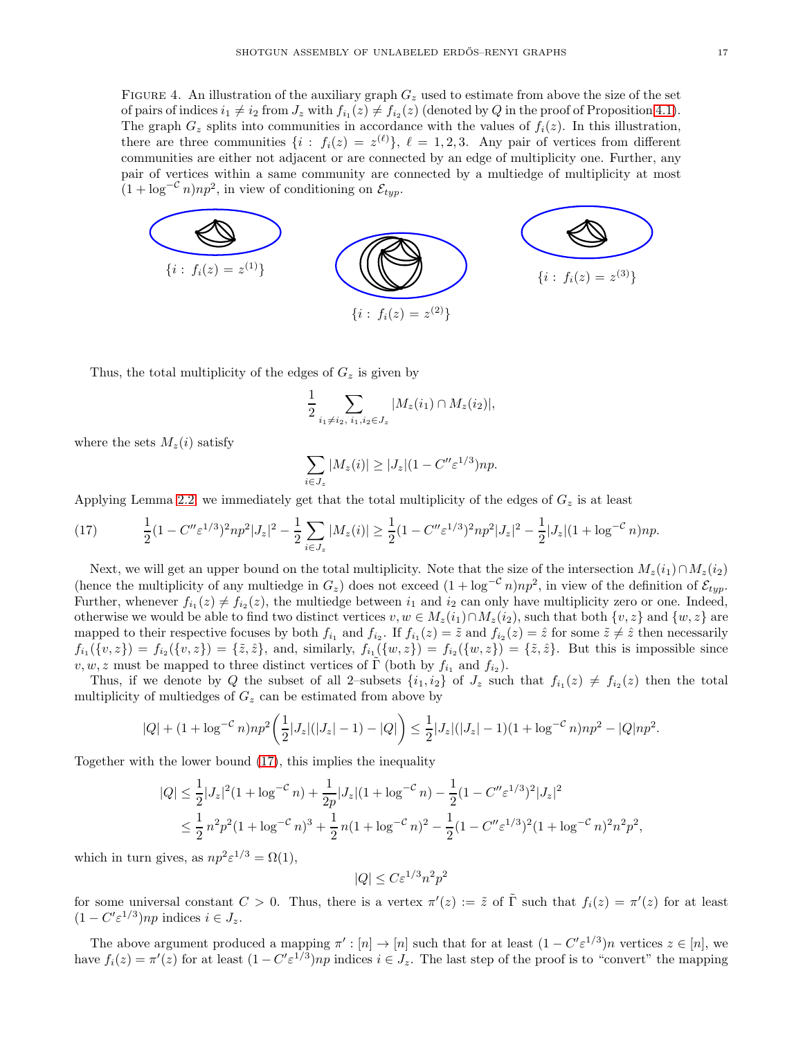FIGURE 4. An illustration of the auxiliary graph  $G_z$  used to estimate from above the size of the set of pairs of indices  $i_1 \neq i_2$  from  $J_z$  with  $f_{i_1}(z) \neq f_{i_2}(z)$  (denoted by  $Q$  in the proof of Proposition [4.1\)](#page-15-1). The graph  $G_z$  splits into communities in accordance with the values of  $f_i(z)$ . In this illustration, there are three communities  $\{i : f_i(z) = z^{(\ell)}\}, \ell = 1, 2, 3$ . Any pair of vertices from different communities are either not adjacent or are connected by an edge of multiplicity one. Further, any pair of vertices within a same community are connected by a multiedge of multiplicity at most  $(1 + \log^{-C} n)np^2$ , in view of conditioning on  $\mathcal{E}_{typ}$ .



Thus, the total multiplicity of the edges of  $G_z$  is given by

$$
\frac{1}{2} \sum_{i_1 \neq i_2, i_1, i_2 \in J_z} |M_z(i_1) \cap M_z(i_2)|,
$$

where the sets  $M_z(i)$  satisfy

$$
\sum_{i \in J_z} |M_z(i)| \ge |J_z|(1 - C'' \varepsilon^{1/3}) np.
$$

Applying Lemma [2.2,](#page-5-2) we immediately get that the total multiplicity of the edges of  $G<sub>z</sub>$  is at least

<span id="page-16-0"></span>(17) 
$$
\frac{1}{2}(1-C''\varepsilon^{1/3})^2np^2|J_z|^2-\frac{1}{2}\sum_{i\in J_z}|M_z(i)|\geq \frac{1}{2}(1-C''\varepsilon^{1/3})^2np^2|J_z|^2-\frac{1}{2}|J_z|(1+\log^{-c}n)np.
$$

Next, we will get an upper bound on the total multiplicity. Note that the size of the intersection  $M_z(i_1) \cap M_z(i_2)$ (hence the multiplicity of any multiedge in  $G_z$ ) does not exceed  $(1 + \log^{-c} n)np^2$ , in view of the definition of  $\mathcal{E}_{typ}$ . Further, whenever  $f_{i_1}(z) \neq f_{i_2}(z)$ , the multiedge between  $i_1$  and  $i_2$  can only have multiplicity zero or one. Indeed, otherwise we would be able to find two distinct vertices  $v, w \in M_z(i_1) \cap M_z(i_2)$ , such that both  $\{v, z\}$  and  $\{w, z\}$  are mapped to their respective focuses by both  $f_{i_1}$  and  $f_{i_2}$ . If  $f_{i_1}(z) = \tilde{z}$  and  $f_{i_2}(z) = \tilde{z}$  for some  $\tilde{z} \neq \tilde{z}$  then necessarily  $f_{i_1}(\{v, z\}) = f_{i_2}(\{v, z\}) = \{\tilde{z}, \tilde{z}\},\$ and, similarly,  $f_{i_1}(\{w, z\}) = f_{i_2}(\{w, z\}) = \{\tilde{z}, \tilde{z}\}.$  But this is impossible since  $v, w, z$  must be mapped to three distinct vertices of  $\tilde{\Gamma}$  (both by  $f_{i_1}$  and  $f_{i_2}$ ).

Thus, if we denote by Q the subset of all 2-subsets  $\{i_1, i_2\}$  of  $J_z$  such that  $f_{i_1}(z) \neq f_{i_2}(z)$  then the total multiplicity of multiedges of  $G_z$  can be estimated from above by

$$
|Q| + (1 + \log^{-c} n)np^2 \left(\frac{1}{2}|J_z|(|J_z| - 1) - |Q|\right) \le \frac{1}{2}|J_z|(|J_z| - 1)(1 + \log^{-c} n)np^2 - |Q|np^2.
$$

Together with the lower bound [\(17\)](#page-16-0), this implies the inequality

$$
|Q| \le \frac{1}{2} |J_z|^2 (1 + \log^{-c} n) + \frac{1}{2p} |J_z| (1 + \log^{-c} n) - \frac{1}{2} (1 - C'' \varepsilon^{1/3})^2 |J_z|^2
$$
  

$$
\le \frac{1}{2} n^2 p^2 (1 + \log^{-c} n)^3 + \frac{1}{2} n (1 + \log^{-c} n)^2 - \frac{1}{2} (1 - C'' \varepsilon^{1/3})^2 (1 + \log^{-c} n)^2 n^2 p^2,
$$

which in turn gives, as  $np^2 \varepsilon^{1/3} = \Omega(1)$ ,

$$
|Q| \le C\varepsilon^{1/3} n^2 p^2
$$

for some universal constant  $C > 0$ . Thus, there is a vertex  $\pi'(z) := \tilde{z}$  of  $\tilde{\Gamma}$  such that  $f_i(z) = \pi'(z)$  for at least  $(1 - C' \varepsilon^{1/3})$ np indices  $i \in J_z$ .

The above argument produced a mapping  $\pi' : [n] \to [n]$  such that for at least  $(1 - C' \varepsilon^{1/3})n$  vertices  $z \in [n]$ , we have  $f_i(z) = \pi'(z)$  for at least  $(1 - C' \varepsilon^{1/3}) np$  indices  $i \in J_z$ . The last step of the proof is to "convert" the mapping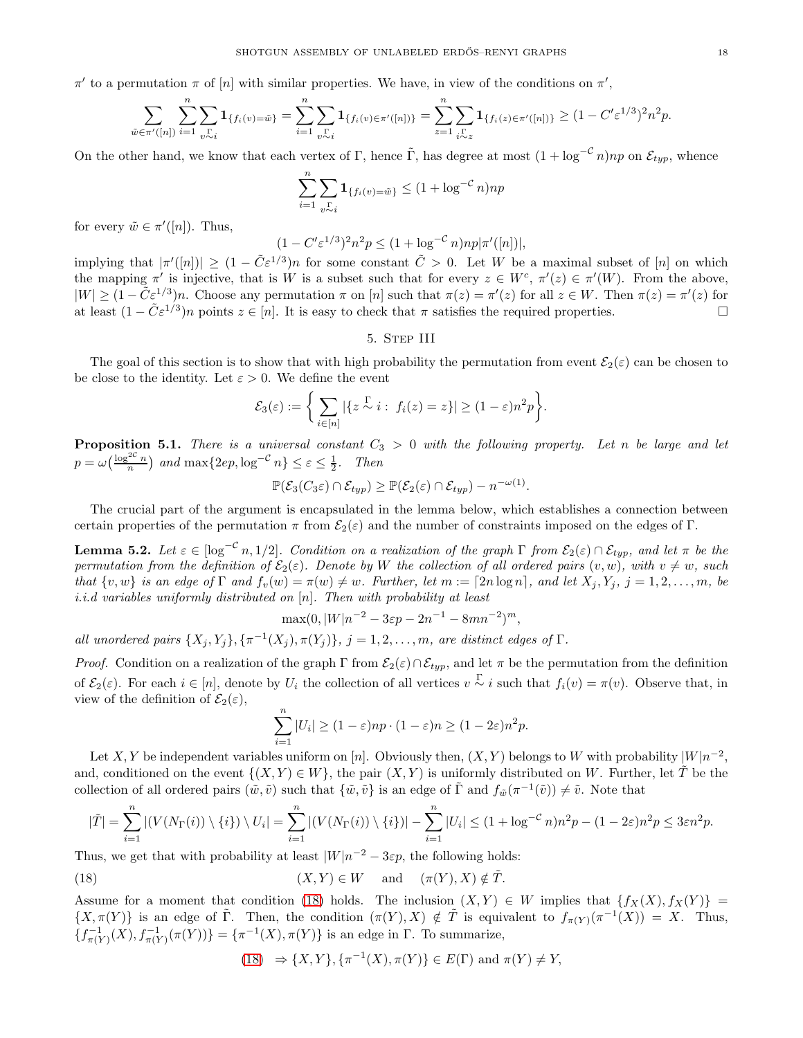$\pi'$  to a permutation  $\pi$  of  $[n]$  with similar properties. We have, in view of the conditions on  $\pi'$ ,

$$
\sum_{\tilde{w}\in\pi'([n])}\sum_{i=1}^n\sum_{v\sim i}\mathbf{1}_{\{f_i(v)=\tilde{w}\}}=\sum_{i=1}^n\sum_{v\sim i}\mathbf{1}_{\{f_i(v)\in\pi'([n])\}}=\sum_{z=1}^n\sum_{i\sim z}\mathbf{1}_{\{f_i(z)\in\pi'([n])\}}\geq (1-C'\varepsilon^{1/3})^2n^2p.
$$

On the other hand, we know that each vertex of Γ, hence Γ, has degree at most  $(1 + \log^{-c} n)np$  on  $\mathcal{E}_{typ}$ , whence

$$
\sum_{i=1}^{n} \sum_{v \sim i} \mathbf{1}_{\{f_i(v) = \tilde{w}\}} \le (1 + \log^{-C} n) np
$$

for every  $\tilde{w} \in \pi'([n])$ . Thus,

$$
(1 - C' \varepsilon^{1/3})^2 n^2 p \le (1 + \log^{-C} n) np |\pi'([n])|,
$$

implying that  $|\pi'([n])| \geq (1 - \tilde{C} \varepsilon^{1/3})n$  for some constant  $\tilde{C} > 0$ . Let W be a maximal subset of [n] on which the mapping  $\pi'$  is injective, that is W is a subset such that for every  $z \in W^c$ ,  $\pi'(z) \in \pi'(W)$ . From the above,  $|W| \geq (1 - \tilde{C} \varepsilon^{1/3})n$ . Choose any permutation  $\pi$  on  $[n]$  such that  $\pi(z) = \pi'(z)$  for all  $z \in W$ . Then  $\pi(z) = \pi'(z)$  for at least  $(1 - \tilde{C} \varepsilon^{1/3})n$  points  $z \in [n]$ . It is easy to check that  $\pi$  satisfies the required properties.

## 5. Step III

<span id="page-17-0"></span>The goal of this section is to show that with high probability the permutation from event  $\mathcal{E}_2(\varepsilon)$  can be chosen to be close to the identity. Let  $\varepsilon > 0$ . We define the event

$$
\mathcal{E}_3(\varepsilon) := \bigg\{\sum_{i\in[n]}|\{z\stackrel{\Gamma}{\sim}i:\;f_i(z)=z\}|\geq (1-\varepsilon)n^2p\bigg\}.
$$

<span id="page-17-3"></span>**Proposition 5.1.** There is a universal constant  $C_3 > 0$  with the following property. Let n be large and let  $p = \omega\left(\frac{\log^{2c} n}{n}\right)$  and  $\max\{2ep, \log^{-c} n\} \leq \varepsilon \leq \frac{1}{2}$ . Then

$$
\mathbb{P}(\mathcal{E}_3(C_3\varepsilon)\cap \mathcal{E}_{typ})\geq \mathbb{P}(\mathcal{E}_2(\varepsilon)\cap \mathcal{E}_{typ})-n^{-\omega(1)}.
$$

The crucial part of the argument is encapsulated in the lemma below, which establishes a connection between certain properties of the permutation  $\pi$  from  $\mathcal{E}_2(\varepsilon)$  and the number of constraints imposed on the edges of Γ.

<span id="page-17-2"></span>**Lemma 5.2.** Let  $\varepsilon \in [\log^{-c} n, 1/2]$ . Condition on a realization of the graph  $\Gamma$  from  $\mathcal{E}_2(\varepsilon) \cap \mathcal{E}_{typ}$ , and let  $\pi$  be the permutation from the definition of  $\mathcal{E}_2(\varepsilon)$ . Denote by W the collection of all ordered pairs  $(v, w)$ , with  $v \neq w$ , such that  $\{v, w\}$  is an edge of  $\Gamma$  and  $f_v(w) = \pi(w) \neq w$ . Further, let  $m := \lceil 2n \log n \rceil$ , and let  $X_j, Y_j, j = 1, 2, \ldots, m$ , be i.i.d variables uniformly distributed on  $[n]$ . Then with probability at least

$$
\max(0, |W|n^{-2} - 3\varepsilon p - 2n^{-1} - 8mn^{-2})^m,
$$

all unordered pairs  $\{X_j, Y_j\}, \{\pi^{-1}(X_j), \pi(Y_j)\}, j = 1, 2, ..., m$ , are distinct edges of  $\Gamma$ .

*Proof.* Condition on a realization of the graph Γ from  $\mathcal{E}_2(\varepsilon) \cap \mathcal{E}_{typ}$ , and let π be the permutation from the definition of  $\mathcal{E}_2(\varepsilon)$ . For each  $i \in [n]$ , denote by  $U_i$  the collection of all vertices  $v \sim i$  such that  $f_i(v) = \pi(v)$ . Observe that, in view of the definition of  $\mathcal{E}_2(\varepsilon)$ ,

$$
\sum_{i=1}^{n} |U_i| \ge (1 - \varepsilon) np \cdot (1 - \varepsilon) n \ge (1 - 2\varepsilon) n^2 p.
$$

Let X, Y be independent variables uniform on [n]. Obviously then,  $(X, Y)$  belongs to W with probability  $\lfloor W | n^{-2}$ , and, conditioned on the event  $\{(X, Y) \in W\}$ , the pair  $(X, Y)$  is uniformly distributed on W. Further, let  $\tilde{T}$  be the collection of all ordered pairs  $(\tilde{w}, \tilde{v})$  such that  $\{\tilde{w}, \tilde{v}\}$  is an edge of  $\tilde{\Gamma}$  and  $f_{\tilde{w}}(\pi^{-1}(\tilde{v})) \neq \tilde{v}$ . Note that

$$
|\tilde{T}|=\sum_{i=1}^n|(V(N_\Gamma(i))\setminus\{i\})\setminus U_i|=\sum_{i=1}^n|(V(N_\Gamma(i))\setminus\{i\})|-\sum_{i=1}^n|U_i|\leq (1+\log^{-c}n)n^2p-(1-2\varepsilon)n^2p\leq 3\varepsilon n^2p.
$$

Thus, we get that with probability at least  $|W|n^{-2} - 3\varepsilon p$ , the following holds:

<span id="page-17-1"></span>(18) 
$$
(X,Y) \in W
$$
 and  $(\pi(Y), X) \notin \tilde{T}$ .

Assume for a moment that condition [\(18\)](#page-17-1) holds. The inclusion  $(X, Y) \in W$  implies that  $\{f_X(X), f_X(Y)\}$  $\{X,\pi(Y)\}\$ is an edge of  $\tilde{\Gamma}$ . Then, the condition  $(\pi(Y),X)\notin \tilde{T}$  is equivalent to  $f_{\pi(Y)}(\pi^{-1}(X))=X$ . Thus,  ${f_{\pi(Y)}^{-1}(X), f_{\pi(Y)}^{-1}(\pi(Y))} = {\pi^{-1}(X), \pi(Y)}$  is an edge in  $\Gamma$ . To summarize,

(18) 
$$
\Rightarrow \{X, Y\}, \{\pi^{-1}(X), \pi(Y)\} \in E(\Gamma)
$$
 and  $\pi(Y) \neq Y$ ,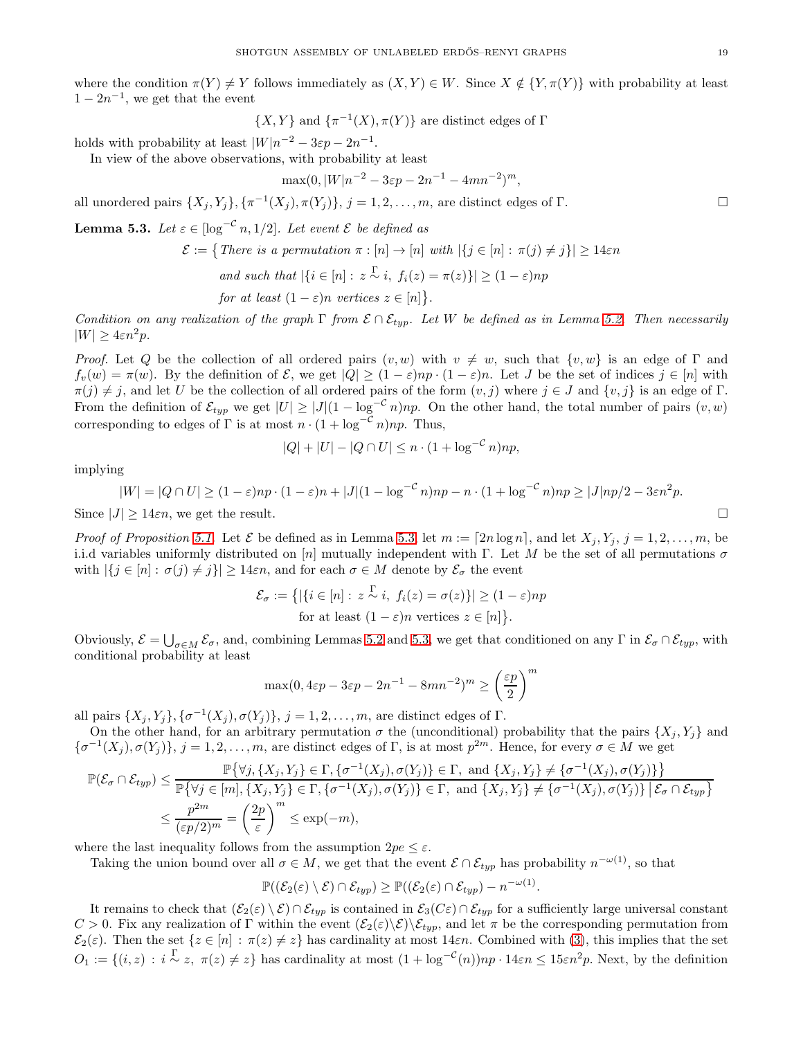where the condition  $\pi(Y) \neq Y$  follows immediately as  $(X, Y) \in W$ . Since  $X \notin \{Y, \pi(Y)\}\$  with probability at least  $1 - 2n^{-1}$ , we get that the event

 $\{X,Y\}$  and  $\{\pi^{-1}(X), \pi(Y)\}$  are distinct edges of  $\Gamma$ 

holds with probability at least  $|W|n^{-2} - 3\varepsilon p - 2n^{-1}$ .

In view of the above observations, with probability at least

$$
\max(0, |W|n^{-2} - 3\varepsilon p - 2n^{-1} - 4mn^{-2})^m,
$$

all unordered pairs  $\{X_j, Y_j\}$ ,  $\{\pi^{-1}(X_j), \pi(Y_j)\}$ ,  $j = 1, 2, ..., m$ , are distinct edges of  $\Gamma$ .

<span id="page-18-0"></span>**Lemma 5.3.** Let  $\varepsilon \in [\log^{-c} n, 1/2]$ . Let event  $\mathcal E$  be defined as

$$
\mathcal{E} := \{ \text{There is a permutation } \pi : [n] \to [n] \text{ with } |\{j \in [n] : \pi(j) \neq j\}| \geq 14\epsilon n
$$
  
and such that  $|\{i \in [n] : z \overset{\Gamma}{\sim} i, f_i(z) = \pi(z)\}| \geq (1 - \varepsilon)np$   
for at least  $(1 - \varepsilon)n$  vertices  $z \in [n]\}.$ 

Condition on any realization of the graph  $\Gamma$  from  $\mathcal{E} \cap \mathcal{E}_{typ}$ . Let W be defined as in Lemma [5.2.](#page-17-2) Then necessarily  $|W| > 4\epsilon n^2p$ .

Proof. Let Q be the collection of all ordered pairs  $(v, w)$  with  $v \neq w$ , such that  $\{v, w\}$  is an edge of  $\Gamma$  and  $f_v(w) = \pi(w)$ . By the definition of  $\mathcal{E}$ , we get  $|Q| \geq (1 - \varepsilon)np \cdot (1 - \varepsilon)n$ . Let J be the set of indices  $j \in [n]$  with  $\pi(j) \neq j$ , and let U be the collection of all ordered pairs of the form  $(v, j)$  where  $j \in J$  and  $\{v, j\}$  is an edge of Γ. From the definition of  $\mathcal{E}_{typ}$  we get  $|U| \geq |J|(1 - \log^{-c} n)np$ . On the other hand, the total number of pairs  $(v, w)$ corresponding to edges of  $\Gamma$  is at most  $n \cdot (1 + \log^{-c} n) np$ . Thus,

$$
|Q| + |U| - |Q \cap U| \le n \cdot (1 + \log^{-C} n) np,
$$

implying

$$
|W| = |Q \cap U| \ge (1 - \varepsilon)np \cdot (1 - \varepsilon)n + |J|(1 - \log^{-c} n)np - n \cdot (1 + \log^{-c} n)np \ge |J|np/2 - 3\varepsilon n^2p.
$$
  
Since  $|J| \ge 14\varepsilon n$ , we get the result.

*Proof of Proposition [5.1.](#page-17-3)* Let  $\mathcal E$  be defined as in Lemma [5.3,](#page-18-0) let  $m := \lceil 2n \log n \rceil$ , and let  $X_j, Y_j, j = 1, 2, \ldots, m$ , be i.i.d variables uniformly distributed on [n] mutually independent with Γ. Let M be the set of all permutations  $\sigma$ with  $|\{j \in [n]: \sigma(j) \neq j\}| \geq 14\varepsilon n$ , and for each  $\sigma \in M$  denote by  $\mathcal{E}_{\sigma}$  the event

$$
\mathcal{E}_{\sigma} := \{ |\{ i \in [n] : z \stackrel{\Gamma}{\sim} i, f_i(z) = \sigma(z) \}| \ge (1 - \varepsilon) np
$$
  
for at least  $(1 - \varepsilon)n$  vertices  $z \in [n] \}.$ 

Obviously,  $\mathcal{E} = \bigcup_{\sigma \in M} \mathcal{E}_{\sigma}$ , and, combining Lemmas [5.2](#page-17-2) and [5.3,](#page-18-0) we get that conditioned on any  $\Gamma$  in  $\mathcal{E}_{\sigma} \cap \mathcal{E}_{typ}$ , with conditional probability at least

$$
\max(0, 4\varepsilon p - 3\varepsilon p - 2n^{-1} - 8mn^{-2})^m \ge \left(\frac{\varepsilon p}{2}\right)^m
$$

all pairs  $\{X_j, Y_j\}, \{\sigma^{-1}(X_j), \sigma(Y_j)\}, j = 1, 2, \ldots, m$ , are distinct edges of  $\Gamma$ .

On the other hand, for an arbitrary permutation  $\sigma$  the (unconditional) probability that the pairs  $\{X_i, Y_j\}$  and  ${\{\sigma^{-1}(X_j), \sigma(Y_j)\}}, j = 1, 2, \ldots, m$ , are distinct edges of  $\Gamma$ , is at most  $p^{2m}$ . Hence, for every  $\sigma \in M$  we get

$$
\mathbb{P}(\mathcal{E}_{\sigma} \cap \mathcal{E}_{typ}) \leq \frac{\mathbb{P}\{\forall j, \{X_j, Y_j\} \in \Gamma, \{\sigma^{-1}(X_j), \sigma(Y_j)\} \in \Gamma, \text{ and } \{X_j, Y_j\} \neq \{\sigma^{-1}(X_j), \sigma(Y_j)\} \}}{\mathbb{P}\{\forall j \in [m], \{X_j, Y_j\} \in \Gamma, \{\sigma^{-1}(X_j), \sigma(Y_j)\} \in \Gamma, \text{ and } \{X_j, Y_j\} \neq \{\sigma^{-1}(X_j), \sigma(Y_j)\} \mid \mathcal{E}_{\sigma} \cap \mathcal{E}_{typ} \}}\n\n\leq \frac{p^{2m}}{(\varepsilon p/2)^m} = \left(\frac{2p}{\varepsilon}\right)^m \leq \exp(-m),
$$

where the last inequality follows from the assumption  $2pe < \varepsilon$ .

Taking the union bound over all  $\sigma \in M$ , we get that the event  $\mathcal{E} \cap \mathcal{E}_{typ}$  has probability  $n^{-\omega(1)}$ , so that

$$
\mathbb{P}((\mathcal{E}_2(\varepsilon)\setminus \mathcal{E})\cap \mathcal{E}_{typ}) \geq \mathbb{P}((\mathcal{E}_2(\varepsilon)\cap \mathcal{E}_{typ}) - n^{-\omega(1)}.
$$

It remains to check that  $(\mathcal{E}_2(\varepsilon) \setminus \mathcal{E}) \cap \mathcal{E}_{typ}$  is contained in  $\mathcal{E}_3(C\varepsilon) \cap \mathcal{E}_{typ}$  for a sufficiently large universal constant C > 0. Fix any realization of Γ within the event  $(\mathcal{E}_2(\varepsilon)\setminus \mathcal{E})\setminus \mathcal{E}_{typ}$ , and let π be the corresponding permutation from  $\mathcal{E}_2(\varepsilon)$ . Then the set  $\{z \in [n] : \pi(z) \neq z\}$  has cardinality at most  $14\varepsilon n$ . Combined with [\(3\)](#page-6-2), this implies that the set  $O_1 := \{(i, z) : i \stackrel{\Gamma}{\sim} z, \ \pi(z) \neq z\}$  has cardinality at most  $(1 + \log^{-c}(n))np \cdot 14\varepsilon n \leq 15\varepsilon n^2p$ . Next, by the definition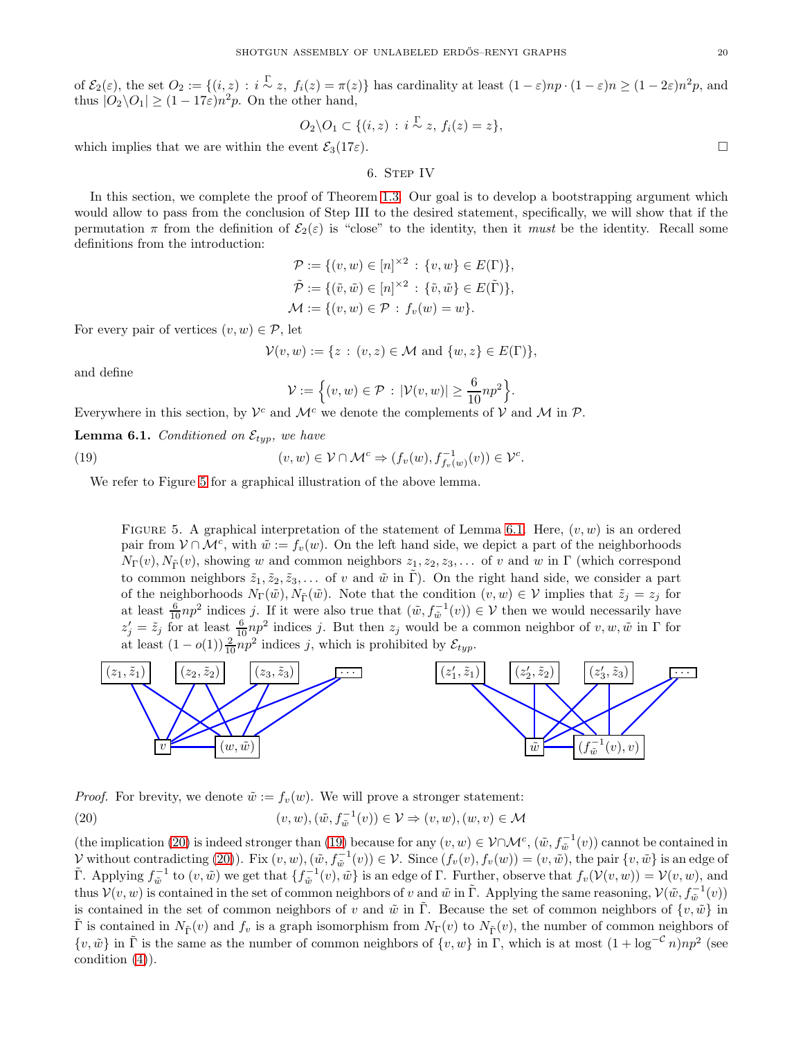of  $\mathcal{E}_2(\varepsilon)$ , the set  $O_2 := \{(i, z) : i \stackrel{\Gamma}{\sim} z, f_i(z) = \pi(z)\}\)$  has cardinality at least  $(1 - \varepsilon)n + (1 - \varepsilon)n \ge (1 - 2\varepsilon)n^2p$ , and thus  $|O_2 \backslash O_1| \ge (1 - 17\varepsilon)n^2p$ . On the other hand,

$$
O_2\backslash O_1\subset\{(i,z)\,:\, i\stackrel{\Gamma}{\sim} z,\, f_i(z)=z\},
$$

<span id="page-19-0"></span>which implies that we are within the event  $\mathcal{E}_3(17\varepsilon)$ .

6. STEP IV

In this section, we complete the proof of Theorem [1.3.](#page-1-2) Our goal is to develop a bootstrapping argument which would allow to pass from the conclusion of Step III to the desired statement, specifically, we will show that if the permutation  $\pi$  from the definition of  $\mathcal{E}_2(\varepsilon)$  is "close" to the identity, then it must be the identity. Recall some definitions from the introduction:

$$
\mathcal{P} := \{ (v, w) \in [n]^{\times 2} : \{v, w\} \in E(\Gamma) \},\
$$
  

$$
\tilde{\mathcal{P}} := \{ (\tilde{v}, \tilde{w}) \in [n]^{\times 2} : \{ \tilde{v}, \tilde{w} \} \in E(\tilde{\Gamma}) \},\
$$
  

$$
\mathcal{M} := \{ (v, w) \in \mathcal{P} : f_v(w) = w \}.
$$

For every pair of vertices  $(v, w) \in \mathcal{P}$ , let

$$
\mathcal{V}(v, w) := \{ z : (v, z) \in \mathcal{M} \text{ and } \{ w, z \} \in E(\Gamma) \},
$$

and define

$$
\mathcal{V}:=\Big\{(v,w)\in\mathcal{P}\,:\,|\mathcal{V}(v,w)|\geq \frac{6}{10}np^2\Big\}.
$$

Everywhere in this section, by  $\mathcal{V}^c$  and  $\mathcal{M}^c$  we denote the complements of  $\mathcal V$  and  $\mathcal M$  in  $\mathcal P$ .

<span id="page-19-2"></span>**Lemma 6.1.** Conditioned on  $\mathcal{E}_{typ}$ , we have

<span id="page-19-4"></span>(19) 
$$
(v, w) \in \mathcal{V} \cap \mathcal{M}^c \Rightarrow (f_v(w), f_{f_v(w)}^{-1}(v)) \in \mathcal{V}^c.
$$

We refer to Figure [5](#page-19-1) for a graphical illustration of the above lemma.

FIGURE 5. A graphical interpretation of the statement of Lemma [6.1.](#page-19-2) Here,  $(v, w)$  is an ordered pair from  $V \cap \mathcal{M}^c$ , with  $\tilde{w} := f_v(w)$ . On the left hand side, we depict a part of the neighborhoods  $N_{\Gamma}(v), N_{\tilde{\Gamma}}(v)$ , showing w and common neighbors  $z_1, z_2, z_3, \ldots$  of v and w in  $\Gamma$  (which correspond to common neighbors  $\tilde{z}_1, \tilde{z}_2, \tilde{z}_3, \ldots$  of v and  $\tilde{w}$  in  $\Gamma$ ). On the right hand side, we consider a part of the neighborhoods  $N_{\Gamma}(\tilde{w}), N_{\tilde{\Gamma}}(\tilde{w})$ . Note that the condition  $(v, w) \in V$  implies that  $\tilde{z}_j = z_j$  for at least  $\frac{6}{10}np^2$  indices j. If it were also true that  $(\tilde{w}, f_{\tilde{w}}^{-1}(v)) \in V$  then we would necessarily have  $z'_j = \tilde{z}_j$  for at least  $\frac{6}{10}np^2$  indices j. But then  $z_j$  would be a common neighbor of  $v, w, \tilde{w}$  in  $\Gamma$  for at least  $(1 - o(1)) \frac{2}{10} np^2$  indices j, which is prohibited by  $\mathcal{E}_{typ}$ .

<span id="page-19-1"></span>

*Proof.* For brevity, we denote  $\tilde{w} := f_v(w)$ . We will prove a stronger statement:

<span id="page-19-3"></span>(20) 
$$
(v, w), (\tilde{w}, f_{\tilde{w}}^{-1}(v)) \in \mathcal{V} \Rightarrow (v, w), (w, v) \in \mathcal{M}
$$

(the implication [\(20\)](#page-19-3) is indeed stronger than [\(19\)](#page-19-4) because for any  $(v, w) \in V \cap \mathcal{M}^c$ ,  $(\tilde{w}, f_{\tilde{w}}^{-1}(v))$  cannot be contained in V without contradicting [\(20\)](#page-19-3)). Fix  $(v, w)$ ,  $(\tilde{w}, f_{\tilde{w}}^{-1}(v)) \in V$ . Since  $(f_v(v), f_v(w)) = (v, \tilde{w})$ , the pair  $\{v, \tilde{w}\}$  is an edge of  $\tilde{\Gamma}$ . Applying  $f_{\tilde{w}}^{-1}$  to  $(v, \tilde{w})$  we get that  $\{f_{\tilde{w}}^{-1}(v), \tilde{w}\}$  is an edge of  $\Gamma$ . Further, observe that  $f_v(\mathcal{V}(v, w)) = \mathcal{V}(v, w)$ , and thus  $\mathcal{V}(v, w)$  is contained in the set of common neighbors of v and  $\tilde{w}$  in  $\tilde{\Gamma}$ . Applying the same reasoning,  $\mathcal{V}(\tilde{w}, f_{\tilde{w}}^{-1}(v))$ is contained in the set of common neighbors of v and  $\tilde{w}$  in Γ. Because the set of common neighbors of  $\{v, \tilde{w}\}$  in  $\tilde{\Gamma}$  is contained in  $N_{\tilde{\Gamma}}(v)$  and  $f_v$  is a graph isomorphism from  $N_{\Gamma}(v)$  to  $N_{\tilde{\Gamma}}(v)$ , the number of common neighbors of  $\{v, \tilde{w}\}\$  in  $\tilde{\Gamma}$  is the same as the number of common neighbors of  $\{v, w\}$  in  $\Gamma$ , which is at most  $(1 + \log^{-c} n)np^2$  (see condition [\(4\)](#page-6-3)).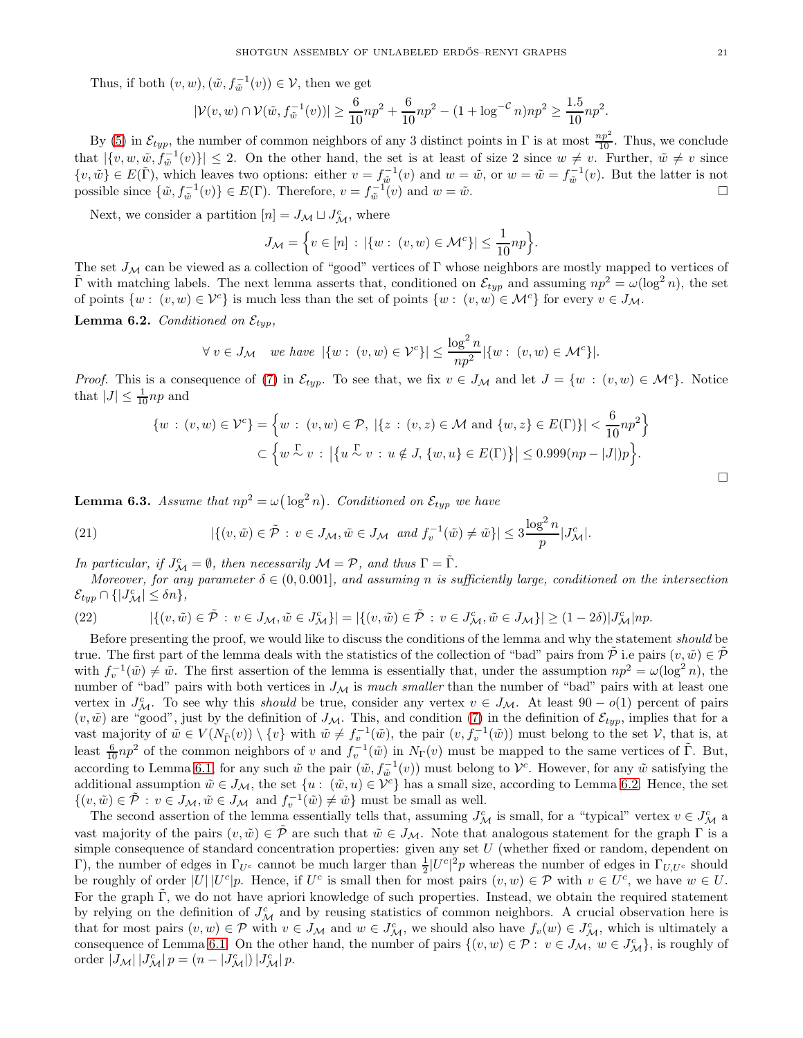Thus, if both  $(v, w), (\tilde{w}, f_{\tilde{w}}^{-1}(v)) \in \mathcal{V}$ , then we get

$$
|\mathcal{V}(v,w) \cap \mathcal{V}(\tilde{w}, f_{\tilde{w}}^{-1}(v))| \ge \frac{6}{10}np^2 + \frac{6}{10}np^2 - (1 + \log^{-c} n)np^2 \ge \frac{1.5}{10}np^2.
$$

By [\(5\)](#page-6-4) in  $\mathcal{E}_{typ}$ , the number of common neighbors of any 3 distinct points in  $\Gamma$  is at most  $\frac{np^2}{10}$ . Thus, we conclude that  $|\{v, w, \tilde{w}, f_{\tilde{w}}^{-1}(v)\}| \leq 2$ . On the other hand, the set is at least of size 2 since  $w \neq v$ . Further,  $\tilde{w} \neq v$  since  $\{v,\tilde{w}\}\in E(\tilde{\Gamma})$ , which leaves two options: either  $v = f_{\tilde{w}}^{-1}(v)$  and  $w = \tilde{w}$ , or  $w = \tilde{w} = f_{\tilde{w}}^{-1}(v)$ . But the latter is not possible since  $\{\tilde{w}, f_{\tilde{w}}^{-1}(v)\}\in E(\Gamma)$ . Therefore,  $v = f_{\tilde{w}}^{-1}(v)$  and  $w = \tilde{w}$ .

Next, we consider a partition  $[n] = J_{\mathcal{M}} \sqcup J_{\mathcal{M}}^c$ , where

$$
J_{\mathcal{M}} = \left\{ v \in [n] : |\{w : (v, w) \in \mathcal{M}^c\}| \le \frac{1}{10} np \right\}.
$$

The set  $J_{\mathcal{M}}$  can be viewed as a collection of "good" vertices of  $\Gamma$  whose neighbors are mostly mapped to vertices of  $\tilde{\Gamma}$  with matching labels. The next lemma asserts that, conditioned on  $\mathcal{E}_{typ}$  and assuming  $np^2 = \omega(\log^2 n)$ , the set of points  $\{w : (v, w) \in \mathcal{V}^c\}$  is much less than the set of points  $\{w : (v, w) \in \mathcal{M}^c\}$  for every  $v \in J_{\mathcal{M}}$ .

<span id="page-20-0"></span>**Lemma 6.2.** Conditioned on  $\mathcal{E}_{two}$ ,

$$
\forall v \in J_{\mathcal{M}} \quad \text{we have } |\{w : (v, w) \in \mathcal{V}^c\}| \le \frac{\log^2 n}{np^2} |\{w : (v, w) \in \mathcal{M}^c\}|.
$$

*Proof.* This is a consequence of [\(7\)](#page-6-6) in  $\mathcal{E}_{typ}$ . To see that, we fix  $v \in J_M$  and let  $J = \{w : (v, w) \in \mathcal{M}^c\}$ . Notice that  $|J| \leq \frac{1}{10} np$  and

$$
\{w : (v, w) \in \mathcal{V}^c\} = \left\{w : (v, w) \in \mathcal{P}, |\{z : (v, z) \in \mathcal{M} \text{ and } \{w, z\} \in E(\Gamma)\}| < \frac{6}{10}np^2\right\}
$$
  

$$
\subset \left\{w \stackrel{\Gamma}{\sim} v : |\{u \stackrel{\Gamma}{\sim} v : u \notin J, \{w, u\} \in E(\Gamma)\}| \le 0.999(np - |J|)p\right\}.
$$

<span id="page-20-1"></span>**Lemma 6.3.** Assume that  $np^2 = \omega(\log^2 n)$ . Conditioned on  $\mathcal{E}_{typ}$  we have

<span id="page-20-3"></span>(21) 
$$
|\{(v,\tilde{w}) \in \tilde{\mathcal{P}} : v \in J_{\mathcal{M}}, \tilde{w} \in J_{\mathcal{M}} \text{ and } f_{v}^{-1}(\tilde{w}) \neq \tilde{w}\}| \leq 3 \frac{\log^{2} n}{p} |J_{\mathcal{M}}^{c}|.
$$

In particular, if  $J^c_M = \emptyset$ , then necessarily  $\mathcal{M} = \mathcal{P}$ , and thus  $\Gamma = \tilde{\Gamma}$ .

Moreover, for any parameter  $\delta \in (0, 0.001]$ , and assuming n is sufficiently large, conditioned on the intersection  $\mathcal{E}_{typ} \cap \{|J^c_{\mathcal{M}}| \leq \delta n\},\$ 

<span id="page-20-2"></span>(22) 
$$
|\{(v,\tilde{w}) \in \tilde{\mathcal{P}} : v \in J_{\mathcal{M}}, \tilde{w} \in J_{\mathcal{M}}^c\}| = |\{(v,\tilde{w}) \in \tilde{\mathcal{P}} : v \in J_{\mathcal{M}}^c, \tilde{w} \in J_{\mathcal{M}}\}| \geq (1-2\delta)|J_{\mathcal{M}}^c|np.
$$

Before presenting the proof, we would like to discuss the conditions of the lemma and why the statement *should* be true. The first part of the lemma deals with the statistics of the collection of "bad" pairs from  $\tilde{\mathcal{P}}$  i.e pairs  $(v, \tilde{w}) \in \tilde{\mathcal{P}}$ with  $f_v^{-1}(\tilde{w}) \neq \tilde{w}$ . The first assertion of the lemma is essentially that, under the assumption  $np^2 = \omega(\log^2 n)$ , the number of "bad" pairs with both vertices in  $J_M$  is much smaller than the number of "bad" pairs with at least one vertex in  $J_{\mathcal{M}}^c$ . To see why this *should* be true, consider any vertex  $v \in J_{\mathcal{M}}$ . At least  $90 - o(1)$  percent of pairs  $(v, \tilde{w})$  are "good", just by the definition of  $J_{\mathcal{M}}$ . This, and condition [\(7\)](#page-6-6) in the definition of  $\mathcal{E}_{typ}$ , implies that for a vast majority of  $\tilde{w} \in V(N_{\tilde{\Gamma}}(v)) \setminus \{v\}$  with  $\tilde{w} \neq f_v^{-1}(\tilde{w})$ , the pair  $(v, f_v^{-1}(\tilde{w}))$  must belong to the set  $\mathcal{V}$ , that is, at least  $\frac{6}{10}np^2$  of the common neighbors of v and  $f_v^{-1}(\tilde{w})$  in  $N_{\Gamma}(v)$  must be mapped to the same vertices of  $\tilde{\Gamma}$ . But, according to Lemma [6.1,](#page-19-2) for any such  $\tilde{w}$  the pair  $(\tilde{w}, f_{\tilde{w}}^{-1}(v))$  must belong to  $\mathcal{V}^c$ . However, for any  $\tilde{w}$  satisfying the additional assumption  $\tilde{w} \in J_{\mathcal{M}}$ , the set  $\{u : (\tilde{w}, u) \in \tilde{\mathcal{V}}^c\}$  has a small size, according to Lemma [6.2.](#page-20-0) Hence, the set  $\{(v,\tilde{w}) \in \tilde{\mathcal{P}} : v \in J_{\mathcal{M}}, \tilde{w} \in J_{\mathcal{M}} \text{ and } f_{v}^{-1}(\tilde{w}) \neq \tilde{w}\}$  must be small as well.

The second assertion of the lemma essentially tells that, assuming  $J_{\mathcal{M}}^c$  is small, for a "typical" vertex  $v \in J_{\mathcal{M}}^c$  a vast majority of the pairs  $(v, \tilde{w}) \in \mathcal{P}$  are such that  $\tilde{w} \in J_{\mathcal{M}}$ . Note that analogous statement for the graph  $\Gamma$  is a simple consequence of standard concentration properties: given any set  $U$  (whether fixed or random, dependent on Γ), the number of edges in  $\Gamma_{U^c}$  cannot be much larger than  $\frac{1}{2} |U^c|^2 p$  whereas the number of edges in  $\Gamma_{U,U^c}$  should be roughly of order  $|U| |U^c|p$ . Hence, if  $U^c$  is small then for most pairs  $(v, w) \in \mathcal{P}$  with  $v \in U^c$ , we have  $w \in U$ . For the graph  $\Gamma$ , we do not have apriori knowledge of such properties. Instead, we obtain the required statement by relying on the definition of  $J_M^c$  and by reusing statistics of common neighbors. A crucial observation here is that for most pairs  $(v, w) \in \mathcal{P}$  with  $v \in J_{\mathcal{M}}$  and  $w \in J_{\mathcal{M}}^c$ , we should also have  $f_v(w) \in J_{\mathcal{M}}^c$ , which is ultimately a consequence of Lemma [6.1.](#page-19-2) On the other hand, the number of pairs  $\{(v, w) \in \mathcal{P} : v \in J_{\mathcal{M}}, w \in J_{\mathcal{M}}^c\}$ , is roughly of order  $|J_{\mathcal{M}}| |J_{\mathcal{M}}^c| p = (n - |J_{\mathcal{M}}^c|) |J_{\mathcal{M}}^c| p$ .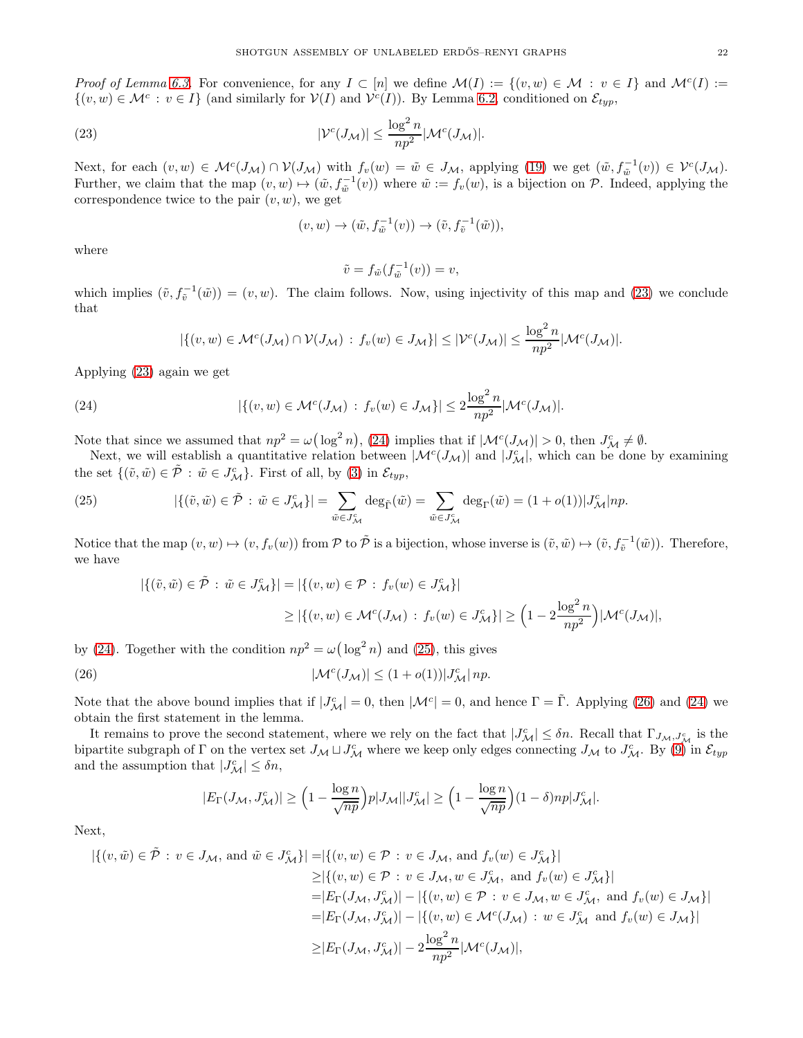Proof of Lemma [6.3.](#page-20-1) For convenience, for any  $I \subset [n]$  we define  $\mathcal{M}(I) := \{(v, w) \in \mathcal{M} : v \in I\}$  and  $\mathcal{M}^c(I) :=$  $\{(v, w) \in \mathcal{M}^c : v \in I\}$  (and similarly for  $V(I)$  and  $V^c(I)$ ). By Lemma [6.2,](#page-20-0) conditioned on  $\mathcal{E}_{typ}$ ,

<span id="page-21-0"></span>(23) 
$$
|\mathcal{V}^c(J_\mathcal{M})| \leq \frac{\log^2 n}{np^2} |\mathcal{M}^c(J_\mathcal{M})|.
$$

Next, for each  $(v, w) \in \mathcal{M}^c(J_\mathcal{M}) \cap \mathcal{V}(J_\mathcal{M})$  with  $f_v(w) = \tilde{w} \in J_\mathcal{M}$ , applying [\(19\)](#page-19-4) we get  $(\tilde{w}, f_{\tilde{w}}^{-1}(v)) \in \mathcal{V}^c(J_\mathcal{M})$ . Further, we claim that the map  $(v, w) \mapsto (\tilde{w}, f_{\tilde{w}}^{-1}(v))$  where  $\tilde{w} := f_v(w)$ , is a bijection on  $P$ . Indeed, applying the correspondence twice to the pair  $(v, w)$ , we get

$$
(v, w) \to (\tilde{w}, f_{\tilde{w}}^{-1}(v)) \to (\tilde{v}, f_{\tilde{v}}^{-1}(\tilde{w})),
$$

where

$$
\tilde{v} = f_{\tilde{w}}(f_{\tilde{w}}^{-1}(v)) = v,
$$

which implies  $(\tilde{v}, f_{\tilde{v}}^{-1}(\tilde{w})) = (v, w)$ . The claim follows. Now, using injectivity of this map and [\(23\)](#page-21-0) we conclude that

$$
|\{(v,w)\in \mathcal{M}^c(J_\mathcal{M})\cap \mathcal{V}(J_\mathcal{M}) : f_v(w)\in J_\mathcal{M}\}| \leq |\mathcal{V}^c(J_\mathcal{M})| \leq \frac{\log^2 n}{np^2} |\mathcal{M}^c(J_\mathcal{M})|.
$$

Applying [\(23\)](#page-21-0) again we get

<span id="page-21-1"></span>(24) 
$$
|\{(v,w)\in\mathcal{M}^c(J_\mathcal{M}) : f_v(w)\in J_\mathcal{M}\}| \leq 2\frac{\log^2 n}{np^2}|\mathcal{M}^c(J_\mathcal{M})|.
$$

Note that since we assumed that  $np^2 = \omega(\log^2 n)$ , [\(24\)](#page-21-1) implies that if  $|\mathcal{M}^c(J_\mathcal{M})| > 0$ , then  $J_\mathcal{M}^c \neq \emptyset$ .

Next, we will establish a quantitative relation between  $|\mathcal{M}^c(J_\mathcal{M})|$  and  $|J^c_\mathcal{M}|$ , which can be done by examining the set  $\{(\tilde{v}, \tilde{w}) \in \tilde{\mathcal{P}} : \tilde{w} \in J^c_{\mathcal{M}}\}\)$ . First of all, by [\(3\)](#page-6-2) in  $\mathcal{E}_{typ}$ ,

<span id="page-21-2"></span>(25) 
$$
|\{(\tilde{v}, \tilde{w}) \in \tilde{\mathcal{P}} : \tilde{w} \in J_{\mathcal{M}}^c\}| = \sum_{\tilde{w} \in J_{\mathcal{M}}^c} \deg_{\tilde{\Gamma}}(\tilde{w}) = \sum_{\tilde{w} \in J_{\mathcal{M}}^c} \deg_{\Gamma}(\tilde{w}) = (1 + o(1))|J_{\mathcal{M}}^c|np.
$$

Notice that the map  $(v, w) \mapsto (v, f_v(w))$  from P to  $\tilde{\mathcal{P}}$  is a bijection, whose inverse is  $(\tilde{v}, \tilde{w}) \mapsto (\tilde{v}, f_{\tilde{v}}^{-1}(\tilde{w}))$ . Therefore, we have

$$
\begin{aligned} |\{(\tilde{v}, \tilde{w}) \in \tilde{\mathcal{P}} : \tilde{w} \in J_{\mathcal{M}}^c\}| &= |\{(v, w) \in \mathcal{P} : f_v(w) \in J_{\mathcal{M}}^c\}| \\ &\ge |\{(v, w) \in \mathcal{M}^c(J_{\mathcal{M}}) : f_v(w) \in J_{\mathcal{M}}^c\}| \ge \left(1 - 2\frac{\log^2 n}{np^2}\right) |\mathcal{M}^c(J_{\mathcal{M}})|, \end{aligned}
$$

by [\(24\)](#page-21-1). Together with the condition  $np^2 = \omega(\log^2 n)$  and [\(25\)](#page-21-2), this gives

<span id="page-21-3"></span>(26) 
$$
|\mathcal{M}^c(J_\mathcal{M})| \le (1 + o(1))|J_\mathcal{M}^c| \, np.
$$

Note that the above bound implies that if  $|J^c_{\mathcal{M}}| = 0$ , then  $|\mathcal{M}^c| = 0$ , and hence  $\Gamma = \tilde{\Gamma}$ . Applying [\(26\)](#page-21-3) and [\(24\)](#page-21-1) we obtain the first statement in the lemma.

It remains to prove the second statement, where we rely on the fact that  $|J^c_{\mathcal{M}}| \leq \delta n$ . Recall that  $\Gamma_{J_{\mathcal{M}},J^c_{\mathcal{M}}}$  is the bipartite subgraph of Γ on the vertex set  $J_{\mathcal{M}} \sqcup J_{\mathcal{M}}^c$  where we keep only edges connecting  $J_{\mathcal{M}}$  to  $J_{\mathcal{M}}^c$ . By [\(9\)](#page-6-8) in  $\mathcal{E}_{typ}$ and the assumption that  $|J^c_{\mathcal{M}}| \leq \delta n$ ,

$$
|E_{\Gamma}(J_{\mathcal{M}}, J_{\mathcal{M}}^c)| \ge \Big(1 - \frac{\log n}{\sqrt{np}}\Big)p|J_{\mathcal{M}}||J_{\mathcal{M}}^c| \ge \Big(1 - \frac{\log n}{\sqrt{np}}\Big)(1 - \delta)np|J_{\mathcal{M}}^c|.
$$

Next,

$$
\begin{aligned} |\{(v,\tilde{w}) \in \tilde{\mathcal{P}} : v \in J_{\mathcal{M}}, \text{ and } \tilde{w} \in J_{\mathcal{M}}^c\}| &= |\{(v,w) \in \mathcal{P} : v \in J_{\mathcal{M}}, \text{ and } f_v(w) \in J_{\mathcal{M}}^c\}| \\ &\ge |\{(v,w) \in \mathcal{P} : v \in J_{\mathcal{M}}, w \in J_{\mathcal{M}}^c, \text{ and } f_v(w) \in J_{\mathcal{M}}^c\}| \\ &= |E_{\Gamma}(J_{\mathcal{M}}, J_{\mathcal{M}}^c)| - |\{(v,w) \in \mathcal{P} : v \in J_{\mathcal{M}}, w \in J_{\mathcal{M}}^c, \text{ and } f_v(w) \in J_{\mathcal{M}}\}| \\ &= |E_{\Gamma}(J_{\mathcal{M}}, J_{\mathcal{M}}^c)| - |\{(v,w) \in \mathcal{M}^c(J_{\mathcal{M}}) : w \in J_{\mathcal{M}}^c \text{ and } f_v(w) \in J_{\mathcal{M}}\}| \\ &\ge |E_{\Gamma}(J_{\mathcal{M}}, J_{\mathcal{M}}^c)| - 2\frac{\log^2 n}{np^2}|\mathcal{M}^c(J_{\mathcal{M}})|, \end{aligned}
$$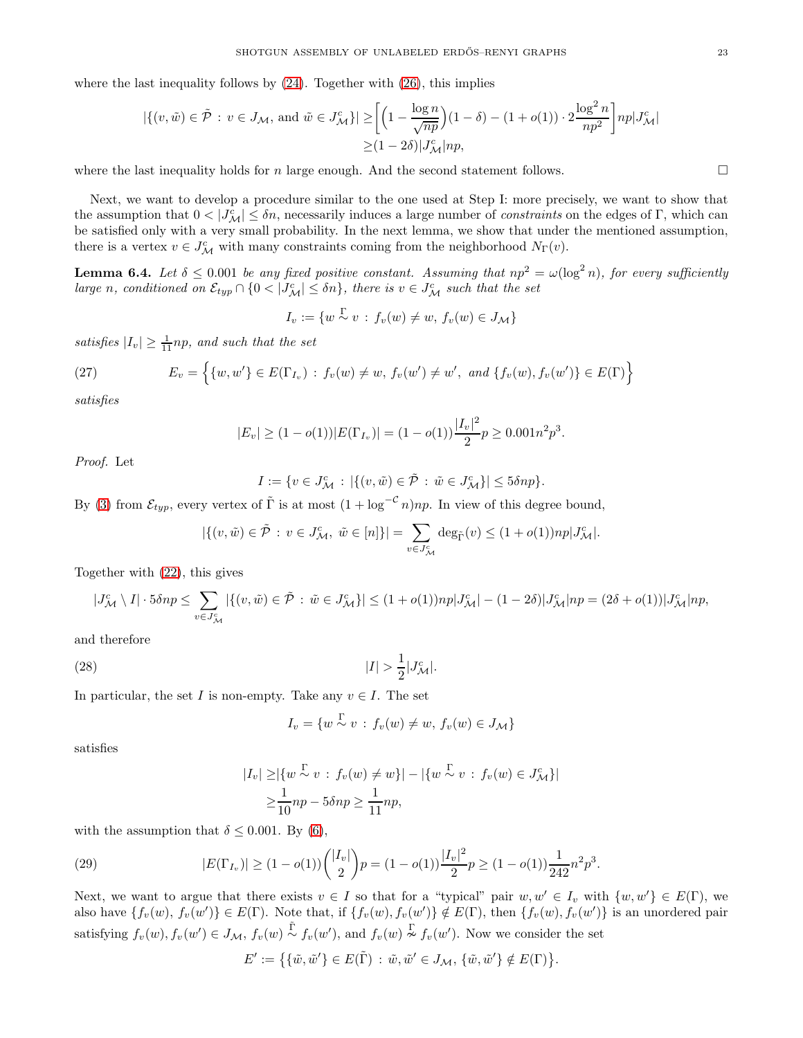where the last inequality follows by  $(24)$ . Together with  $(26)$ , this implies

$$
|\{(v,\tilde{w}) \in \tilde{\mathcal{P}} : v \in J_{\mathcal{M}}, \text{ and } \tilde{w} \in J_{\mathcal{M}}^c\}| \ge \left[ \left(1 - \frac{\log n}{\sqrt{np}}\right) (1 - \delta) - (1 + o(1)) \cdot 2 \frac{\log^2 n}{np^2} \right] np|J_{\mathcal{M}}^c|
$$
  
 
$$
\ge (1 - 2\delta)|J_{\mathcal{M}}^c|np,
$$

where the last inequality holds for n large enough. And the second statement follows.  $\square$ 

Next, we want to develop a procedure similar to the one used at Step I: more precisely, we want to show that the assumption that  $0 < |J^c_{\mathcal{M}}| \leq \delta n$ , necessarily induces a large number of *constraints* on the edges of Γ, which can be satisfied only with a very small probability. In the next lemma, we show that under the mentioned assumption, there is a vertex  $v \in J^c_{\mathcal{M}}$  with many constraints coming from the neighborhood  $N_{\Gamma}(v)$ .

<span id="page-22-2"></span>**Lemma 6.4.** Let  $\delta \leq 0.001$  be any fixed positive constant. Assuming that  $np^2 = \omega(\log^2 n)$ , for every sufficiently large n, conditioned on  $\mathcal{E}_{typ} \cap \{0 < |J_M^c| \le \delta n\}$ , there is  $v \in J_M^c$  such that the set

 $I_v := \{w \overset{\Gamma}{\sim} v : f_v(w) \neq w, f_v(w) \in J_{\mathcal{M}}\}\$ 

satisfies  $|I_v| \geq \frac{1}{11} np$ , and such that the set

(27) 
$$
E_v = \left\{ \{w, w'\} \in E(\Gamma_{I_v}) : f_v(w) \neq w, f_v(w') \neq w', \text{ and } \{f_v(w), f_v(w')\} \in E(\Gamma) \right\}
$$

satisfies

$$
|E_v| \ge (1 - o(1))|E(\Gamma_{I_v})| = (1 - o(1))\frac{|I_v|^2}{2}p \ge 0.001n^2p^3.
$$

Proof. Let

$$
I := \{ v \in J^c_{\mathcal{M}} \, : \, |\{(v,\tilde{w}) \in \tilde{\mathcal{P}} \, : \, \tilde{w} \in J^c_{\mathcal{M}}\}| \leq 5\delta np \}.
$$

By [\(3\)](#page-6-2) from  $\mathcal{E}_{twp}$ , every vertex of  $\tilde{\Gamma}$  is at most  $(1 + \log^{-c} n)np$ . In view of this degree bound,

$$
|\{(v,\tilde{w})\in\tilde{\mathcal{P}}\,:\,v\in J_{\mathcal{M}}^c,\ \tilde{w}\in [n]\}|=\sum_{v\in J_{\mathcal{M}}^c}\deg_{\tilde{\Gamma}}(v)\leq (1+o(1))np|J_{\mathcal{M}}^c|.
$$

Together with [\(22\)](#page-20-2), this gives

$$
|J^c_{\mathcal{M}} \setminus I| \cdot 5 \delta np \le \sum_{v \in J^c_{\mathcal{M}}} |\{(v, \tilde{w}) \in \tilde{\mathcal{P}} : \tilde{w} \in J^c_{\mathcal{M}}\}| \le (1 + o(1))np|J^c_{\mathcal{M}}| - (1 - 2\delta)|J^c_{\mathcal{M}}|np = (2\delta + o(1))|J^c_{\mathcal{M}}|np,
$$

and therefore

<span id="page-22-0"></span>(28) 
$$
|I| > \frac{1}{2} |J^c_{\mathcal{M}}|.
$$

In particular, the set I is non-empty. Take any  $v \in I$ . The set

$$
I_v = \{ w \stackrel{\Gamma}{\sim} v : f_v(w) \neq w, f_v(w) \in J_\mathcal{M} \}
$$

satisfies

<span id="page-22-1"></span>
$$
|I_v| \geq |\{w \stackrel{\Gamma}{\sim} v : f_v(w) \neq w\}| - |\{w \stackrel{\Gamma}{\sim} v : f_v(w) \in J^c_{\mathcal{M}}\}|
$$
  

$$
\geq \frac{1}{10}np - 5\delta np \geq \frac{1}{11}np,
$$

with the assumption that  $\delta \leq 0.001$ . By [\(6\)](#page-6-5),

(29) 
$$
|E(\Gamma_{I_v})| \ge (1 - o(1)) \binom{|I_v|}{2} p = (1 - o(1)) \frac{|I_v|^2}{2} p \ge (1 - o(1)) \frac{1}{242} n^2 p^3.
$$

Next, we want to argue that there exists  $v \in I$  so that for a "typical" pair  $w, w' \in I_v$  with  $\{w, w'\} \in E(\Gamma)$ , we also have  $\{f_v(w), f_v(w')\} \in E(\Gamma)$ . Note that, if  $\{f_v(w), f_v(w')\} \notin E(\Gamma)$ , then  $\{f_v(w), f_v(w')\}$  is an unordered pair satisfying  $f_v(w)$ ,  $f_v(w') \in J_\mathcal{M}$ ,  $f_v(w) \stackrel{\tilde{\Gamma}}{\sim} f_v(w')$ , and  $f_v(w) \stackrel{\Gamma}{\sim} f_v(w')$ . Now we consider the set

$$
E' := \big\{ \{\tilde{w}, \tilde{w}'\} \in E(\tilde{\Gamma}) \, : \, \tilde{w}, \tilde{w}' \in J_{\mathcal{M}}, \, \{\tilde{w}, \tilde{w}'\} \notin E(\Gamma) \big\}.
$$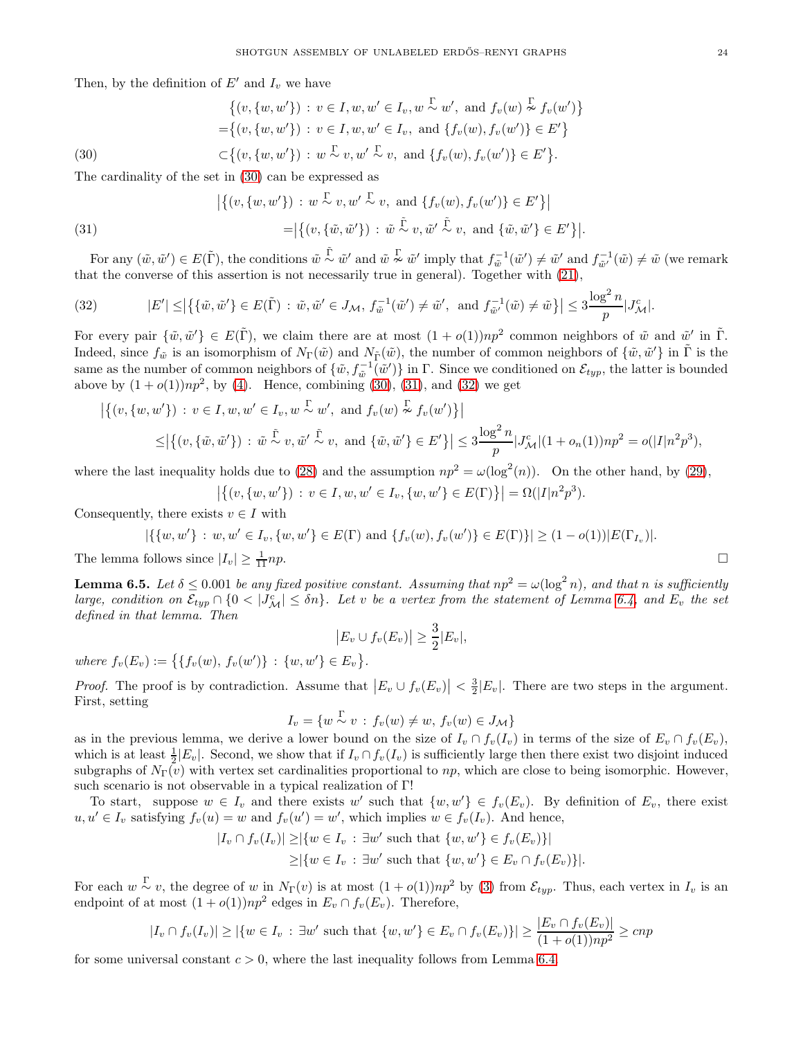Then, by the definition of  $E'$  and  $I_v$  we have

$$
\{(v, \{w, w'\}): v \in I, w, w' \in I_v, w \stackrel{\Gamma}{\sim} w', \text{ and } f_v(w) \stackrel{\Gamma}{\sim} f_v(w')\} = \{(v, \{w, w'\}): v \in I, w, w' \in I_v, \text{ and } \{f_v(w), f_v(w')\} \in E'\} \subset \{(v, \{w, w'\}): w \stackrel{\Gamma}{\sim} v, w' \stackrel{\Gamma}{\sim} v, \text{ and } \{f_v(w), f_v(w')\} \in E'\}.
$$
\n(30)

<span id="page-23-0"></span>The cardinality of the set in [\(30\)](#page-23-0) can be expressed as

<span id="page-23-1"></span>(31)  
\n
$$
\left| \left\{ (v, \{w, w'\}) : w \stackrel{\Gamma}{\sim} v, w' \stackrel{\Gamma}{\sim} v, \text{ and } \left\{ f_v(w), f_v(w') \right\} \in E' \right\} \right|
$$
\n
$$
= \left| \left\{ (v, \{\tilde{w}, \tilde{w}'\}) : \tilde{w} \stackrel{\tilde{\Gamma}}{\sim} v, \tilde{w}' \stackrel{\tilde{\Gamma}}{\sim} v, \text{ and } \{\tilde{w}, \tilde{w}'\} \in E' \right\} \right|.
$$

For any  $(\tilde{w}, \tilde{w}') \in E(\tilde{\Gamma})$ , the conditions  $\tilde{w} \stackrel{\tilde{\Gamma}}{\sim} \tilde{w}'$  and  $\tilde{w} \stackrel{\Gamma}{\sim} \tilde{w}'$  imply that  $f^{-1}_{\tilde{w}}(\tilde{w}') \neq \tilde{w}'$  and  $f^{-1}_{\tilde{w}'}(\tilde{w}) \neq \tilde{w}$  (we remark that the converse of this assertion is not necessarily true in general). Together with [\(21\)](#page-20-3),

<span id="page-23-2"></span>(32) 
$$
|E'| \le |\{ \{\tilde{w}, \tilde{w}'\} \in E(\tilde{\Gamma}) : \tilde{w}, \tilde{w}' \in J_{\mathcal{M}}, f_{\tilde{w}}^{-1}(\tilde{w}') \ne \tilde{w}', \text{ and } f_{\tilde{w}'}^{-1}(\tilde{w}) \ne \tilde{w} \}| \le 3 \frac{\log^2 n}{p} |J_{\mathcal{M}}^c|.
$$

For every pair  $\{\tilde{w}, \tilde{w}'\} \in E(\tilde{\Gamma})$ , we claim there are at most  $(1 + o(1))np^2$  common neighbors of  $\tilde{w}$  and  $\tilde{w}'$  in  $\tilde{\Gamma}$ . Indeed, since  $f_{\tilde{w}}$  is an isomorphism of  $N_{\Gamma}(\tilde{w})$  and  $N_{\tilde{\Gamma}}(\tilde{w})$ , the number of common neighbors of  $\{\tilde{w}, \tilde{w}'\}$  in  $\tilde{\Gamma}$  is the same as the number of common neighbors of  $\{\tilde{w}, f_{\tilde{w}}^{-1}(\tilde{w}')\}$  in  $\Gamma$ . Since we conditioned on  $\mathcal{E}_{typ}$ , the latter is bounded above by  $(1+o(1))np^2$ , by [\(4\)](#page-6-3). Hence, combining [\(30\)](#page-23-0), [\(31\)](#page-23-1), and [\(32\)](#page-23-2) we get

$$
\left| \left\{ (v, \{w, w'\}) : v \in I, w, w' \in I_v, w \stackrel{\Gamma}{\sim} w', \text{ and } f_v(w) \stackrel{\Gamma}{\sim} f_v(w') \right\} \right|
$$
  

$$
\leq \left| \left\{ (v, \{\tilde{w}, \tilde{w}'\}) : \tilde{w} \stackrel{\tilde{\Gamma}}{\sim} v, \tilde{w}' \stackrel{\tilde{\Gamma}}{\sim} v, \text{ and } \{\tilde{w}, \tilde{w}'\} \in E' \} \right| \leq 3 \frac{\log^2 n}{p} |J^c_{\mathcal{M}}|(1 + o_n(1))np^2 = o(|I|n^2p^3),
$$

where the last inequality holds due to [\(28\)](#page-22-0) and the assumption  $np^2 = \omega(\log^2(n))$ . On the other hand, by [\(29\)](#page-22-1),

$$
\left| \left\{ (v, \{w, w'\}) \, : \, v \in I, w, w' \in I_v, \{w, w'\} \in E(\Gamma) \right\} \right| = \Omega(|I|n^2p^3).
$$

Consequently, there exists  $v \in I$  with

$$
|\{\{w,w'\}: w,w'\in I_v, \{w,w'\}\in E(\Gamma) \text{ and } \{f_v(w), f_v(w')\}\in E(\Gamma)\}| \geq (1-o(1))|E(\Gamma_{I_v})|.
$$

The lemma follows since  $|I_v| \geq \frac{1}{11}np$ .  $\frac{1}{11}np.$ 

<span id="page-23-3"></span>**Lemma 6.5.** Let  $\delta \leq 0.001$  be any fixed positive constant. Assuming that  $np^2 = \omega(\log^2 n)$ , and that n is sufficiently large, condition on  $\mathcal{E}_{typ} \cap \{0 \leq |J_M^c| \leq \delta n\}$ . Let v be a vertex from the statement of Lemma [6.4,](#page-22-2) and  $E_v$  the set defined in that lemma. Then

$$
\left| E_v \cup f_v(E_v) \right| \geq \frac{3}{2} |E_v|,
$$

where  $f_v(E_v) := \{ \{ f_v(w), f_v(w') \} : \{w, w' \} \in E_v \}.$ 

*Proof.* The proof is by contradiction. Assume that  $|E_v \cup f_v(E_v)| < \frac{3}{2}|E_v|$ . There are two steps in the argument. First, setting

$$
I_v = \{w \stackrel{\Gamma}{\sim} v : f_v(w) \neq w, f_v(w) \in J_\mathcal{M}\}
$$

as in the previous lemma, we derive a lower bound on the size of  $I_v \cap f_v(I_v)$  in terms of the size of  $E_v \cap f_v(E_v)$ , which is at least  $\frac{1}{2}|E_v|$ . Second, we show that if  $I_v \cap f_v(I_v)$  is sufficiently large then there exist two disjoint induced subgraphs of  $N_{\Gamma}(v)$  with vertex set cardinalities proportional to np, which are close to being isomorphic. However, such scenario is not observable in a typical realization of Γ!

To start, suppose  $w \in I_v$  and there exists w' such that  $\{w, w'\} \in f_v(E_v)$ . By definition of  $E_v$ , there exist  $u, u' \in I_v$  satisfying  $f_v(u) = w$  and  $f_v(u') = w'$ , which implies  $w \in f_v(I_v)$ . And hence,

$$
|I_v \cap f_v(I_v)| \geq |\{w \in I_v : \exists w' \text{ such that } \{w, w'\} \in f_v(E_v)\}|
$$
  
 
$$
\geq |\{w \in I_v : \exists w' \text{ such that } \{w, w'\} \in E_v \cap f_v(E_v)\}|.
$$

For each  $w \sim v$ , the degree of w in  $N_{\Gamma}(v)$  is at most  $(1 + o(1))np^2$  by [\(3\)](#page-6-2) from  $\mathcal{E}_{typ}$ . Thus, each vertex in  $I_v$  is an endpoint of at most  $(1+o(1))np^2$  edges in  $E_v \cap f_v(E_v)$ . Therefore,

$$
|I_v \cap f_v(I_v)| \ge |\{w \in I_v : \exists w' \text{ such that } \{w, w'\} \in E_v \cap f_v(E_v)\}| \ge \frac{|E_v \cap f_v(E_v)|}{(1 + o(1))np^2} \ge cnp
$$

for some universal constant  $c > 0$ , where the last inequality follows from Lemma [6.4.](#page-22-2)

$$
\Box
$$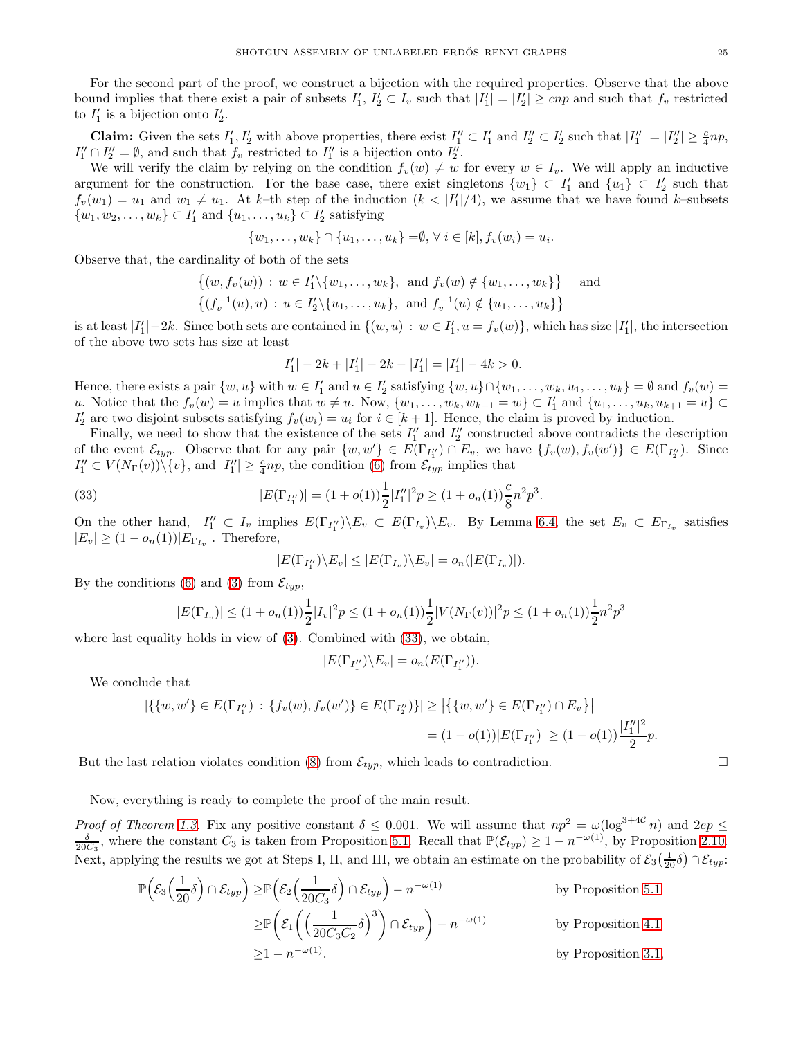For the second part of the proof, we construct a bijection with the required properties. Observe that the above bound implies that there exist a pair of subsets  $I'_1, I'_2 \subset I_v$  such that  $|I'_1| = |I'_2| \geq cnp$  and such that  $f_v$  restricted to  $I'_1$  is a bijection onto  $I'_2$ .

**Claim:** Given the sets  $I'_1, I'_2$  with above properties, there exist  $I''_1 \subset I'_1$  and  $I''_2 \subset I'_2$  such that  $|I''_1| = |I''_2| \ge \frac{c}{4}np$ ,  $I''_1 \cap I''_2 = \emptyset$ , and such that  $f_v$  restricted to  $I''_1$  is a bijection onto  $I''_2$ .

We will verify the claim by relying on the condition  $f_v(w) \neq w$  for every  $w \in I_v$ . We will apply an inductive argument for the construction. For the base case, there exist singletons  $\{w_1\} \subset I'_1$  and  $\{u_1\} \subset I'_2$  such that  $f_v(w_1) = u_1$  and  $w_1 \neq u_1$ . At k-th step of the induction  $(k < |I'_1|/4)$ , we assume that we have found k-subsets  $\{w_1, w_2, \ldots, w_k\} \subset I'_1$  and  $\{u_1, \ldots, u_k\} \subset I'_2$  satisfying

$$
\{w_1, \ldots, w_k\} \cap \{u_1, \ldots, u_k\} = \emptyset, \forall i \in [k], f_v(w_i) = u_i.
$$

Observe that, the cardinality of both of the sets

$$
\{(w, f_v(w)) : w \in I'_1 \setminus \{w_1, \dots, w_k\}, \text{ and } f_v(w) \notin \{w_1, \dots, w_k\} \} \text{ and}
$$
  

$$
\{(f_v^{-1}(u), u) : u \in I'_2 \setminus \{u_1, \dots, u_k\}, \text{ and } f_v^{-1}(u) \notin \{u_1, \dots, u_k\} \}
$$

is at least  $|I_1'|-2k$ . Since both sets are contained in  $\{(w, u): w \in I_1', u = f_v(w)\}$ , which has size  $|I_1'|$ , the intersection of the above two sets has size at least

$$
|I_1'|-2k+|I_1'|-2k-|I_1'|=|I_1'|-4k>0.
$$

Hence, there exists a pair  $\{w, u\}$  with  $w \in I'_1$  and  $u \in I'_2$  satisfying  $\{w, u\} \cap \{w_1, \dots, w_k, u_1, \dots, u_k\} = \emptyset$  and  $f_v(w) =$ u. Notice that the  $f_v(w) = u$  implies that  $w \neq u$ . Now,  $\{w_1, \ldots, w_k, w_{k+1} = w\} \subset I'_1$  and  $\{u_1, \ldots, u_k, u_{k+1} = u\} \subset I'_2$  $I'_2$  are two disjoint subsets satisfying  $f_v(w_i) = u_i$  for  $i \in [k+1]$ . Hence, the claim is proved by induction.

Finally, we need to show that the existence of the sets  $I''_1$  and  $I''_2$  constructed above contradicts the description of the event  $\mathcal{E}_{typ}$ . Observe that for any pair  $\{w, w'\} \in E(\Gamma_{I''_1}) \cap E_v$ , we have  $\{f_v(w), f_v(w')\} \in E(\Gamma_{I''_2})$ . Since  $I''_1 \subset V(N_{\Gamma}(v)) \setminus \{v\}$ , and  $|I''_1| \geq \frac{c}{4}np$ , the condition [\(6\)](#page-6-5) from  $\mathcal{E}_{typ}$  implies that

<span id="page-24-0"></span>(33) 
$$
|E(\Gamma_{I_1''})| = (1 + o(1))\frac{1}{2}|I_1''|^2p \ge (1 + o_n(1))\frac{c}{8}n^2p^3.
$$

On the other hand,  $I''_1 \subset I_v$  implies  $E(\Gamma_{I''_1}) \backslash E_v \subset E(\Gamma_{I_v}) \backslash E_v$ . By Lemma [6.4,](#page-22-2) the set  $E_v \subset E_{\Gamma_{I_v}}$  satisfies  $|E_v| \geq (1 - o_n(1)) |E_{\Gamma_{I_v}}|$ . Therefore,

$$
|E(\Gamma_{I_1''})\backslash E_v| \leq |E(\Gamma_{I_v})\backslash E_v| = o_n(|E(\Gamma_{I_v})|).
$$

By the conditions [\(6\)](#page-6-5) and [\(3\)](#page-6-2) from  $\mathcal{E}_{typ}$ ,

$$
|E(\Gamma_{I_v})| \le (1 + o_n(1)) \frac{1}{2} |I_v|^2 p \le (1 + o_n(1)) \frac{1}{2} |V(N_{\Gamma}(v))|^2 p \le (1 + o_n(1)) \frac{1}{2} n^2 p^3
$$

where last equality holds in view of [\(3\)](#page-6-2). Combined with [\(33\)](#page-24-0), we obtain,

$$
|E(\Gamma_{I_1''})\backslash E_v|=o_n(E(\Gamma_{I_1''})).
$$

We conclude that

$$
|\{\{w,w'\}\in E(\Gamma_{I_1''})\,:\,\{f_v(w),f_v(w')\}\in E(\Gamma_{I_2''})\}| \ge |\{\{w,w'\}\in E(\Gamma_{I_1''})\cap E_v\}|
$$
  
=  $(1-o(1))|E(\Gamma_{I_1''})| \ge (1-o(1))\frac{|I_1''|^2}{2}p.$ 

But the last relation violates condition [\(8\)](#page-6-7) from  $\mathcal{E}_{typ}$ , which leads to contradiction.

Now, everything is ready to complete the proof of the main result.

*Proof of Theorem [1.3.](#page-1-2)* Fix any positive constant  $\delta \leq 0.001$ . We will assume that  $np^2 = \omega(\log^{3+4C} n)$  and  $2ep \leq$  $\frac{\delta}{20C_3}$ , where the constant  $C_3$  is taken from Proposition [5.1.](#page-17-3) Recall that  $\mathbb{P}(\mathcal{E}_{typ}) \geq 1 - n^{-\omega(1)}$ , by Proposition [2.10.](#page-6-10) Next, applying the results we got at Steps I, II, and III, we obtain an estimate on the probability of  $\mathcal{E}_3(\frac{1}{20}\delta) \cap \mathcal{E}_{typ}$ :

$$
\mathbb{P}\left(\mathcal{E}_3\left(\frac{1}{20}\delta\right) \cap \mathcal{E}_{typ}\right) \ge \mathbb{P}\left(\mathcal{E}_2\left(\frac{1}{20C_3}\delta\right) \cap \mathcal{E}_{typ}\right) - n^{-\omega(1)} \qquad \text{by Proposition 5.1}
$$
  

$$
\ge \mathbb{P}\left(\mathcal{E}_1\left(\left(\frac{1}{20C_3C_2}\delta\right)^3\right) \cap \mathcal{E}_{typ}\right) - n^{-\omega(1)} \qquad \text{by Proposition 4.1}
$$
  

$$
\ge 1 - n^{-\omega(1)}.
$$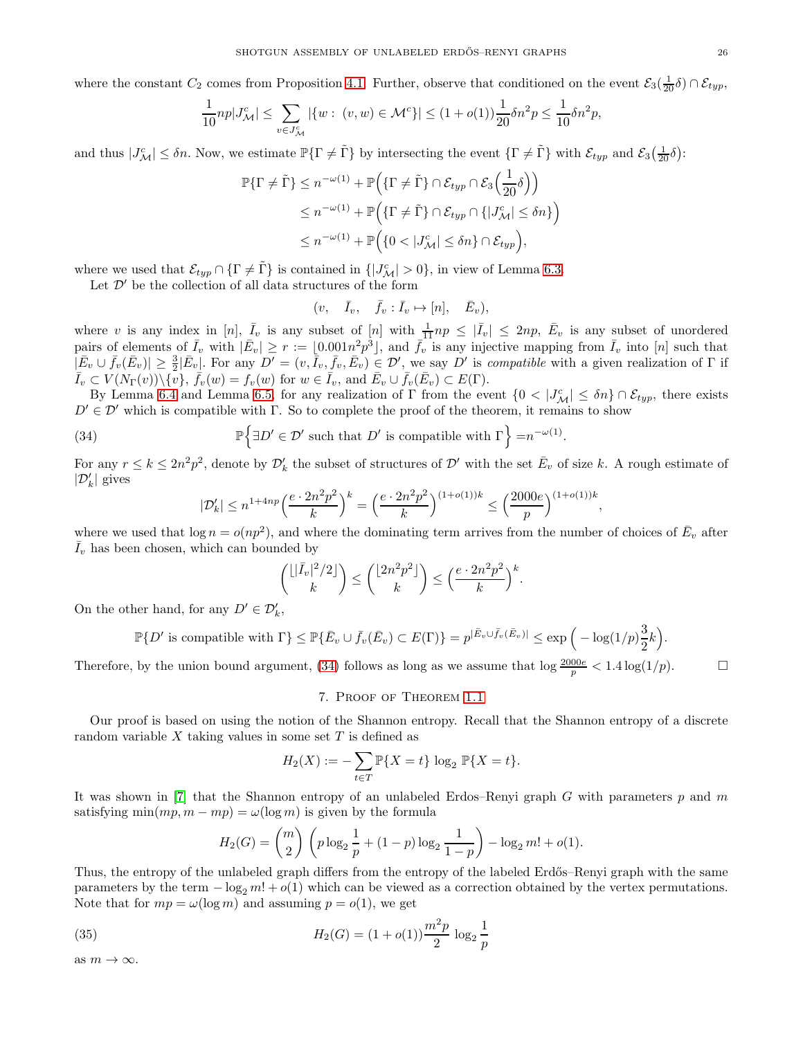where the constant  $C_2$  comes from Proposition [4.1.](#page-15-1) Further, observe that conditioned on the event  $\mathcal{E}_3(\frac{1}{20}\delta) \cap \mathcal{E}_{typ}$ ,

$$
\frac{1}{10}np|J^c_{\mathcal{M}}| \le \sum_{v \in J^c_{\mathcal{M}}} |\{w : (v, w) \in \mathcal{M}^c\}| \le (1 + o(1))\frac{1}{20}\delta n^2 p \le \frac{1}{10}\delta n^2 p,
$$

and thus  $|J^c_{\mathcal{M}}| \leq \delta n$ . Now, we estimate  $\mathbb{P}\{\Gamma \neq \tilde{\Gamma}\}\$  by intersecting the event  $\{\Gamma \neq \tilde{\Gamma}\}\$  with  $\mathcal{E}_{typ}$  and  $\mathcal{E}_3(\frac{1}{20}\delta)$ :

$$
\mathbb{P}\{\Gamma \neq \tilde{\Gamma}\} \leq n^{-\omega(1)} + \mathbb{P}\Big(\{\Gamma \neq \tilde{\Gamma}\} \cap \mathcal{E}_{typ} \cap \mathcal{E}_3\Big(\frac{1}{20}\delta\Big)\Big) \leq n^{-\omega(1)} + \mathbb{P}\Big(\{\Gamma \neq \tilde{\Gamma}\} \cap \mathcal{E}_{typ} \cap \{|J^c_{\mathcal{M}}| \leq \delta n\}\Big) \leq n^{-\omega(1)} + \mathbb{P}\Big(\{0 < |J^c_{\mathcal{M}}| \leq \delta n\} \cap \mathcal{E}_{typ}\Big),
$$

where we used that  $\mathcal{E}_{typ} \cap {\{\Gamma \neq \tilde{\Gamma}\}}$  is contained in  ${[J^c_{\mathcal{M}}] > 0}$ , in view of Lemma [6.3.](#page-20-1)

Let  $\mathcal{D}'$  be the collection of all data structures of the form

$$
(v, \quad \bar{I}_v, \quad \bar{f}_v : \bar{I}_v \mapsto [n], \quad \bar{E}_v),
$$

where v is any index in [n],  $\overline{I}_v$  is any subset of  $[n]$  with  $\frac{1}{11}np \leq |\overline{I}_v| \leq 2np$ ,  $\overline{E}_v$  is any subset of unordered pairs of elements of  $\bar{I}_v$  with  $|\bar{E}_v| \geq r := \lfloor 0.001n^2 p^3 \rfloor$ , and  $\bar{f}_v$  is any injective mapping from  $\bar{I}_v$  into  $[n]$  such that  $|\bar{E}_v \cup \bar{f}_v(\bar{E}_v)| \geq \frac{3}{2} |\bar{E}_v|$ . For any  $D' = (v, \bar{I}_v, \bar{f}_v, \bar{E}_v) \in \mathcal{D}'$ , we say  $D'$  is *compatible* with a given realization of  $\Gamma$  if  $\overline{I}_v \subset V(N_\Gamma(v)) \setminus {\overline{v}}, \ \overline{f}_v(w) = f_v(w) \text{ for } w \in \overline{I}_v, \text{ and } \overline{E}_v \cup \overline{f}_v(\overline{E}_v) \subset E(\Gamma).$ 

By Lemma [6.4](#page-22-2) and Lemma [6.5,](#page-23-3) for any realization of Γ from the event  $\{0, |J^c_{\mathcal{M}}| \leq \delta n\} \cap \mathcal{E}_{typ}$ , there exists  $D' \in \mathcal{D}'$  which is compatible with  $\Gamma$ . So to complete the proof of the theorem, it remains to show

<span id="page-25-1"></span>(34) 
$$
\mathbb{P}\left\{\exists D' \in \mathcal{D}' \text{ such that } D' \text{ is compatible with } \Gamma\right\} = n^{-\omega(1)}.
$$

For any  $r \le k \le 2n^2p^2$ , denote by  $\mathcal{D}'_k$  the subset of structures of  $\mathcal{D}'$  with the set  $\bar{E}_v$  of size k. A rough estimate of  $|\mathcal{D}'_k|$  gives

$$
|\mathcal{D}'_k| \leq n^{1+4np} \Big( \frac{e \cdot 2n^2p^2}{k} \Big)^k = \Big( \frac{e \cdot 2n^2p^2}{k} \Big)^{(1+o(1))k} \leq \Big( \frac{2000e}{p} \Big)^{(1+o(1))k},
$$

where we used that  $\log n = o(np^2)$ , and where the dominating term arrives from the number of choices of  $\bar{E}_v$  after  $\bar{I}_v$  has been chosen, which can bounded by

$$
\binom{\lfloor |\bar{I}_v|^2/2 \rfloor}{k} \le \binom{\lfloor 2n^2p^2 \rfloor}{k} \le \left(\frac{e \cdot 2n^2p^2}{k}\right)^k.
$$

On the other hand, for any  $D' \in \mathcal{D}'_k$ ,

$$
\mathbb{P}\{D' \text{ is compatible with } \Gamma\} \le \mathbb{P}\{\bar{E}_v \cup \bar{f}_v(\bar{E}_v) \subset E(\Gamma)\} = p^{|\bar{E}_v \cup \bar{f}_v(\bar{E}_v)|} \le \exp\Big(-\log(1/p)\frac{3}{2}k\Big).
$$

<span id="page-25-0"></span>Therefore, by the union bound argument, [\(34\)](#page-25-1) follows as long as we assume that  $\log \frac{2000e}{p} < 1.4 \log(1/p)$ .

# 7. Proof of Theorem [1.1](#page-1-0)

Our proof is based on using the notion of the Shannon entropy. Recall that the Shannon entropy of a discrete random variable  $X$  taking values in some set  $T$  is defined as

$$
H_2(X) := -\sum_{t \in T} \mathbb{P}\{X = t\} \log_2 \mathbb{P}\{X = t\}.
$$

It was shown in [\[7\]](#page-28-16) that the Shannon entropy of an unlabeled Erdos–Renyi graph G with parameters  $p$  and  $m$ satisfying min $(mp, m - mp) = \omega(\log m)$  is given by the formula

$$
H_2(G) = {m \choose 2} \left( p \log_2 \frac{1}{p} + (1-p) \log_2 \frac{1}{1-p} \right) - \log_2 m! + o(1).
$$

Thus, the entropy of the unlabeled graph differs from the entropy of the labeled Erdős–Renyi graph with the same parameters by the term  $-\log_2 m! + o(1)$  which can be viewed as a correction obtained by the vertex permutations. Note that for  $mp = \omega(\log m)$  and assuming  $p = o(1)$ , we get

(35) 
$$
H_2(G) = (1 + o(1)) \frac{m^2 p}{2} \log_2 \frac{1}{p}
$$

as  $m \to \infty$ .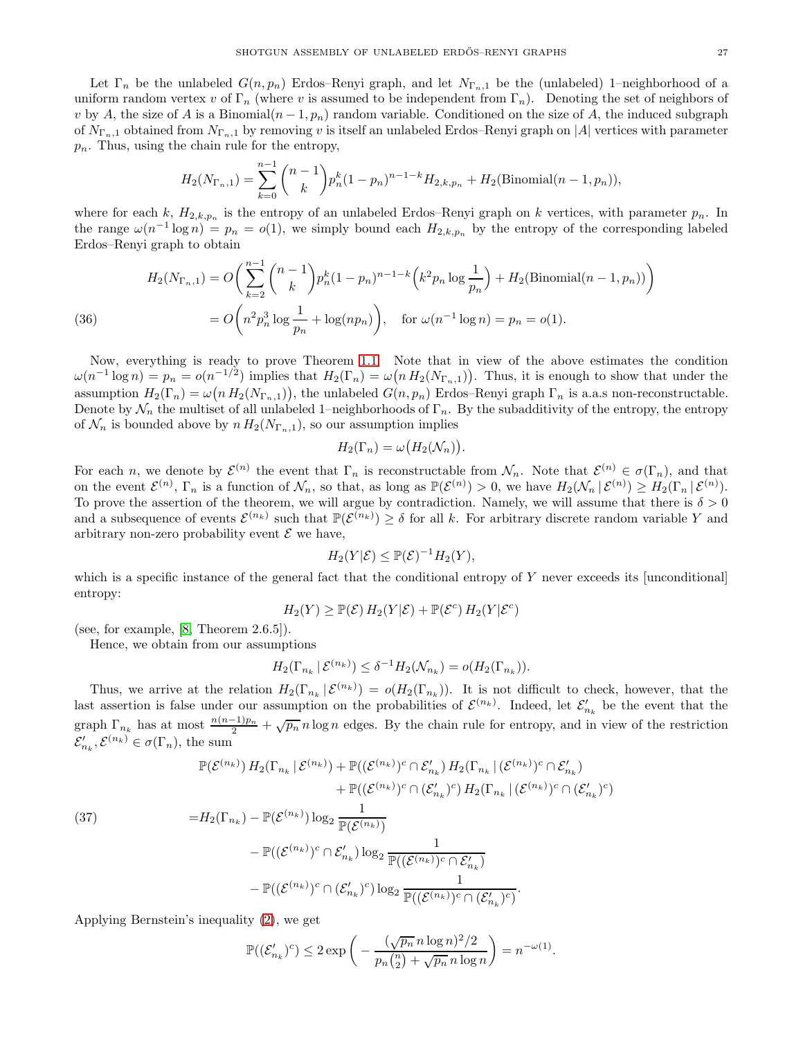Let  $\Gamma_n$  be the unlabeled  $G(n, p_n)$  Erdos–Renyi graph, and let  $N_{\Gamma_n,1}$  be the (unlabeled) 1–neighborhood of a uniform random vertex v of  $\Gamma_n$  (where v is assumed to be independent from  $\Gamma_n$ ). Denoting the set of neighbors of v by A, the size of A is a Binomial $(n-1, p_n)$  random variable. Conditioned on the size of A, the induced subgraph of  $N_{\Gamma_n,1}$  obtained from  $N_{\Gamma_n,1}$  by removing v is itself an unlabeled Erdos–Renyi graph on |A| vertices with parameter  $p_n$ . Thus, using the chain rule for the entropy,

$$
H_2(N_{\Gamma_n,1}) = \sum_{k=0}^{n-1} {n-1 \choose k} p_n^k (1-p_n)^{n-1-k} H_{2,k,p_n} + H_2(\text{Binomial}(n-1,p_n)),
$$

where for each k,  $H_{2,k,p_n}$  is the entropy of an unlabeled Erdos–Renyi graph on k vertices, with parameter  $p_n$ . In the range  $\omega(n^{-1}\log n) = p_n = o(1)$ , we simply bound each  $H_{2,k,p_n}$  by the entropy of the corresponding labeled Erdos–Renyi graph to obtain

(36) 
$$
H_2(N_{\Gamma_n,1}) = O\left(\sum_{k=2}^{n-1} {n-1 \choose k} p_n^k (1-p_n)^{n-1-k} \left(k^2 p_n \log \frac{1}{p_n}\right) + H_2(\text{Binomial}(n-1, p_n))\right)
$$

$$
= O\left(n^2 p_n^3 \log \frac{1}{p_n} + \log(np_n)\right), \quad \text{for } \omega(n^{-1} \log n) = p_n = o(1).
$$

Now, everything is ready to prove Theorem [1.1.](#page-1-0) Note that in view of the above estimates the condition  $\omega(n^{-1} \log n) = p_n = o(n^{-1/2})$  implies that  $H_2(\Gamma_n) = \omega(n H_2(N_{\Gamma_n,1}))$ . Thus, it is enough to show that under the assumption  $H_2(\Gamma_n) = \omega(n H_2(N_{\Gamma_n,1}))$ , the unlabeled  $G(n, p_n)$  Erdos-Renyi graph  $\Gamma_n$  is a.a.s non-reconstructable. Denote by  $\mathcal{N}_n$  the multiset of all unlabeled 1–neighborhoods of  $\Gamma_n$ . By the subadditivity of the entropy, the entropy of  $\mathcal{N}_n$  is bounded above by  $n H_2(N_{\Gamma_n,1}),$  so our assumption implies

$$
H_2(\Gamma_n) = \omega\big(H_2(\mathcal{N}_n)\big).
$$

For each n, we denote by  $\mathcal{E}^{(n)}$  the event that  $\Gamma_n$  is reconstructable from  $\mathcal{N}_n$ . Note that  $\mathcal{E}^{(n)} \in \sigma(\Gamma_n)$ , and that on the event  $\mathcal{E}^{(n)}$ ,  $\Gamma_n$  is a function of  $\mathcal{N}_n$ , so that, as long as  $\mathbb{P}(\mathcal{E}^{(n)}) > 0$ , we have  $H_2(\mathcal{N}_n | \mathcal{E}^{(n)}) \geq H_2(\Gamma_n | \mathcal{E}^{(n)})$ . To prove the assertion of the theorem, we will argue by contradiction. Namely, we will assume that there is  $\delta > 0$ and a subsequence of events  $\mathcal{E}^{(n_k)}$  such that  $\mathbb{P}(\mathcal{E}^{(n_k)}) \ge \delta$  for all k. For arbitrary discrete random variable Y and arbitrary non-zero probability event  $\mathcal E$  we have,

$$
H_2(Y|\mathcal{E}) \leq \mathbb{P}(\mathcal{E})^{-1}H_2(Y),
$$

which is a specific instance of the general fact that the conditional entropy of Y never exceeds its [unconditional] entropy:

$$
H_2(Y) \geq \mathbb{P}(\mathcal{E}) H_2(Y|\mathcal{E}) + \mathbb{P}(\mathcal{E}^c) H_2(Y|\mathcal{E}^c)
$$

(see, for example,  $[8,$  Theorem  $2.6.5]$ ).

Hence, we obtain from our assumptions

$$
H_2(\Gamma_{n_k} \mid \mathcal{E}^{(n_k)}) \leq \delta^{-1} H_2(\mathcal{N}_{n_k}) = o(H_2(\Gamma_{n_k})).
$$

Thus, we arrive at the relation  $H_2(\Gamma_{n_k} | \mathcal{E}^{(n_k)}) = o(H_2(\Gamma_{n_k}))$ . It is not difficult to check, however, that the last assertion is false under our assumption on the probabilities of  $\mathcal{E}^{(n_k)}$ . Indeed, let  $\mathcal{E}'_{n_k}$  be the event that the graph  $\Gamma_{n_k}$  has at most  $\frac{n(n-1)p_n}{2} + \sqrt{p_n} n \log n$  edges. By the chain rule for entropy, and in view of the restriction  $\mathcal{E}'_{n_k}, \mathcal{E}^{(n_k)} \in \sigma(\Gamma_n)$ , the sum

<span id="page-26-0"></span>
$$
\mathbb{P}(\mathcal{E}^{(n_k)}) H_2(\Gamma_{n_k} | \mathcal{E}^{(n_k)}) + \mathbb{P}((\mathcal{E}^{(n_k)})^c \cap \mathcal{E}'_{n_k}) H_2(\Gamma_{n_k} | (\mathcal{E}^{(n_k)})^c \cap \mathcal{E}'_{n_k})
$$
  
+ 
$$
\mathbb{P}((\mathcal{E}^{(n_k)})^c \cap (\mathcal{E}'_{n_k})^c) H_2(\Gamma_{n_k} | (\mathcal{E}^{(n_k)})^c \cap (\mathcal{E}'_{n_k})^c)
$$
  
= 
$$
H_2(\Gamma_{n_k}) - \mathbb{P}(\mathcal{E}^{(n_k)}) \log_2 \frac{1}{\mathbb{P}(\mathcal{E}^{(n_k)})}
$$
  
- 
$$
\mathbb{P}((\mathcal{E}^{(n_k)})^c \cap \mathcal{E}'_{n_k}) \log_2 \frac{1}{\mathbb{P}((\mathcal{E}^{(n_k)})^c \cap \mathcal{E}'_{n_k})}
$$
  
- 
$$
\mathbb{P}((\mathcal{E}^{(n_k)})^c \cap (\mathcal{E}'_{n_k})^c) \log_2 \frac{1}{\mathbb{P}((\mathcal{E}^{(n_k)})^c \cap (\mathcal{E}'_{n_k})^c)}
$$
.

Applying Bernstein's inequality [\(2\)](#page-5-1), we get

$$
\mathbb{P}((\mathcal{E}'_{n_k})^c) \le 2 \exp\bigg(-\frac{(\sqrt{p_n} n \log n)^2/2}{p_n {n \choose 2} + \sqrt{p_n} n \log n}\bigg) = n^{-\omega(1)}.
$$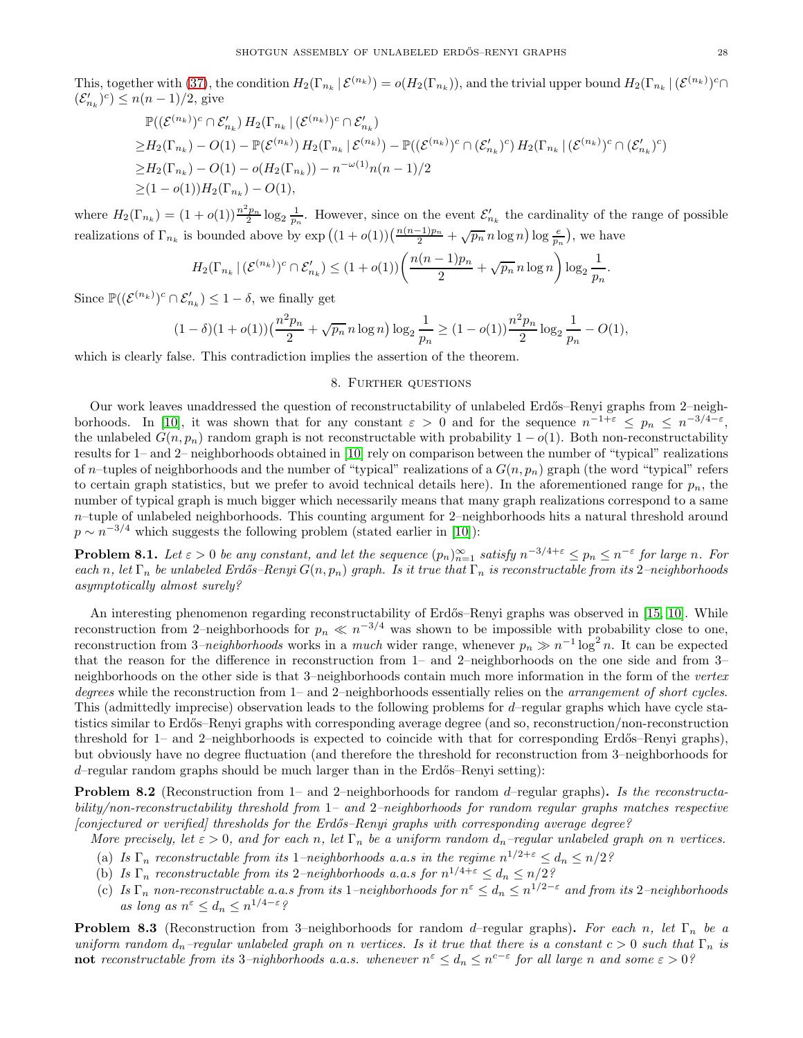This, together with [\(37\)](#page-26-0), the condition  $H_2(\Gamma_{n_k} | \mathcal{E}^{(n_k)}) = o(H_2(\Gamma_{n_k}))$ , and the trivial upper bound  $H_2(\Gamma_{n_k} | (\mathcal{E}^{(n_k)})^c \cap$  $(\mathcal{E}'_{n_k})^c$   $\leq n(n-1)/2$ , give

$$
\mathbb{P}((\mathcal{E}^{(n_k)})^c \cap \mathcal{E}'_{n_k}) H_2(\Gamma_{n_k} | (\mathcal{E}^{(n_k)})^c \cap \mathcal{E}'_{n_k})
$$
  
\n
$$
\geq H_2(\Gamma_{n_k}) - O(1) - \mathbb{P}(\mathcal{E}^{(n_k)}) H_2(\Gamma_{n_k} | \mathcal{E}^{(n_k)}) - \mathbb{P}((\mathcal{E}^{(n_k)})^c \cap (\mathcal{E}'_{n_k})^c) H_2(\Gamma_{n_k} | (\mathcal{E}^{(n_k)})^c \cap (\mathcal{E}'_{n_k})^c)
$$
  
\n
$$
\geq H_2(\Gamma_{n_k}) - O(1) - o(H_2(\Gamma_{n_k})) - n^{-\omega(1)}n(n-1)/2
$$
  
\n
$$
\geq (1 - o(1))H_2(\Gamma_{n_k}) - O(1),
$$

where  $H_2(\Gamma_{n_k}) = (1+o(1))\frac{n^2p_n}{2}\log_2\frac{1}{p_n}$ . However, since on the event  $\mathcal{E}'_{n_k}$  the cardinality of the range of possible realizations of  $\Gamma_{n_k}$  is bounded above by  $\exp((1+o(1))(\frac{n(n-1)p_n}{2}+\sqrt{p_n}\,n\log n)\log\frac{e}{p_n})$ , we have

$$
H_2(\Gamma_{n_k}\,|\,(\mathcal{E}^{(n_k)})^c\cap\mathcal{E}'_{n_k})\leq (1+o(1))\bigg(\frac{n(n-1)p_n}{2}+\sqrt{p_n}\,n\log n\bigg)\log_2\frac{1}{p_n}.
$$

Since  $\mathbb{P}((\mathcal{E}^{(n_k)})^c \cap \mathcal{E}'_{n_k}) \leq 1 - \delta$ , we finally get

$$
(1-\delta)(1+o(1))\left(\frac{n^2p_n}{2}+\sqrt{p_n}\,n\log n\right)\log_2\frac{1}{p_n}\geq (1-o(1))\frac{n^2p_n}{2}\log_2\frac{1}{p_n}-O(1),
$$

<span id="page-27-0"></span>which is clearly false. This contradiction implies the assertion of the theorem.

# 8. Further questions

Our work leaves unaddressed the question of reconstructability of unlabeled Erdős–Renyi graphs from 2–neigh-borhoods. In [\[10\]](#page-28-0), it was shown that for any constant  $\varepsilon > 0$  and for the sequence  $n^{-1+\varepsilon} \leq p_n \leq n^{-3/4-\varepsilon}$ , the unlabeled  $G(n, p_n)$  random graph is not reconstructable with probability  $1 - o(1)$ . Both non-reconstructability results for 1– and 2– neighborhoods obtained in [\[10\]](#page-28-0) rely on comparison between the number of "typical" realizations of n-tuples of neighborhoods and the number of "typical" realizations of a  $G(n, p_n)$  graph (the word "typical" refers to certain graph statistics, but we prefer to avoid technical details here). In the aforementioned range for  $p_n$ , the number of typical graph is much bigger which necessarily means that many graph realizations correspond to a same  $n$ –tuple of unlabeled neighborhoods. This counting argument for 2–neighborhoods hits a natural threshold around  $p \sim n^{-3/4}$  which suggests the following problem (stated earlier in [\[10\]](#page-28-0)):

**Problem 8.1.** Let  $\varepsilon > 0$  be any constant, and let the sequence  $(p_n)_{n=1}^{\infty}$  satisfy  $n^{-3/4+\varepsilon} \leq p_n \leq n^{-\varepsilon}$  for large n. For each n, let  $\Gamma_n$  be unlabeled Erdős–Renyi  $G(n, p_n)$  graph. Is it true that  $\Gamma_n$  is reconstructable from its 2–neighborhoods asymptotically almost surely?

An interesting phenomenon regarding reconstructability of Erdős–Renyi graphs was observed in [\[15,](#page-28-1) [10\]](#page-28-0). While reconstruction from 2–neighborhoods for  $p_n \ll n^{-3/4}$  was shown to be impossible with probability close to one, reconstruction from 3–neighborhoods works in a much wider range, whenever  $p_n \gg n^{-1} \log^2 n$ . It can be expected that the reason for the difference in reconstruction from 1– and 2–neighborhoods on the one side and from 3– neighborhoods on the other side is that 3–neighborhoods contain much more information in the form of the vertex degrees while the reconstruction from 1– and 2–neighborhoods essentially relies on the arrangement of short cycles. This (admittedly imprecise) observation leads to the following problems for d–regular graphs which have cycle statistics similar to Erd˝os–Renyi graphs with corresponding average degree (and so, reconstruction/non-reconstruction threshold for 1– and 2–neighborhoods is expected to coincide with that for corresponding Erdős–Renyi graphs), but obviously have no degree fluctuation (and therefore the threshold for reconstruction from 3–neighborhoods for  $d$ –regular random graphs should be much larger than in the Erdős–Renyi setting):

**Problem 8.2** (Reconstruction from 1– and 2–neighborhoods for random d–regular graphs). Is the reconstructability/non-reconstructability threshold from 1– and 2–neighborhoods for random regular graphs matches respective [conjectured or verified] thresholds for the Erd˝os–Renyi graphs with corresponding average degree?

- More precisely, let  $\varepsilon > 0$ , and for each n, let  $\Gamma_n$  be a uniform random  $d_n$ -regular unlabeled graph on n vertices.
- (a) Is  $\Gamma_n$  reconstructable from its 1–neighborhoods a.a.s in the regime  $n^{1/2+\epsilon} \leq d_n \leq n/2$ ?
- (b) Is  $\Gamma_n$  reconstructable from its 2-neighborhoods a.a.s for  $n^{1/4+\epsilon} \leq d_n \leq n/2$ ?
- (c) Is  $\Gamma_n$  non-reconstructable a.a.s from its 1–neighborhoods for  $n^{\epsilon} \leq d_n \leq n^{1/2-\epsilon}$  and from its 2–neighborhoods as long as  $n^{\varepsilon} \leq d_n \leq n^{1/4-\varepsilon}$ ?

**Problem 8.3** (Reconstruction from 3–neighborhoods for random d–regular graphs). For each n, let  $\Gamma_n$  be a uniform random  $d_n$ –regular unlabeled graph on n vertices. Is it true that there is a constant  $c > 0$  such that  $\Gamma_n$  is  $\textbf{not}$  reconstructable from its 3-nighborhoods a.a.s. whenever  $n^{\varepsilon} \leq d_n \leq n^{c-\varepsilon}$  for all large n and some  $\varepsilon > 0$ ?